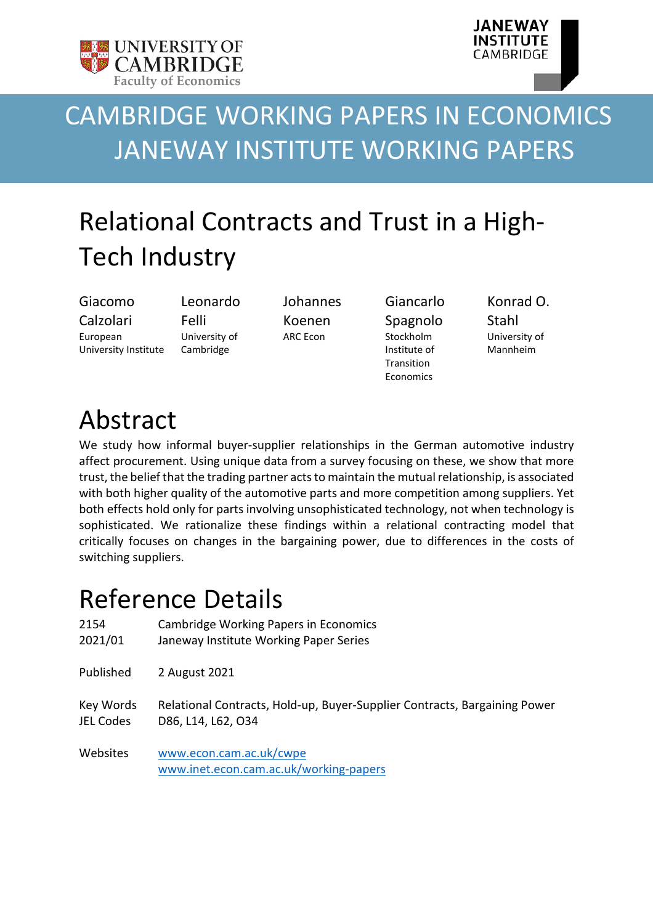



# CAMBRIDGE WORKING PAPERS IN ECONOMICS JANEWAY INSTITUTE WORKING PAPERS

# Relational Contracts and Trust in a High-Tech Industry

Giacomo Calzolari European University Institute

Leonardo Felli University of Cambridge

Johannes Koenen ARC Econ

Giancarlo Spagnolo Stockholm Institute of **Transition** Economics

Konrad O. Stahl University of Mannheim

## Abstract

We study how informal buyer-supplier relationships in the German automotive industry affect procurement. Using unique data from a survey focusing on these, we show that more trust, the belief that the trading partner acts to maintain the mutual relationship, is associated with both higher quality of the automotive parts and more competition among suppliers. Yet both effects hold only for parts involving unsophisticated technology, not when technology is sophisticated. We rationalize these findings within a relational contracting model that critically focuses on changes in the bargaining power, due to differences in the costs of switching suppliers.

## Reference Details

| 2154      | Cambridge Working Papers in Economics                                     |
|-----------|---------------------------------------------------------------------------|
| 2021/01   | Janeway Institute Working Paper Series                                    |
| Published | 2 August 2021                                                             |
| Key Words | Relational Contracts, Hold-up, Buyer-Supplier Contracts, Bargaining Power |
| JEL Codes | D86, L14, L62, O34                                                        |
| Websites  | www.econ.cam.ac.uk/cwpe<br>www.inet.econ.cam.ac.uk/working-papers         |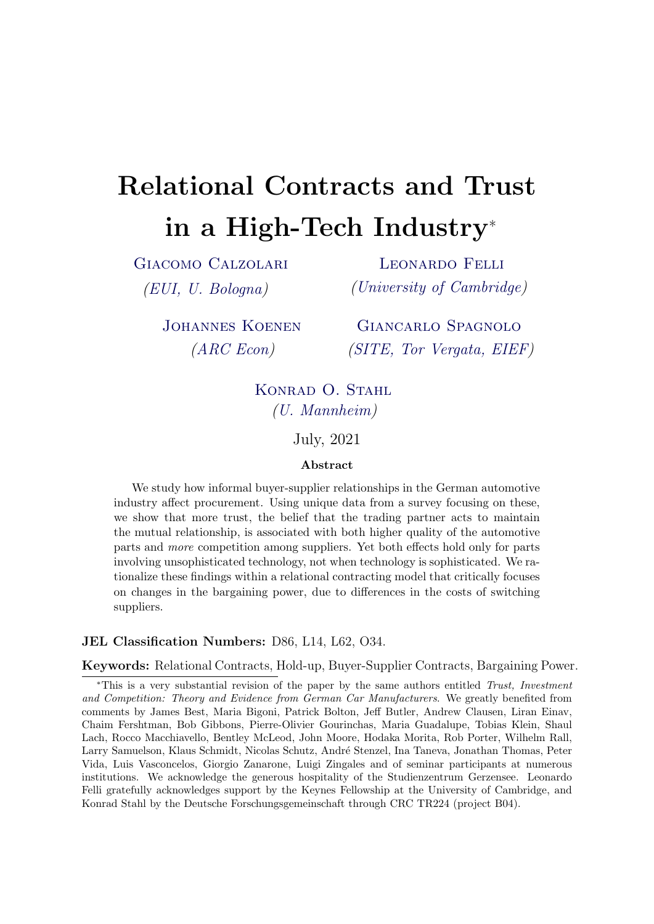# Relational Contracts and Trust in a High-Tech Industry<sup>∗</sup>

[Giacomo Calzolari](https://sites.google.com/view/giacomo-calzolari) [\(EUI, U. Bologna\)](https://www.eui.eu/DepartmentsAndCentres/Economics)

[Leonardo Felli](http://www.felli.info) [\(University of Cambridge\)](http://www.econ.cam.ac.uk)

[Johannes Koenen](http://www.hcm.uni-bonn.de/people/profile/johannes-koenen/) [\(ARC Econ\)](http://arc-econ.de)

[Giancarlo Spagnolo](https://sites.google.com/site/giancarlospagnoloshomepage/) [\(SITE, Tor Vergata, EIEF\)](https://www.hhs.se/SITE)

KONRAD O. STAHL [\(U. Mannheim\)](https://www.uni-mannheim.de)

July, 2021

#### Abstract

We study how informal buyer-supplier relationships in the German automotive industry affect procurement. Using unique data from a survey focusing on these, we show that more trust, the belief that the trading partner acts to maintain the mutual relationship, is associated with both higher quality of the automotive parts and more competition among suppliers. Yet both effects hold only for parts involving unsophisticated technology, not when technology is sophisticated. We rationalize these findings within a relational contracting model that critically focuses on changes in the bargaining power, due to differences in the costs of switching suppliers.

#### JEL Classification Numbers: D86, L14, L62, O34.

Keywords: Relational Contracts, Hold-up, Buyer-Supplier Contracts, Bargaining Power.

<sup>∗</sup>This is a very substantial revision of the paper by the same authors entitled Trust, Investment and Competition: Theory and Evidence from German Car Manufacturers. We greatly benefited from comments by James Best, Maria Bigoni, Patrick Bolton, Jeff Butler, Andrew Clausen, Liran Einav, Chaim Fershtman, Bob Gibbons, Pierre-Olivier Gourinchas, Maria Guadalupe, Tobias Klein, Shaul Lach, Rocco Macchiavello, Bentley McLeod, John Moore, Hodaka Morita, Rob Porter, Wilhelm Rall, Larry Samuelson, Klaus Schmidt, Nicolas Schutz, André Stenzel, Ina Taneva, Jonathan Thomas, Peter Vida, Luis Vasconcelos, Giorgio Zanarone, Luigi Zingales and of seminar participants at numerous institutions. We acknowledge the generous hospitality of the Studienzentrum Gerzensee. Leonardo Felli gratefully acknowledges support by the Keynes Fellowship at the University of Cambridge, and Konrad Stahl by the Deutsche Forschungsgemeinschaft through CRC TR224 (project B04).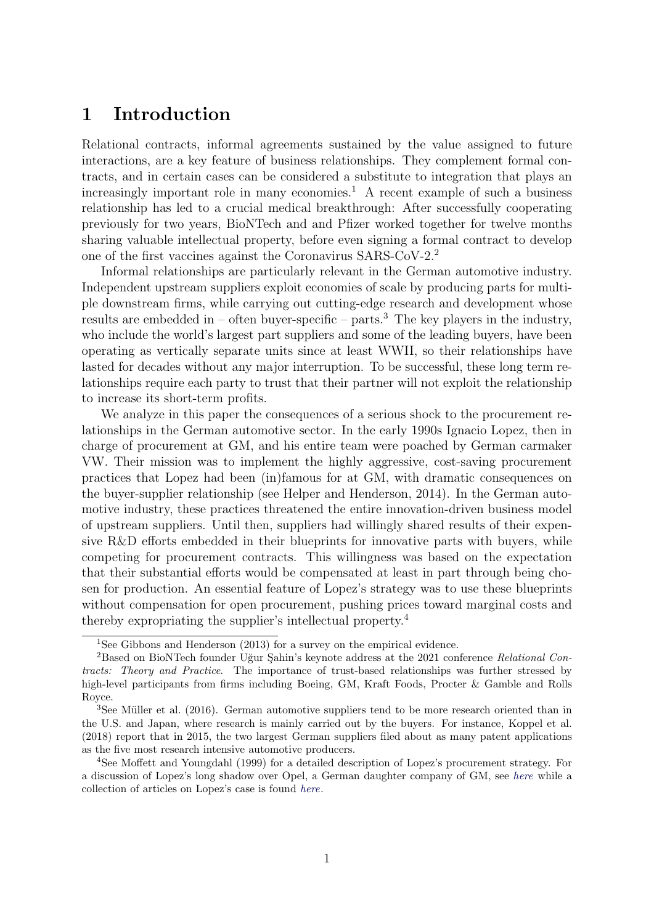## 1 Introduction

Relational contracts, informal agreements sustained by the value assigned to future interactions, are a key feature of business relationships. They complement formal contracts, and in certain cases can be considered a substitute to integration that plays an increasingly important role in many economies.<sup>1</sup> A recent example of such a business relationship has led to a crucial medical breakthrough: After successfully cooperating previously for two years, BioNTech and and Pfizer worked together for twelve months sharing valuable intellectual property, before even signing a formal contract to develop one of the first vaccines against the Coronavirus SARS-CoV-2.<sup>2</sup>

Informal relationships are particularly relevant in the German automotive industry. Independent upstream suppliers exploit economies of scale by producing parts for multiple downstream firms, while carrying out cutting-edge research and development whose results are embedded in – often buyer-specific – parts.<sup>3</sup> The key players in the industry, who include the world's largest part suppliers and some of the leading buyers, have been operating as vertically separate units since at least WWII, so their relationships have lasted for decades without any major interruption. To be successful, these long term relationships require each party to trust that their partner will not exploit the relationship to increase its short-term profits.

We analyze in this paper the consequences of a serious shock to the procurement relationships in the German automotive sector. In the early 1990s Ignacio Lopez, then in charge of procurement at GM, and his entire team were poached by German carmaker VW. Their mission was to implement the highly aggressive, cost-saving procurement practices that Lopez had been (in)famous for at GM, with dramatic consequences on the buyer-supplier relationship (see Helper and Henderson, 2014). In the German automotive industry, these practices threatened the entire innovation-driven business model of upstream suppliers. Until then, suppliers had willingly shared results of their expensive R&D efforts embedded in their blueprints for innovative parts with buyers, while competing for procurement contracts. This willingness was based on the expectation that their substantial efforts would be compensated at least in part through being chosen for production. An essential feature of Lopez's strategy was to use these blueprints without compensation for open procurement, pushing prices toward marginal costs and thereby expropriating the supplier's intellectual property.<sup>4</sup>

<sup>&</sup>lt;sup>1</sup>See Gibbons and Henderson  $(2013)$  for a survey on the empirical evidence.

 $2B$ ased on BioNTech founder Uğur Şahin's keynote address at the 2021 conference Relational Contracts: Theory and Practice. The importance of trust-based relationships was further stressed by high-level participants from firms including Boeing, GM, Kraft Foods, Procter & Gamble and Rolls Royce.

 $3$ See Müller et al. (2016). German automotive suppliers tend to be more research oriented than in the U.S. and Japan, where research is mainly carried out by the buyers. For instance, Koppel et al. (2018) report that in 2015, the two largest German suppliers filed about as many patent applications as the five most research intensive automotive producers.

<sup>4</sup>See Moffett and Youngdahl (1999) for a detailed description of Lopez's procurement strategy. For a discussion of Lopez's long shadow over Opel, a German daughter company of GM, see [here](https://www.freitag.de/autoren/malte-d./lopez-toedliches-erbe) while a collection of articles on Lopez's case is found [here](http://topics.nytimes.com/top/reference/timestopics/people/l/jose_ignacio_lopez_de_arriortua/index.html).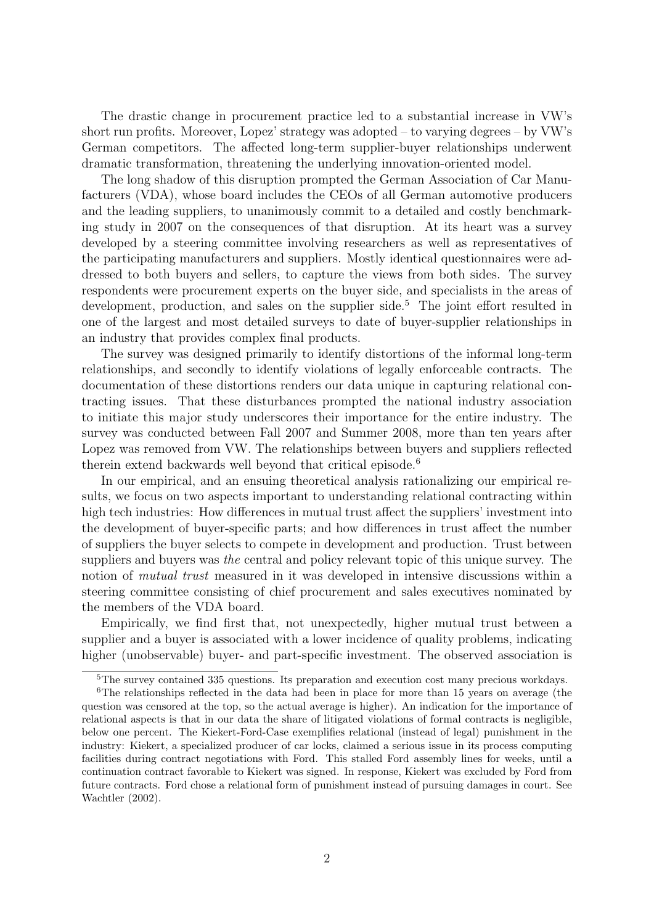The drastic change in procurement practice led to a substantial increase in VW's short run profits. Moreover, Lopez' strategy was adopted – to varying degrees – by VW's German competitors. The affected long-term supplier-buyer relationships underwent dramatic transformation, threatening the underlying innovation-oriented model.

The long shadow of this disruption prompted the German Association of Car Manufacturers (VDA), whose board includes the CEOs of all German automotive producers and the leading suppliers, to unanimously commit to a detailed and costly benchmarking study in 2007 on the consequences of that disruption. At its heart was a survey developed by a steering committee involving researchers as well as representatives of the participating manufacturers and suppliers. Mostly identical questionnaires were addressed to both buyers and sellers, to capture the views from both sides. The survey respondents were procurement experts on the buyer side, and specialists in the areas of development, production, and sales on the supplier side.<sup>5</sup> The joint effort resulted in one of the largest and most detailed surveys to date of buyer-supplier relationships in an industry that provides complex final products.

The survey was designed primarily to identify distortions of the informal long-term relationships, and secondly to identify violations of legally enforceable contracts. The documentation of these distortions renders our data unique in capturing relational contracting issues. That these disturbances prompted the national industry association to initiate this major study underscores their importance for the entire industry. The survey was conducted between Fall 2007 and Summer 2008, more than ten years after Lopez was removed from VW. The relationships between buyers and suppliers reflected therein extend backwards well beyond that critical episode.<sup>6</sup>

In our empirical, and an ensuing theoretical analysis rationalizing our empirical results, we focus on two aspects important to understanding relational contracting within high tech industries: How differences in mutual trust affect the suppliers' investment into the development of buyer-specific parts; and how differences in trust affect the number of suppliers the buyer selects to compete in development and production. Trust between suppliers and buyers was the central and policy relevant topic of this unique survey. The notion of *mutual trust* measured in it was developed in intensive discussions within a steering committee consisting of chief procurement and sales executives nominated by the members of the VDA board.

Empirically, we find first that, not unexpectedly, higher mutual trust between a supplier and a buyer is associated with a lower incidence of quality problems, indicating higher (unobservable) buyer- and part-specific investment. The observed association is

<sup>&</sup>lt;sup>5</sup>The survey contained 335 questions. Its preparation and execution cost many precious workdays.

<sup>6</sup>The relationships reflected in the data had been in place for more than 15 years on average (the question was censored at the top, so the actual average is higher). An indication for the importance of relational aspects is that in our data the share of litigated violations of formal contracts is negligible, below one percent. The Kiekert-Ford-Case exemplifies relational (instead of legal) punishment in the industry: Kiekert, a specialized producer of car locks, claimed a serious issue in its process computing facilities during contract negotiations with Ford. This stalled Ford assembly lines for weeks, until a continuation contract favorable to Kiekert was signed. In response, Kiekert was excluded by Ford from future contracts. Ford chose a relational form of punishment instead of pursuing damages in court. See Wachtler (2002).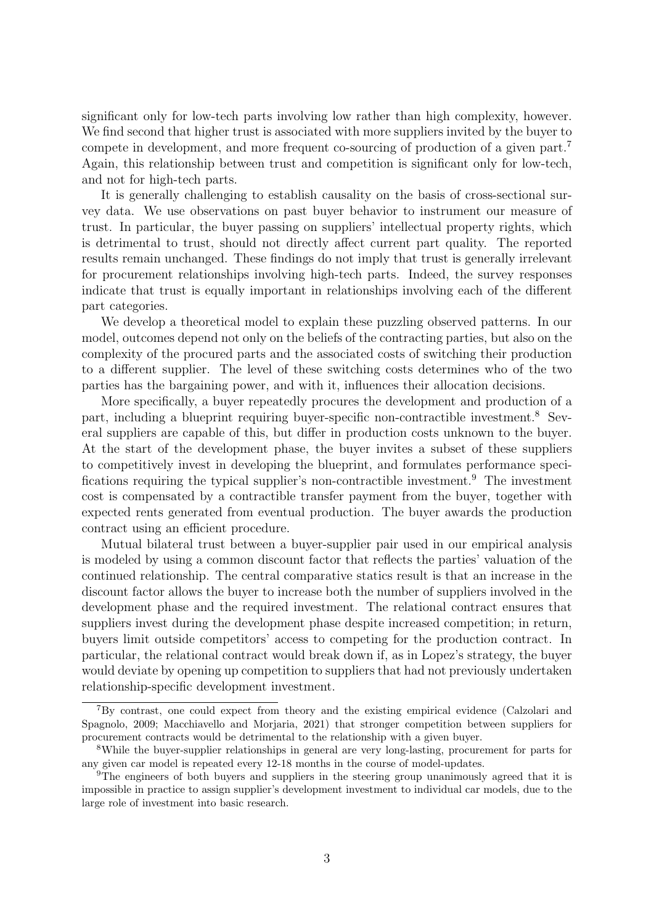significant only for low-tech parts involving low rather than high complexity, however. We find second that higher trust is associated with more suppliers invited by the buyer to compete in development, and more frequent co-sourcing of production of a given part.<sup>7</sup> Again, this relationship between trust and competition is significant only for low-tech, and not for high-tech parts.

It is generally challenging to establish causality on the basis of cross-sectional survey data. We use observations on past buyer behavior to instrument our measure of trust. In particular, the buyer passing on suppliers' intellectual property rights, which is detrimental to trust, should not directly affect current part quality. The reported results remain unchanged. These findings do not imply that trust is generally irrelevant for procurement relationships involving high-tech parts. Indeed, the survey responses indicate that trust is equally important in relationships involving each of the different part categories.

We develop a theoretical model to explain these puzzling observed patterns. In our model, outcomes depend not only on the beliefs of the contracting parties, but also on the complexity of the procured parts and the associated costs of switching their production to a different supplier. The level of these switching costs determines who of the two parties has the bargaining power, and with it, influences their allocation decisions.

More specifically, a buyer repeatedly procures the development and production of a part, including a blueprint requiring buyer-specific non-contractible investment.<sup>8</sup> Several suppliers are capable of this, but differ in production costs unknown to the buyer. At the start of the development phase, the buyer invites a subset of these suppliers to competitively invest in developing the blueprint, and formulates performance specifications requiring the typical supplier's non-contractible investment.<sup>9</sup> The investment cost is compensated by a contractible transfer payment from the buyer, together with expected rents generated from eventual production. The buyer awards the production contract using an efficient procedure.

Mutual bilateral trust between a buyer-supplier pair used in our empirical analysis is modeled by using a common discount factor that reflects the parties' valuation of the continued relationship. The central comparative statics result is that an increase in the discount factor allows the buyer to increase both the number of suppliers involved in the development phase and the required investment. The relational contract ensures that suppliers invest during the development phase despite increased competition; in return, buyers limit outside competitors' access to competing for the production contract. In particular, the relational contract would break down if, as in Lopez's strategy, the buyer would deviate by opening up competition to suppliers that had not previously undertaken relationship-specific development investment.

<sup>7</sup>By contrast, one could expect from theory and the existing empirical evidence (Calzolari and Spagnolo, 2009; Macchiavello and Morjaria, 2021) that stronger competition between suppliers for procurement contracts would be detrimental to the relationship with a given buyer.

<sup>8</sup>While the buyer-supplier relationships in general are very long-lasting, procurement for parts for any given car model is repeated every 12-18 months in the course of model-updates.

<sup>&</sup>lt;sup>9</sup>The engineers of both buyers and suppliers in the steering group unanimously agreed that it is impossible in practice to assign supplier's development investment to individual car models, due to the large role of investment into basic research.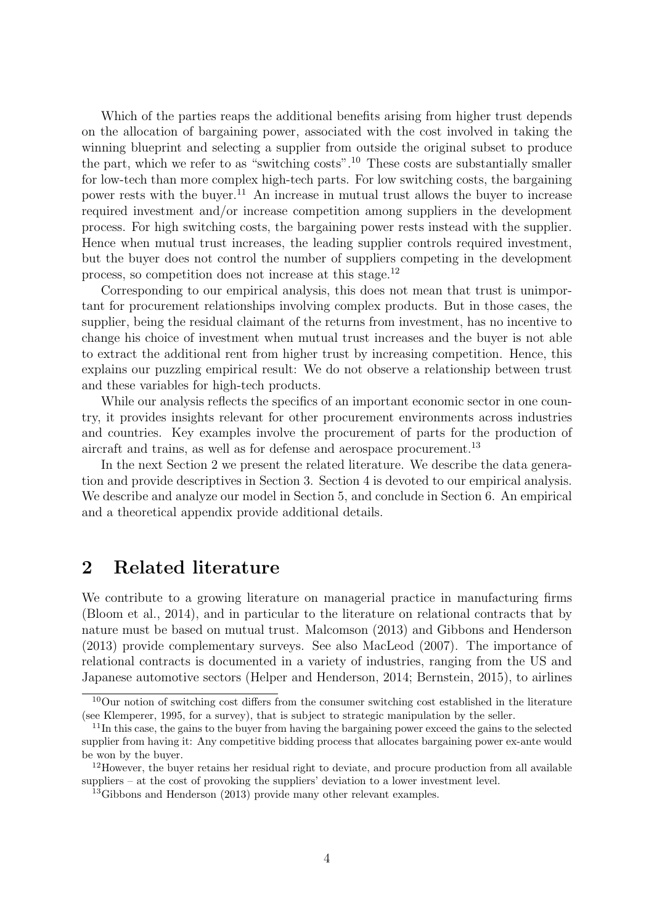Which of the parties reaps the additional benefits arising from higher trust depends on the allocation of bargaining power, associated with the cost involved in taking the winning blueprint and selecting a supplier from outside the original subset to produce the part, which we refer to as "switching costs".<sup>10</sup> These costs are substantially smaller for low-tech than more complex high-tech parts. For low switching costs, the bargaining power rests with the buyer.<sup>11</sup> An increase in mutual trust allows the buyer to increase required investment and/or increase competition among suppliers in the development process. For high switching costs, the bargaining power rests instead with the supplier. Hence when mutual trust increases, the leading supplier controls required investment, but the buyer does not control the number of suppliers competing in the development process, so competition does not increase at this stage.<sup>12</sup>

Corresponding to our empirical analysis, this does not mean that trust is unimportant for procurement relationships involving complex products. But in those cases, the supplier, being the residual claimant of the returns from investment, has no incentive to change his choice of investment when mutual trust increases and the buyer is not able to extract the additional rent from higher trust by increasing competition. Hence, this explains our puzzling empirical result: We do not observe a relationship between trust and these variables for high-tech products.

While our analysis reflects the specifics of an important economic sector in one country, it provides insights relevant for other procurement environments across industries and countries. Key examples involve the procurement of parts for the production of aircraft and trains, as well as for defense and aerospace procurement.<sup>13</sup>

In the next Section 2 we present the related literature. We describe the data generation and provide descriptives in Section 3. Section 4 is devoted to our empirical analysis. We describe and analyze our model in Section 5, and conclude in Section 6. An empirical and a theoretical appendix provide additional details.

### 2 Related literature

We contribute to a growing literature on managerial practice in manufacturing firms (Bloom et al., 2014), and in particular to the literature on relational contracts that by nature must be based on mutual trust. Malcomson (2013) and Gibbons and Henderson (2013) provide complementary surveys. See also MacLeod (2007). The importance of relational contracts is documented in a variety of industries, ranging from the US and Japanese automotive sectors (Helper and Henderson, 2014; Bernstein, 2015), to airlines

 $10$ Our notion of switching cost differs from the consumer switching cost established in the literature (see Klemperer, 1995, for a survey), that is subject to strategic manipulation by the seller.

 $11$ In this case, the gains to the buyer from having the bargaining power exceed the gains to the selected supplier from having it: Any competitive bidding process that allocates bargaining power ex-ante would be won by the buyer.

<sup>&</sup>lt;sup>12</sup>However, the buyer retains her residual right to deviate, and procure production from all available suppliers – at the cost of provoking the suppliers' deviation to a lower investment level.

<sup>&</sup>lt;sup>13</sup>Gibbons and Henderson (2013) provide many other relevant examples.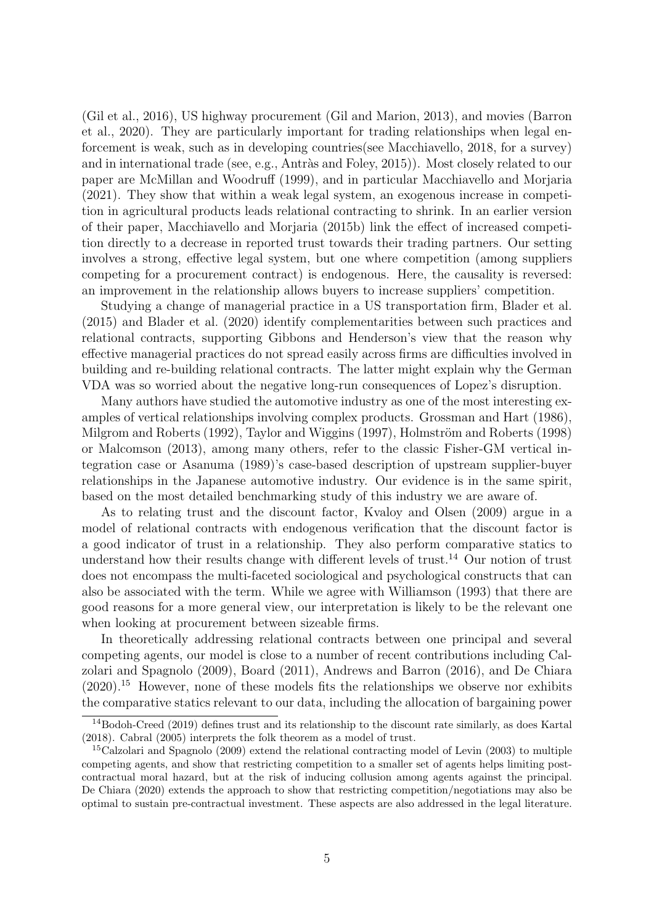(Gil et al., 2016), US highway procurement (Gil and Marion, 2013), and movies (Barron et al., 2020). They are particularly important for trading relationships when legal enforcement is weak, such as in developing countries(see Macchiavello, 2018, for a survey) and in international trade (see, e.g., Antràs and Foley, 2015)). Most closely related to our paper are McMillan and Woodruff (1999), and in particular Macchiavello and Morjaria (2021). They show that within a weak legal system, an exogenous increase in competition in agricultural products leads relational contracting to shrink. In an earlier version of their paper, Macchiavello and Morjaria (2015b) link the effect of increased competition directly to a decrease in reported trust towards their trading partners. Our setting involves a strong, effective legal system, but one where competition (among suppliers competing for a procurement contract) is endogenous. Here, the causality is reversed: an improvement in the relationship allows buyers to increase suppliers' competition.

Studying a change of managerial practice in a US transportation firm, Blader et al. (2015) and Blader et al. (2020) identify complementarities between such practices and relational contracts, supporting Gibbons and Henderson's view that the reason why effective managerial practices do not spread easily across firms are difficulties involved in building and re-building relational contracts. The latter might explain why the German VDA was so worried about the negative long-run consequences of Lopez's disruption.

Many authors have studied the automotive industry as one of the most interesting examples of vertical relationships involving complex products. Grossman and Hart (1986), Milgrom and Roberts (1992), Taylor and Wiggins (1997), Holmström and Roberts (1998) or Malcomson (2013), among many others, refer to the classic Fisher-GM vertical integration case or Asanuma (1989)'s case-based description of upstream supplier-buyer relationships in the Japanese automotive industry. Our evidence is in the same spirit, based on the most detailed benchmarking study of this industry we are aware of.

As to relating trust and the discount factor, Kvaloy and Olsen (2009) argue in a model of relational contracts with endogenous verification that the discount factor is a good indicator of trust in a relationship. They also perform comparative statics to understand how their results change with different levels of trust.<sup>14</sup> Our notion of trust does not encompass the multi-faceted sociological and psychological constructs that can also be associated with the term. While we agree with Williamson (1993) that there are good reasons for a more general view, our interpretation is likely to be the relevant one when looking at procurement between sizeable firms.

In theoretically addressing relational contracts between one principal and several competing agents, our model is close to a number of recent contributions including Calzolari and Spagnolo (2009), Board (2011), Andrews and Barron (2016), and De Chiara  $(2020).$ <sup>15</sup> However, none of these models fits the relationships we observe nor exhibits the comparative statics relevant to our data, including the allocation of bargaining power

 $14$ Bodoh-Creed (2019) defines trust and its relationship to the discount rate similarly, as does Kartal (2018). Cabral (2005) interprets the folk theorem as a model of trust.

<sup>15</sup>Calzolari and Spagnolo (2009) extend the relational contracting model of Levin (2003) to multiple competing agents, and show that restricting competition to a smaller set of agents helps limiting postcontractual moral hazard, but at the risk of inducing collusion among agents against the principal. De Chiara (2020) extends the approach to show that restricting competition/negotiations may also be optimal to sustain pre-contractual investment. These aspects are also addressed in the legal literature.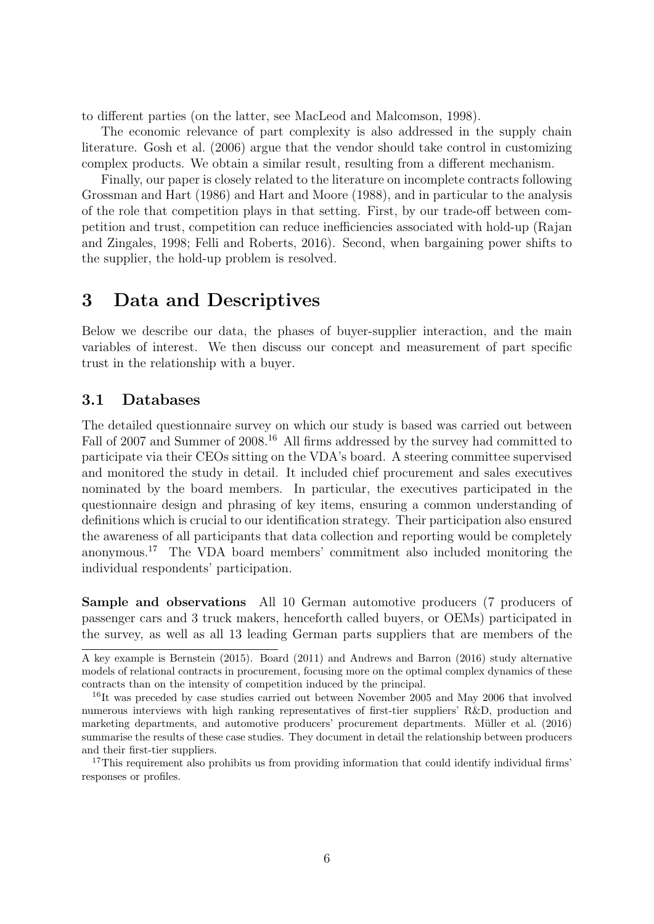to different parties (on the latter, see MacLeod and Malcomson, 1998).

The economic relevance of part complexity is also addressed in the supply chain literature. Gosh et al. (2006) argue that the vendor should take control in customizing complex products. We obtain a similar result, resulting from a different mechanism.

Finally, our paper is closely related to the literature on incomplete contracts following Grossman and Hart (1986) and Hart and Moore (1988), and in particular to the analysis of the role that competition plays in that setting. First, by our trade-off between competition and trust, competition can reduce inefficiencies associated with hold-up (Rajan and Zingales, 1998; Felli and Roberts, 2016). Second, when bargaining power shifts to the supplier, the hold-up problem is resolved.

## 3 Data and Descriptives

Below we describe our data, the phases of buyer-supplier interaction, and the main variables of interest. We then discuss our concept and measurement of part specific trust in the relationship with a buyer.

#### 3.1 Databases

The detailed questionnaire survey on which our study is based was carried out between Fall of 2007 and Summer of 2008.<sup>16</sup> All firms addressed by the survey had committed to participate via their CEOs sitting on the VDA's board. A steering committee supervised and monitored the study in detail. It included chief procurement and sales executives nominated by the board members. In particular, the executives participated in the questionnaire design and phrasing of key items, ensuring a common understanding of definitions which is crucial to our identification strategy. Their participation also ensured the awareness of all participants that data collection and reporting would be completely anonymous.<sup>17</sup> The VDA board members' commitment also included monitoring the individual respondents' participation.

Sample and observations All 10 German automotive producers (7 producers of passenger cars and 3 truck makers, henceforth called buyers, or OEMs) participated in the survey, as well as all 13 leading German parts suppliers that are members of the

A key example is Bernstein (2015). Board (2011) and Andrews and Barron (2016) study alternative models of relational contracts in procurement, focusing more on the optimal complex dynamics of these contracts than on the intensity of competition induced by the principal.

<sup>&</sup>lt;sup>16</sup>It was preceded by case studies carried out between November 2005 and May 2006 that involved numerous interviews with high ranking representatives of first-tier suppliers' R&D, production and marketing departments, and automotive producers' procurement departments. Müller et al. (2016) summarise the results of these case studies. They document in detail the relationship between producers and their first-tier suppliers.

<sup>&</sup>lt;sup>17</sup>This requirement also prohibits us from providing information that could identify individual firms' responses or profiles.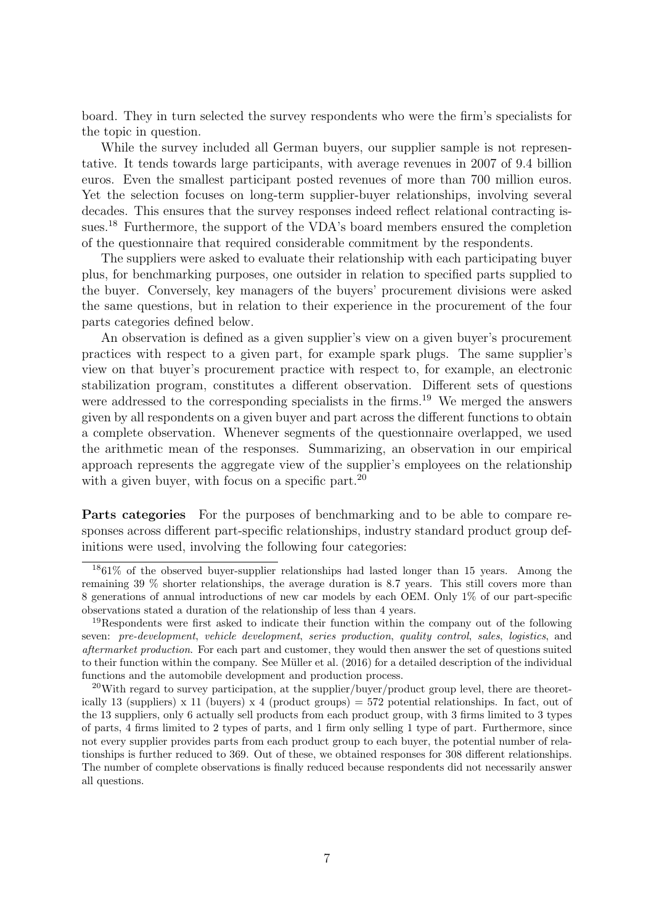board. They in turn selected the survey respondents who were the firm's specialists for the topic in question.

While the survey included all German buyers, our supplier sample is not representative. It tends towards large participants, with average revenues in 2007 of 9.4 billion euros. Even the smallest participant posted revenues of more than 700 million euros. Yet the selection focuses on long-term supplier-buyer relationships, involving several decades. This ensures that the survey responses indeed reflect relational contracting issues.<sup>18</sup> Furthermore, the support of the VDA's board members ensured the completion of the questionnaire that required considerable commitment by the respondents.

The suppliers were asked to evaluate their relationship with each participating buyer plus, for benchmarking purposes, one outsider in relation to specified parts supplied to the buyer. Conversely, key managers of the buyers' procurement divisions were asked the same questions, but in relation to their experience in the procurement of the four parts categories defined below.

An observation is defined as a given supplier's view on a given buyer's procurement practices with respect to a given part, for example spark plugs. The same supplier's view on that buyer's procurement practice with respect to, for example, an electronic stabilization program, constitutes a different observation. Different sets of questions were addressed to the corresponding specialists in the firms.<sup>19</sup> We merged the answers given by all respondents on a given buyer and part across the different functions to obtain a complete observation. Whenever segments of the questionnaire overlapped, we used the arithmetic mean of the responses. Summarizing, an observation in our empirical approach represents the aggregate view of the supplier's employees on the relationship with a given buyer, with focus on a specific part.<sup>20</sup>

Parts categories For the purposes of benchmarking and to be able to compare responses across different part-specific relationships, industry standard product group definitions were used, involving the following four categories:

<sup>18</sup>61% of the observed buyer-supplier relationships had lasted longer than 15 years. Among the remaining 39 % shorter relationships, the average duration is 8.7 years. This still covers more than 8 generations of annual introductions of new car models by each OEM. Only 1% of our part-specific observations stated a duration of the relationship of less than 4 years.

<sup>&</sup>lt;sup>19</sup>Respondents were first asked to indicate their function within the company out of the following seven: pre-development, vehicle development, series production, quality control, sales, logistics, and aftermarket production. For each part and customer, they would then answer the set of questions suited to their function within the company. See Müller et al. (2016) for a detailed description of the individual functions and the automobile development and production process.

 $^{20}$ With regard to survey participation, at the supplier/buyer/product group level, there are theoretically 13 (suppliers) x 11 (buyers) x 4 (product groups) = 572 potential relationships. In fact, out of the 13 suppliers, only 6 actually sell products from each product group, with 3 firms limited to 3 types of parts, 4 firms limited to 2 types of parts, and 1 firm only selling 1 type of part. Furthermore, since not every supplier provides parts from each product group to each buyer, the potential number of relationships is further reduced to 369. Out of these, we obtained responses for 308 different relationships. The number of complete observations is finally reduced because respondents did not necessarily answer all questions.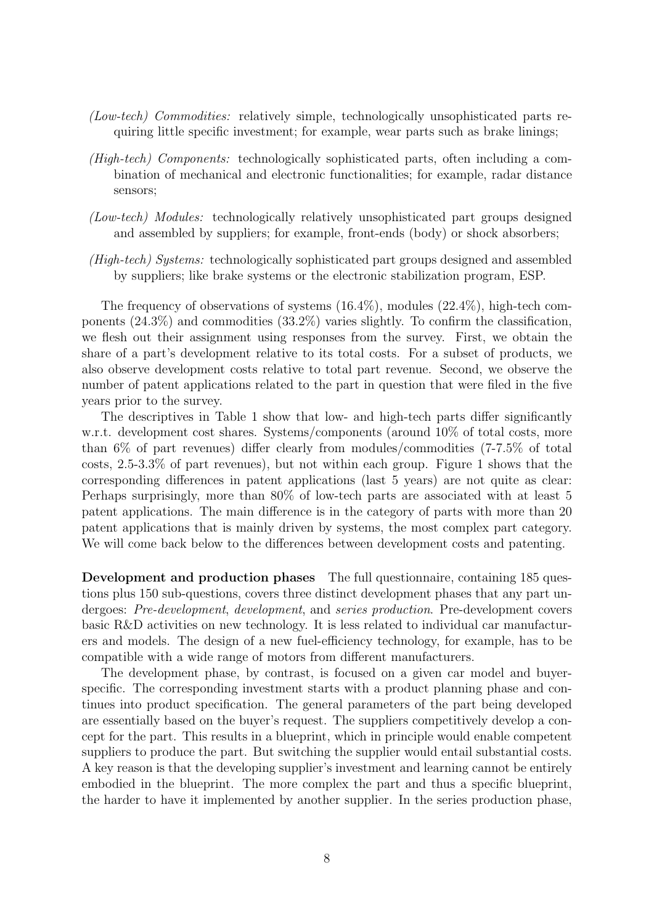- (Low-tech) Commodities: relatively simple, technologically unsophisticated parts requiring little specific investment; for example, wear parts such as brake linings;
- (High-tech) Components: technologically sophisticated parts, often including a combination of mechanical and electronic functionalities; for example, radar distance sensors;
- (Low-tech) Modules: technologically relatively unsophisticated part groups designed and assembled by suppliers; for example, front-ends (body) or shock absorbers;
- (High-tech) Systems: technologically sophisticated part groups designed and assembled by suppliers; like brake systems or the electronic stabilization program, ESP.

The frequency of observations of systems (16.4%), modules (22.4%), high-tech components (24.3%) and commodities (33.2%) varies slightly. To confirm the classification, we flesh out their assignment using responses from the survey. First, we obtain the share of a part's development relative to its total costs. For a subset of products, we also observe development costs relative to total part revenue. Second, we observe the number of patent applications related to the part in question that were filed in the five years prior to the survey.

The descriptives in Table 1 show that low- and high-tech parts differ significantly w.r.t. development cost shares. Systems/components (around 10% of total costs, more than 6% of part revenues) differ clearly from modules/commodities (7-7.5% of total costs, 2.5-3.3% of part revenues), but not within each group. Figure 1 shows that the corresponding differences in patent applications (last 5 years) are not quite as clear: Perhaps surprisingly, more than 80% of low-tech parts are associated with at least 5 patent applications. The main difference is in the category of parts with more than 20 patent applications that is mainly driven by systems, the most complex part category. We will come back below to the differences between development costs and patenting.

Development and production phases The full questionnaire, containing 185 questions plus 150 sub-questions, covers three distinct development phases that any part undergoes: Pre-development, development, and series production. Pre-development covers basic R&D activities on new technology. It is less related to individual car manufacturers and models. The design of a new fuel-efficiency technology, for example, has to be compatible with a wide range of motors from different manufacturers.

The development phase, by contrast, is focused on a given car model and buyerspecific. The corresponding investment starts with a product planning phase and continues into product specification. The general parameters of the part being developed are essentially based on the buyer's request. The suppliers competitively develop a concept for the part. This results in a blueprint, which in principle would enable competent suppliers to produce the part. But switching the supplier would entail substantial costs. A key reason is that the developing supplier's investment and learning cannot be entirely embodied in the blueprint. The more complex the part and thus a specific blueprint, the harder to have it implemented by another supplier. In the series production phase,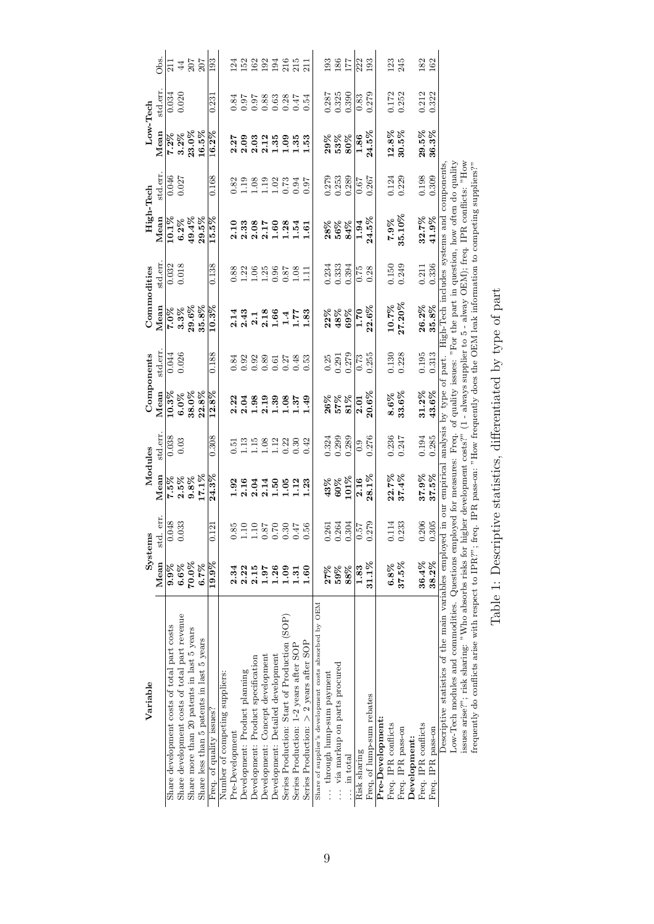| Variable                                                                                                                                       |                | Systems                                                         | Modules         |          |            | Components                                          |                    | Commodities                                            | High-Tech                                                                                                                      |         |                         | Low-Tech           |            |
|------------------------------------------------------------------------------------------------------------------------------------------------|----------------|-----------------------------------------------------------------|-----------------|----------|------------|-----------------------------------------------------|--------------------|--------------------------------------------------------|--------------------------------------------------------------------------------------------------------------------------------|---------|-------------------------|--------------------|------------|
|                                                                                                                                                | Mean           | std. err.                                                       | Mean            | std.err. | Mean       | std.err                                             | Mean               | std.err                                                | Mean                                                                                                                           | std.err | Mean                    | std.err.           | Öbs.       |
| Share development costs of total part costs                                                                                                    | $9.9\%$        | 0.048                                                           | 7.5%            | 0.038    | $10.3\%$   | 0.044                                               | $7.0\%$            | 0.032                                                  | 10.1%                                                                                                                          | 0.046   | $7.2\%$                 | $0.034$<br>$0.020$ | $\Xi$      |
| Share development costs of total part revenue                                                                                                  | 6.6%           | 0.033                                                           | $2.5\%$<br>9.8% | 0.03     | 6.0%       | 0.026                                               | 3.3%               | 0.018                                                  | $6.2\%$                                                                                                                        | 0.027   | $3.2\%$                 |                    | $44$       |
| Share more than 20 patents in last 5 years                                                                                                     | 70.0%          |                                                                 |                 |          | 38.0%      |                                                     | $29.6\%$           |                                                        | 49.4%                                                                                                                          |         | $23.0\%$                |                    | 207        |
| Share less than 5 patents in last 5 years                                                                                                      | 6.7%           |                                                                 | 17.1%           |          | 22.8%      |                                                     | 35.8%              |                                                        | 29.5%                                                                                                                          |         | 16.5%                   |                    | 207        |
| Freq. of quality issues?                                                                                                                       | $19.9\%$       | 0.121                                                           | $24.3\%$        | 0.308    | 12.8%      | 0.188                                               | $10.3\%$           | 0.138                                                  | 15.5%                                                                                                                          | 0.168   | 16.2%                   | 0.231              | 193        |
| Number of competing suppliers:                                                                                                                 |                |                                                                 |                 |          |            |                                                     |                    |                                                        |                                                                                                                                |         |                         |                    |            |
| Pre-Development                                                                                                                                | 2.34           | 0.85                                                            | 1.92            | 0.51     | 2.22       | 0.84                                                | 2.14               | 0.88                                                   | 2.10                                                                                                                           | 0.82    | 2.27                    | 0.84               | $^{124}$   |
| Development: Product planning                                                                                                                  | 2.22           | $1.10\,$                                                        | 2.16            | 1.13     | 2.04       |                                                     | 2.43               | 1.22                                                   |                                                                                                                                | 1.19    | 2.09                    | 0.97               |            |
| Development: Product specification                                                                                                             | 2.15           | $1.10\,$                                                        | 2.04            | 1.15     | 1.98       |                                                     |                    |                                                        | $2.33$<br>$2.08$                                                                                                               | 1.08    | 2.03                    |                    |            |
| Development: Concept development                                                                                                               | 1.97           | $0.87\,$                                                        | 2.14            | 1.08     | 2.19       | $\begin{array}{c} 0.32 \\ 0.30 \\ 0.30 \end{array}$ | $\frac{2.1}{2.18}$ | $1.06$<br>$1.25$                                       | 2.17                                                                                                                           | 1.19    | 2.12                    | 58<br>0.88<br>0.0  | 522355     |
| Development: Detailed development                                                                                                              | 1.26           | $0.70\,$                                                        | 1.50            | 1.12     | 1.39       | 0.61                                                | $1.66\,$           | 0.96                                                   | 1.60                                                                                                                           | 1.02    | $1.35\,$                |                    |            |
| Series Production: Start of Production (SOP)                                                                                                   | 1.09           | 0.30                                                            | 1.05            | 0.22     | 1.08       | 0.27                                                |                    | 0.87                                                   | 1.28                                                                                                                           | 0.73    | 1.09                    | 0.28               |            |
| Series Production: 1-2 years after SOP                                                                                                         | $\frac{51}{2}$ | 0.47                                                            | 1.12            | 0.30     | 1.37       | 0.48                                                | 1.77               | 1.08                                                   | 1.54                                                                                                                           | 0.94    | 1.35                    | 0.47               | 215        |
| Series Production: $>$ 2 years after SOP                                                                                                       | 1.60           | 0.56                                                            | 1.23            | 0.42     | 1.49       | 0.53                                                | 1.83               | $\Xi$                                                  | 1.61                                                                                                                           | 0.97    | 1.53                    | 0.54               | 211        |
| Share of supplier's development costs absorbed by OEM                                                                                          |                |                                                                 |                 |          |            |                                                     |                    |                                                        |                                                                                                                                |         |                         |                    |            |
| through lump-sum payment                                                                                                                       | 27%            | 0.261                                                           | 43%             | 0.324    | $26\%$     | 0.25                                                | $22%$<br>$48%$     |                                                        | $28\%$                                                                                                                         | 0.279   |                         | 0.287              | 193        |
| via markup on parts procured                                                                                                                   | 59%            | 0.264                                                           | $60\%$          | 0.299    | 57%<br>81% | 0.291                                               |                    | $\begin{array}{c} 0.234 \\ 0.333 \\ 0.394 \end{array}$ | $56\%$                                                                                                                         | 0.253   | $29%$<br>$53%$<br>$80%$ | 0.325              | 186        |
| in total                                                                                                                                       | 88%            | 0.304                                                           | 101%            | 0.289    |            | 0.279                                               | 69%                |                                                        | 84%                                                                                                                            | 0.289   |                         |                    | 177        |
| Risk sharing                                                                                                                                   | 1.83           | 0.57                                                            | 2.16            | 0.9      | 2.01       | 0.73                                                | $\frac{1.70}{ }$   | 0.75                                                   | 1.94                                                                                                                           | 0.67    | 1.86                    | 0.83               | 222        |
| Freq, of lump-sum rebates                                                                                                                      | $31.1\%$       | 0.279                                                           | $28.1\%$        | 0.276    | 20.6%      | 0.255                                               | $22.6\%$           | 0.28                                                   | 24.5%                                                                                                                          | 0.267   | 24.5%                   | 0.279              | 193        |
| Pre-Development:                                                                                                                               |                |                                                                 |                 |          |            |                                                     |                    |                                                        |                                                                                                                                |         |                         |                    |            |
| Freq. IPR conflicts                                                                                                                            | 6.8%           | 0.114                                                           | 22.7%           | 0.236    | 8.6%       | 0.130                                               | 10.7%              | 0.150                                                  | $7.9\%$                                                                                                                        | 0.124   | 12.8%                   | 0.172              | 123        |
| Freq. IPR pass-on                                                                                                                              | $37.5\%$       | 0.233                                                           | 37.4%           | 0.247    | 33.6%      | 0.228                                               | $27.20\%$          | 0.249                                                  | 35.10%                                                                                                                         | 0.229   | 30.5%                   | 0.252              | 245        |
| Development:                                                                                                                                   |                |                                                                 |                 |          |            |                                                     |                    |                                                        |                                                                                                                                |         |                         |                    |            |
| Freq. IPR conflicts                                                                                                                            | 36.4%          | 0.206                                                           | 37.9%           | 0.194    | $31.2\%$   | 0.195                                               | 26.2%              | 0.211                                                  | 32.7%                                                                                                                          | 0.198   | $29.5\%$                | 0.212              | 182<br>162 |
| Freq. IPR pass-on                                                                                                                              | 38.2%          | 0.305                                                           | 37.5%           | 0.285    | 43.6%      | 0.313                                               | 35.8%              | 0.336                                                  | $41.9\%$                                                                                                                       | 0.309   | 36.3%                   | 0.322              |            |
| Descriptive statistics of the main variables employed in our empirical analysis by type of part. High-Tech includes systems and components     |                |                                                                 |                 |          |            |                                                     |                    |                                                        |                                                                                                                                |         |                         |                    |            |
|                                                                                                                                                |                |                                                                 |                 |          |            |                                                     |                    |                                                        |                                                                                                                                |         |                         |                    |            |
| Low-Tech modules and commodities. Questions employed for measures: Freq. of quality issues: "For the part in question, how often do quality    |                |                                                                 |                 |          |            |                                                     |                    |                                                        |                                                                                                                                |         |                         |                    |            |
| issues arise?"; risk sharing: "Who absorbs risks for I                                                                                         |                |                                                                 |                 |          |            |                                                     |                    |                                                        | higher development costs?" $(1 - \text{always}\text{ supplier to } 5 - \text{always } \text{OEM})$ ; freq. IPR conflicts: "How |         |                         |                    |            |
| frequently do conflicts arise with respect to IPR?"; freq. IPR pass-on: "How frequently does the OEM leak information to competing suppliers?" |                |                                                                 |                 |          |            |                                                     |                    |                                                        |                                                                                                                                |         |                         |                    |            |
|                                                                                                                                                |                | Table 1: Descriptive statistics, differentiated by type of part |                 |          |            |                                                     |                    |                                                        |                                                                                                                                |         |                         |                    |            |
|                                                                                                                                                |                |                                                                 |                 |          |            |                                                     |                    |                                                        |                                                                                                                                |         |                         |                    |            |
|                                                                                                                                                |                |                                                                 |                 |          |            |                                                     |                    |                                                        |                                                                                                                                |         |                         |                    |            |
|                                                                                                                                                |                |                                                                 |                 |          |            |                                                     |                    |                                                        |                                                                                                                                |         |                         |                    |            |

| ミクター<br>ŧ<br>$\overline{a}$            |
|----------------------------------------|
| I                                      |
| j<br>l<br>2                            |
|                                        |
| ļ<br>I<br>$\frac{1}{2}$<br>ı<br>ı<br>ı |
| ١<br>ı                                 |
|                                        |
|                                        |
| ĭ<br>$\frac{1}{2}$<br>ı<br>i<br>ו<br>ו |
|                                        |
| ĺ                                      |
|                                        |
| I                                      |
|                                        |
| l                                      |
|                                        |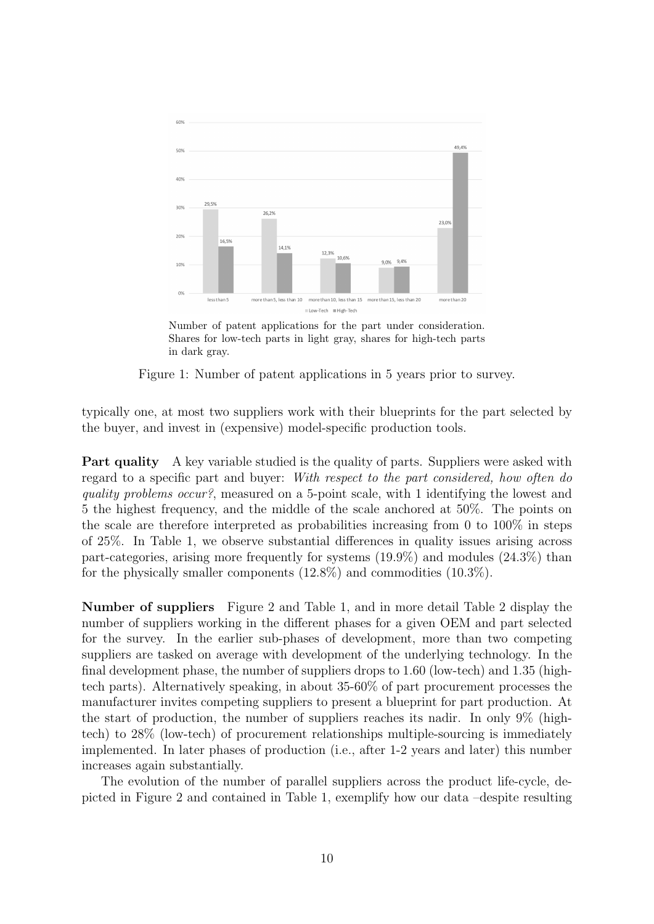

Number of patent applications for the part under consideration. Shares for low-tech parts in light gray, shares for high-tech parts in dark gray.

Figure 1: Number of patent applications in 5 years prior to survey.

typically one, at most two suppliers work with their blueprints for the part selected by the buyer, and invest in (expensive) model-specific production tools.

**Part quality** A key variable studied is the quality of parts. Suppliers were asked with regard to a specific part and buyer: With respect to the part considered, how often do quality problems occur?, measured on a 5-point scale, with 1 identifying the lowest and 5 the highest frequency, and the middle of the scale anchored at 50%. The points on the scale are therefore interpreted as probabilities increasing from 0 to 100% in steps of 25%. In Table 1, we observe substantial differences in quality issues arising across part-categories, arising more frequently for systems (19.9%) and modules (24.3%) than for the physically smaller components  $(12.8\%)$  and commodities  $(10.3\%)$ .

Number of suppliers Figure 2 and Table 1, and in more detail Table 2 display the number of suppliers working in the different phases for a given OEM and part selected for the survey. In the earlier sub-phases of development, more than two competing suppliers are tasked on average with development of the underlying technology. In the final development phase, the number of suppliers drops to 1.60 (low-tech) and 1.35 (hightech parts). Alternatively speaking, in about 35-60% of part procurement processes the manufacturer invites competing suppliers to present a blueprint for part production. At the start of production, the number of suppliers reaches its nadir. In only 9% (hightech) to 28% (low-tech) of procurement relationships multiple-sourcing is immediately implemented. In later phases of production (i.e., after 1-2 years and later) this number increases again substantially.

The evolution of the number of parallel suppliers across the product life-cycle, depicted in Figure 2 and contained in Table 1, exemplify how our data –despite resulting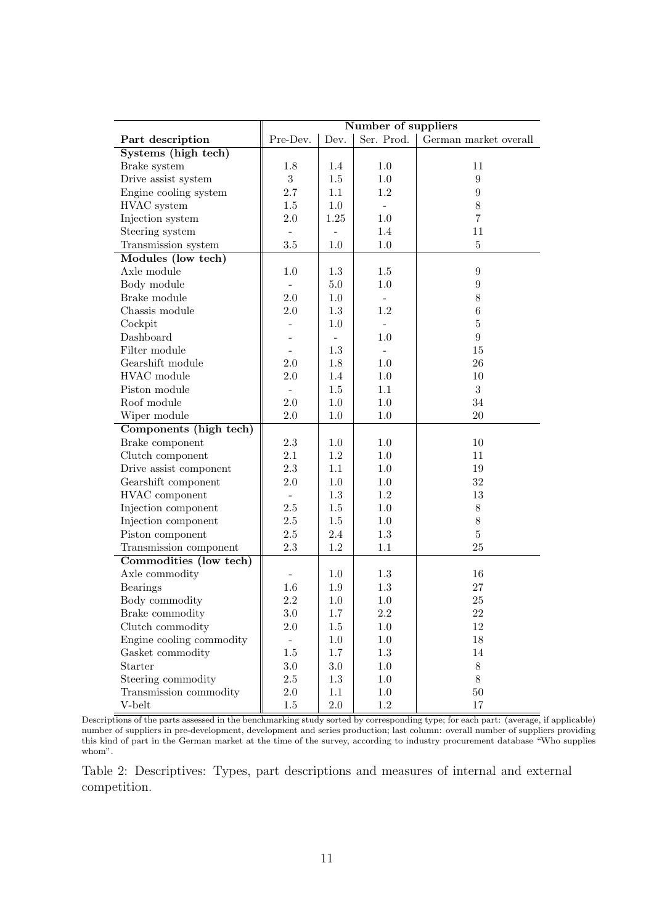|                          |                          |         | Number of suppliers      |                       |
|--------------------------|--------------------------|---------|--------------------------|-----------------------|
| Part description         | Pre-Dev.                 | Dev.    | Ser. Prod.               | German market overall |
| Systems (high tech)      |                          |         |                          |                       |
| Brake system             | 1.8                      | 1.4     | 1.0                      | 11                    |
| Drive assist system      | 3                        | $1.5\,$ | 1.0                      | 9                     |
| Engine cooling system    | 2.7                      | 1.1     | $1.2\,$                  | 9                     |
| HVAC system              | $1.5\,$                  | 1.0     | $\overline{\phantom{0}}$ | $8\,$                 |
| Injection system         | $2.0\,$                  | 1.25    | 1.0                      | 7                     |
| Steering system          | $\sim$                   |         | 1.4                      | 11                    |
| Transmission system      | $3.5\,$                  | 1.0     | $1.0\,$                  | $\bf 5$               |
| Modules (low tech)       |                          |         |                          |                       |
| Axle module              | 1.0                      | 1.3     | 1.5                      | 9                     |
| Body module              |                          | $5.0\,$ | 1.0                      | 9                     |
| Brake module             | $2.0\,$                  | 1.0     | $\overline{a}$           | $8\,$                 |
| Chassis module           | $2.0\,$                  | 1.3     | 1.2                      | $\,6$                 |
| Cockpit                  |                          | 1.0     |                          | $\overline{5}$        |
| Dashboard                |                          |         | 1.0                      | 9                     |
| Filter module            |                          | 1.3     |                          | $15\,$                |
| Gearshift module         | $2.0\,$                  | 1.8     | 1.0                      | 26                    |
| HVAC module              | $2.0\,$                  | 1.4     | 1.0                      | 10                    |
| Piston module            | $\sim$                   | $1.5\,$ | 1.1                      | 3                     |
| Roof module              | $2.0\,$                  | 1.0     | 1.0                      | 34                    |
| Wiper module             | 2.0                      | $1.0\,$ | $1.0\,$                  | $20\,$                |
| Components (high tech)   |                          |         |                          |                       |
| Brake component          | $2.3\,$                  | 1.0     | 1.0                      | 10                    |
| Clutch component         | 2.1                      | 1.2     | 1.0                      | 11                    |
| Drive assist component   | $2.3\,$                  | 1.1     | 1.0                      | 19                    |
| Gearshift component      | $2.0\,$                  | $1.0\,$ | 1.0                      | 32                    |
| HVAC component           |                          | 1.3     | $1.2\,$                  | 13                    |
| Injection component      | $2.5\,$                  | $1.5\,$ | 1.0                      | $8\,$                 |
| Injection component      | $2.5\,$                  | $1.5\,$ | 1.0                      | $8\,$                 |
| Piston component         | $2.5\,$                  | 2.4     | $1.3\,$                  | 5                     |
| Transmission component   | $2.3\,$                  | $1.2\,$ | 1.1                      | 25                    |
| Commodities (low tech)   |                          |         |                          |                       |
| Axle commodity           |                          | 1.0     | 1.3                      | 16                    |
| <b>Bearings</b>          | 1.6                      | 1.9     | $1.3\,$                  | $27\,$                |
| Body commodity           | $2.2\,$                  | 1.0     | 1.0                      | $25\,$                |
| Brake commodity          | 3.0                      | 1.7     | $2.2\,$                  | 22                    |
| Clutch commodity         | $2.0\,$                  | 1.5     | 1.0                      | $12\,$                |
| Engine cooling commodity | $\overline{\phantom{a}}$ | 1.0     | $1.0\,$                  | $18\,$                |
| Gasket commodity         | $1.5\,$                  | $1.7\,$ | $1.3\,$                  | $14\,$                |
| Starter                  | $3.0\,$                  | $3.0\,$ | $1.0\,$                  | $8\,$                 |
| Steering commodity       | $2.5\,$                  | 1.3     | $1.0\,$                  | $8\,$                 |
| Transmission commodity   | $2.0\,$                  | 1.1     | $1.0\,$                  | $50\,$                |
| V-belt                   | $1.5\,$                  | $2.0\,$ | $1.2\,$                  | $17\,$                |

Descriptions of the parts assessed in the benchmarking study sorted by corresponding type; for each part: (average, if applicable) number of suppliers in pre-development, development and series production; last column: overall number of suppliers providing this kind of part in the German market at the time of the survey, according to industry procurement database "Who supplies whom".

Table 2: Descriptives: Types, part descriptions and measures of internal and external competition.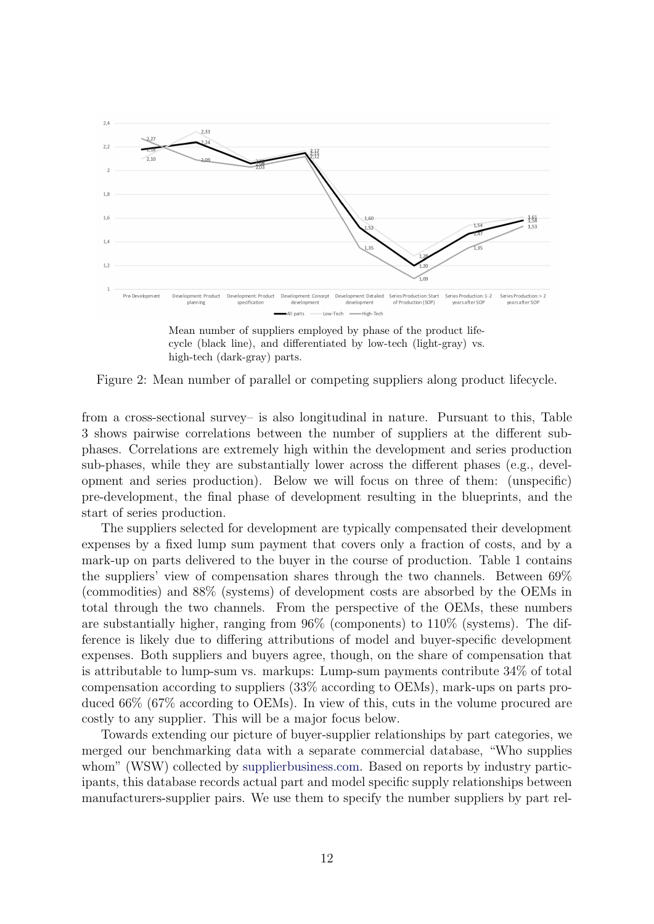

Mean number of suppliers employed by phase of the product lifecycle (black line), and differentiated by low-tech (light-gray) vs. high-tech (dark-gray) parts.

Figure 2: Mean number of parallel or competing suppliers along product lifecycle.

from a cross-sectional survey– is also longitudinal in nature. Pursuant to this, Table 3 shows pairwise correlations between the number of suppliers at the different subphases. Correlations are extremely high within the development and series production sub-phases, while they are substantially lower across the different phases (e.g., development and series production). Below we will focus on three of them: (unspecific) pre-development, the final phase of development resulting in the blueprints, and the start of series production.

The suppliers selected for development are typically compensated their development expenses by a fixed lump sum payment that covers only a fraction of costs, and by a mark-up on parts delivered to the buyer in the course of production. Table 1 contains the suppliers' view of compensation shares through the two channels. Between 69% (commodities) and 88% (systems) of development costs are absorbed by the OEMs in total through the two channels. From the perspective of the OEMs, these numbers are substantially higher, ranging from 96% (components) to 110% (systems). The difference is likely due to differing attributions of model and buyer-specific development expenses. Both suppliers and buyers agree, though, on the share of compensation that is attributable to lump-sum vs. markups: Lump-sum payments contribute 34% of total compensation according to suppliers (33% according to OEMs), mark-ups on parts produced 66% (67% according to OEMs). In view of this, cuts in the volume procured are costly to any supplier. This will be a major focus below.

Towards extending our picture of buyer-supplier relationships by part categories, we merged our benchmarking data with a separate commercial database, "Who supplies whom" (WSW) collected by [supplierbusiness.com.](http://supplierbusiness.com/) Based on reports by industry participants, this database records actual part and model specific supply relationships between manufacturers-supplier pairs. We use them to specify the number suppliers by part rel-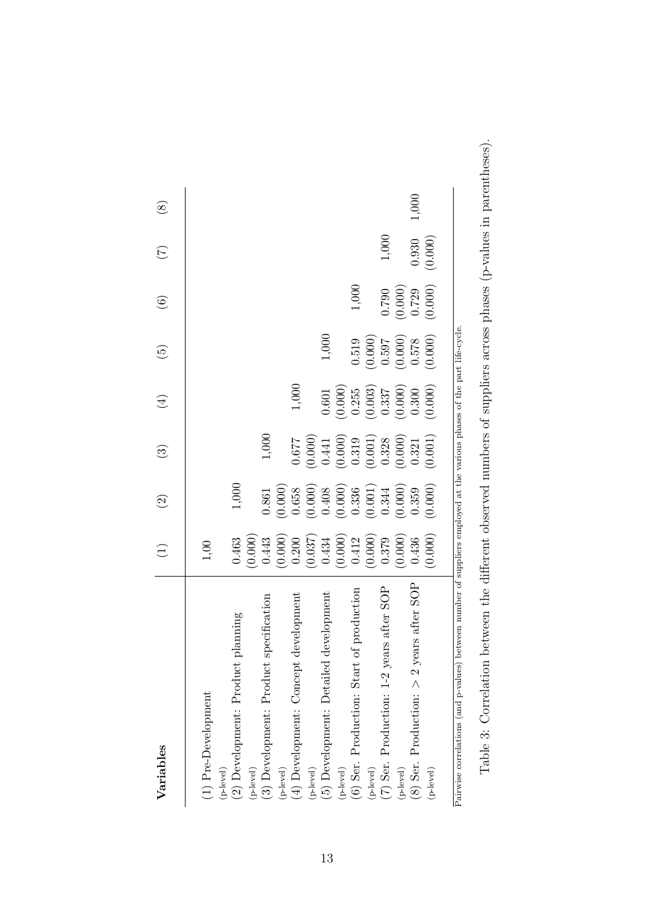| Variables                                                                                                                  | $\bigoplus$                               | $\widehat{c}$                                                                | $\odot$                                         | $\bigoplus$                                     | $\widehat{E}$                                   | $\odot$            | $\left(\frac{1}{2}\right)$ | $\begin{array}{c} \circ \\ \circ \end{array}$ |
|----------------------------------------------------------------------------------------------------------------------------|-------------------------------------------|------------------------------------------------------------------------------|-------------------------------------------------|-------------------------------------------------|-------------------------------------------------|--------------------|----------------------------|-----------------------------------------------|
|                                                                                                                            |                                           |                                                                              |                                                 |                                                 |                                                 |                    |                            |                                               |
| (1) Pre-Development                                                                                                        | 1,00                                      |                                                                              |                                                 |                                                 |                                                 |                    |                            |                                               |
| $(p$ -level)                                                                                                               |                                           |                                                                              |                                                 |                                                 |                                                 |                    |                            |                                               |
| planning<br>(2) Development: Product                                                                                       | 0.463                                     | 1,000                                                                        |                                                 |                                                 |                                                 |                    |                            |                                               |
| (p-level)                                                                                                                  | (0.000)                                   |                                                                              |                                                 |                                                 |                                                 |                    |                            |                                               |
| specification<br>(3) Development: Product                                                                                  | 0.443                                     | 0.861                                                                        | 1,000                                           |                                                 |                                                 |                    |                            |                                               |
| (p-level)                                                                                                                  |                                           | (0.000)                                                                      |                                                 |                                                 |                                                 |                    |                            |                                               |
| development<br>(4) Development: Concept                                                                                    | $\left(0.000\right)$ $0.200$              |                                                                              | 770.0                                           | 1,000                                           |                                                 |                    |                            |                                               |
| (p-level)                                                                                                                  | $\left(0.037\right)$ $0.434$              | $\begin{array}{c} 0.658 \\ (0.000) \\ 0.408 \\ (0.000) \\ 0.336 \end{array}$ |                                                 |                                                 |                                                 |                    |                            |                                               |
| development<br>(5) Development: Detailed                                                                                   |                                           |                                                                              | $\begin{array}{c} (0.000) \\ 0.441 \end{array}$ | 0.601                                           | 1,000                                           |                    |                            |                                               |
| $(p$ -level)                                                                                                               | $\left(0.000\right)$ $\left(0.412\right)$ |                                                                              | $\begin{array}{c} (0.000) \\ 0.319 \end{array}$ |                                                 |                                                 |                    |                            |                                               |
| of production<br>(6) Ser. Production: Start                                                                                |                                           |                                                                              |                                                 | $\begin{array}{c} (0.000) \\ 0.255 \end{array}$ | 0.519                                           | 1,000              |                            |                                               |
| $(p$ -level)                                                                                                               |                                           |                                                                              | $\left( 0.001\right)$ $0.328$                   |                                                 |                                                 |                    |                            |                                               |
| (7) Ser. Production: 1-2 years after SOP                                                                                   | $(0.000)$<br>0.379                        | $\begin{array}{c} (0.001) \\ 0.344 \end{array}$                              |                                                 | $\begin{array}{c} (0.003) \\ 0.337 \end{array}$ | $\begin{array}{c} (0.000) \\ 0.597 \end{array}$ | 0.790              | 1,000                      |                                               |
| $(p-level)$                                                                                                                | (0.000)                                   |                                                                              | $\left(0.000\right)$ $0.321$                    | $\left( 0.000\right)$ $\left( 0.300\right)$     | $\begin{array}{c} (0.000) \\ 0.578 \end{array}$ | $(0.000)$<br>0.729 |                            |                                               |
| rears after SOP<br>(8) Ser. Production: $> 2 y$                                                                            | 0.436                                     | $(0.000)$<br>$0.359$                                                         |                                                 |                                                 |                                                 |                    | 0.930                      | 1,000                                         |
| $(p-level)$                                                                                                                | (0.000)                                   | (0.000)                                                                      | (0.001)                                         | (0.000)                                         | (0.000)                                         | (0.000)            | (0.000)                    |                                               |
| between number of suppliers employed at the various phases of the part life-cycle.<br>Pairwise correlations (and p-values) |                                           |                                                                              |                                                 |                                                 |                                                 |                    |                            |                                               |

Table 3: Correlation between the different observed numbers of suppliers across phases (p-values in parentheses). Table 3: Correlation between the different observed numbers of suppliers across phases (p-values in parentheses).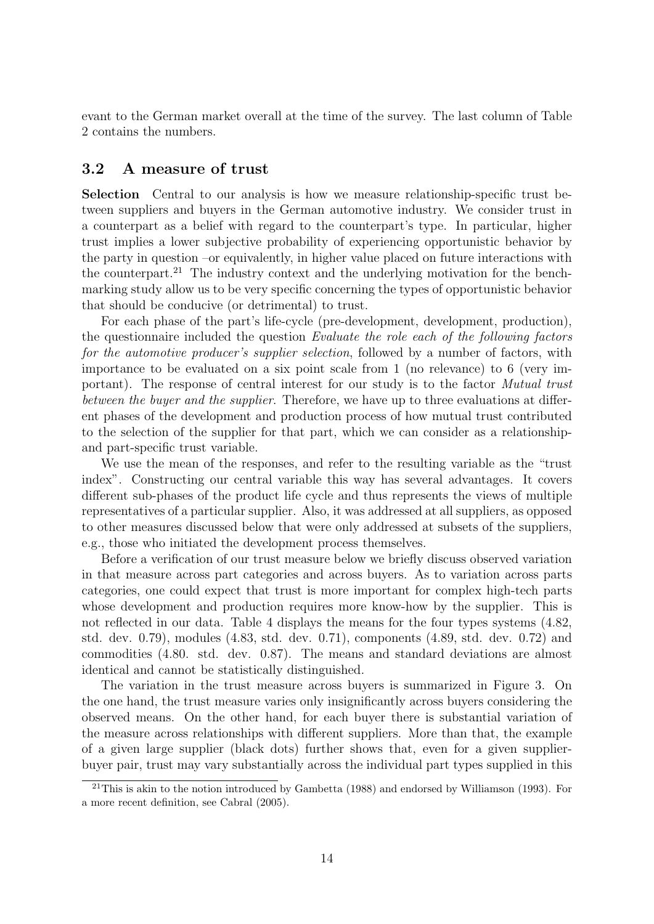evant to the German market overall at the time of the survey. The last column of Table 2 contains the numbers.

#### 3.2 A measure of trust

Selection Central to our analysis is how we measure relationship-specific trust between suppliers and buyers in the German automotive industry. We consider trust in a counterpart as a belief with regard to the counterpart's type. In particular, higher trust implies a lower subjective probability of experiencing opportunistic behavior by the party in question –or equivalently, in higher value placed on future interactions with the counterpart.<sup>21</sup> The industry context and the underlying motivation for the benchmarking study allow us to be very specific concerning the types of opportunistic behavior that should be conducive (or detrimental) to trust.

For each phase of the part's life-cycle (pre-development, development, production), the questionnaire included the question Evaluate the role each of the following factors for the automotive producer's supplier selection, followed by a number of factors, with importance to be evaluated on a six point scale from 1 (no relevance) to 6 (very important). The response of central interest for our study is to the factor Mutual trust between the buyer and the supplier. Therefore, we have up to three evaluations at different phases of the development and production process of how mutual trust contributed to the selection of the supplier for that part, which we can consider as a relationshipand part-specific trust variable.

We use the mean of the responses, and refer to the resulting variable as the "trust index". Constructing our central variable this way has several advantages. It covers different sub-phases of the product life cycle and thus represents the views of multiple representatives of a particular supplier. Also, it was addressed at all suppliers, as opposed to other measures discussed below that were only addressed at subsets of the suppliers, e.g., those who initiated the development process themselves.

Before a verification of our trust measure below we briefly discuss observed variation in that measure across part categories and across buyers. As to variation across parts categories, one could expect that trust is more important for complex high-tech parts whose development and production requires more know-how by the supplier. This is not reflected in our data. Table 4 displays the means for the four types systems (4.82, std. dev. 0.79), modules (4.83, std. dev. 0.71), components (4.89, std. dev. 0.72) and commodities (4.80. std. dev. 0.87). The means and standard deviations are almost identical and cannot be statistically distinguished.

The variation in the trust measure across buyers is summarized in Figure 3. On the one hand, the trust measure varies only insignificantly across buyers considering the observed means. On the other hand, for each buyer there is substantial variation of the measure across relationships with different suppliers. More than that, the example of a given large supplier (black dots) further shows that, even for a given supplierbuyer pair, trust may vary substantially across the individual part types supplied in this

<sup>21</sup>This is akin to the notion introduced by Gambetta (1988) and endorsed by Williamson (1993). For a more recent definition, see Cabral (2005).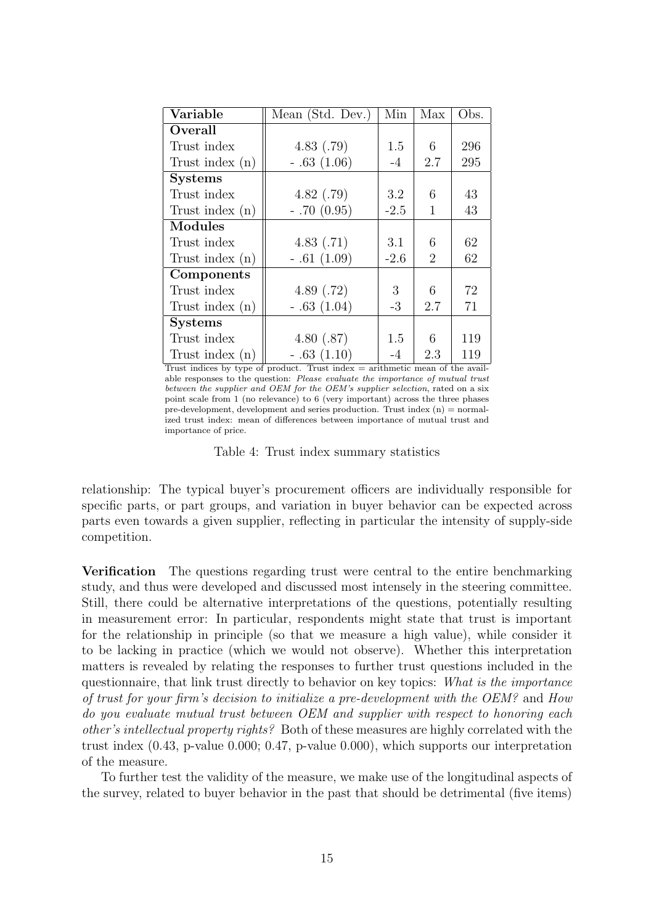| Variable          | Mean (Std. Dev.) | Min    | Max            | Obs. |
|-------------------|------------------|--------|----------------|------|
| Overall           |                  |        |                |      |
| Trust index       | 4.83(.79)        | 1.5    | 6              | 296  |
| Trust index $(n)$ | $-.63(1.06)$     | $-4$   | 2.7            | 295  |
| <b>Systems</b>    |                  |        |                |      |
| Trust index       | 4.82(.79)        | 3.2    | 6              | 43   |
| Trust index $(n)$ | $-.70(0.95)$     | $-2.5$ | 1              | 43   |
| <b>Modules</b>    |                  |        |                |      |
| Trust index       | 4.83(.71)        | 3.1    | 6              | 62   |
| Trust index $(n)$ | $-.61(1.09)$     | $-2.6$ | $\overline{2}$ | 62   |
| Components        |                  |        |                |      |
| Trust index       | 4.89 $(.72)$     | 3      | 6              | 72   |
| Trust index $(n)$ | $-.63(1.04)$     | $-3$   | 2.7            | 71   |
| <b>Systems</b>    |                  |        |                |      |
| Trust index       | 4.80(.87)        | 1.5    | 6              | 119  |
| Trust index $(n)$ | $-.63(1.10)$     | -4     | 2.3            | 119  |

Trust indices by type of product. Trust index  $=$  arithmetic mean of the available responses to the question: Please evaluate the importance of mutual trust between the supplier and OEM for the OEM's supplier selection, rated on a six point scale from 1 (no relevance) to 6 (very important) across the three phases pre-development, development and series production. Trust index  $(n) =$  normalized trust index: mean of differences between importance of mutual trust and importance of price.

Table 4: Trust index summary statistics

relationship: The typical buyer's procurement officers are individually responsible for specific parts, or part groups, and variation in buyer behavior can be expected across parts even towards a given supplier, reflecting in particular the intensity of supply-side competition.

Verification The questions regarding trust were central to the entire benchmarking study, and thus were developed and discussed most intensely in the steering committee. Still, there could be alternative interpretations of the questions, potentially resulting in measurement error: In particular, respondents might state that trust is important for the relationship in principle (so that we measure a high value), while consider it to be lacking in practice (which we would not observe). Whether this interpretation matters is revealed by relating the responses to further trust questions included in the questionnaire, that link trust directly to behavior on key topics: What is the importance of trust for your firm's decision to initialize a pre-development with the OEM? and How do you evaluate mutual trust between OEM and supplier with respect to honoring each other's intellectual property rights? Both of these measures are highly correlated with the trust index (0.43, p-value 0.000; 0.47, p-value 0.000), which supports our interpretation of the measure.

To further test the validity of the measure, we make use of the longitudinal aspects of the survey, related to buyer behavior in the past that should be detrimental (five items)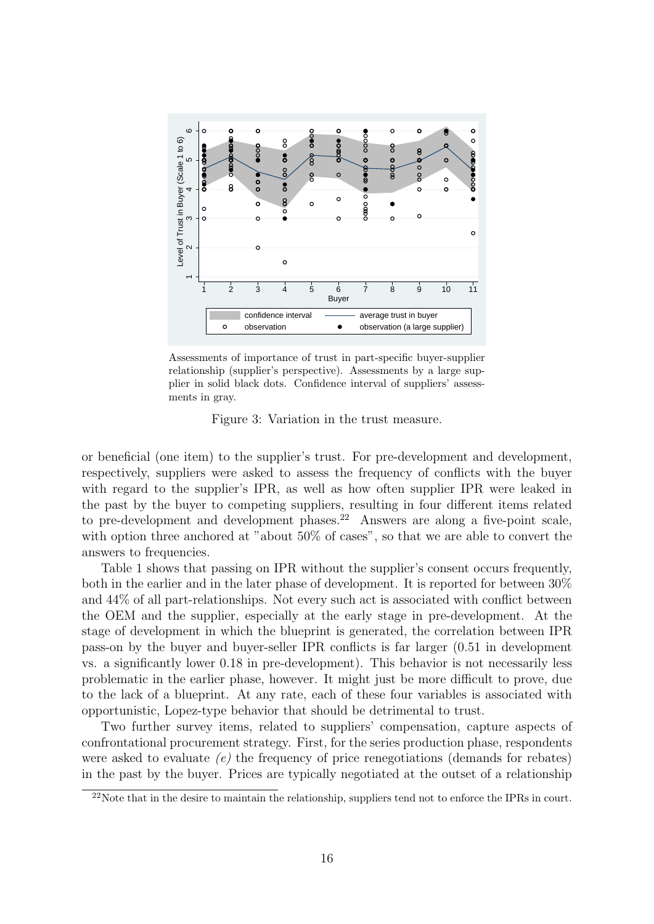

Assessments of importance of trust in part-specific buyer-supplier relationship (supplier's perspective). Assessments by a large supplier in solid black dots. Confidence interval of suppliers' assessments in gray.

Figure 3: Variation in the trust measure.

or beneficial (one item) to the supplier's trust. For pre-development and development, respectively, suppliers were asked to assess the frequency of conflicts with the buyer with regard to the supplier's IPR, as well as how often supplier IPR were leaked in the past by the buyer to competing suppliers, resulting in four different items related to pre-development and development phases.<sup>22</sup> Answers are along a five-point scale, with option three anchored at "about 50% of cases", so that we are able to convert the answers to frequencies.

Table 1 shows that passing on IPR without the supplier's consent occurs frequently, both in the earlier and in the later phase of development. It is reported for between 30% and 44% of all part-relationships. Not every such act is associated with conflict between the OEM and the supplier, especially at the early stage in pre-development. At the stage of development in which the blueprint is generated, the correlation between IPR pass-on by the buyer and buyer-seller IPR conflicts is far larger (0.51 in development vs. a significantly lower 0.18 in pre-development). This behavior is not necessarily less problematic in the earlier phase, however. It might just be more difficult to prove, due to the lack of a blueprint. At any rate, each of these four variables is associated with opportunistic, Lopez-type behavior that should be detrimental to trust.

Two further survey items, related to suppliers' compensation, capture aspects of confrontational procurement strategy. First, for the series production phase, respondents were asked to evaluate  $(e)$  the frequency of price renegotiations (demands for rebates) in the past by the buyer. Prices are typically negotiated at the outset of a relationship

<sup>&</sup>lt;sup>22</sup>Note that in the desire to maintain the relationship, suppliers tend not to enforce the IPRs in court.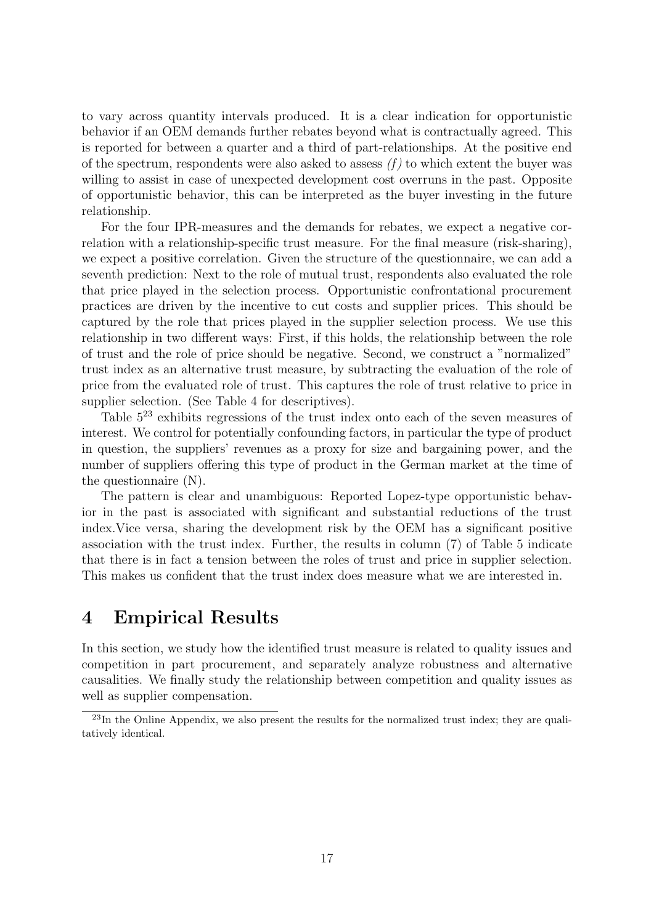to vary across quantity intervals produced. It is a clear indication for opportunistic behavior if an OEM demands further rebates beyond what is contractually agreed. This is reported for between a quarter and a third of part-relationships. At the positive end of the spectrum, respondents were also asked to assess  $(f)$  to which extent the buyer was willing to assist in case of unexpected development cost overruns in the past. Opposite of opportunistic behavior, this can be interpreted as the buyer investing in the future relationship.

For the four IPR-measures and the demands for rebates, we expect a negative correlation with a relationship-specific trust measure. For the final measure (risk-sharing), we expect a positive correlation. Given the structure of the questionnaire, we can add a seventh prediction: Next to the role of mutual trust, respondents also evaluated the role that price played in the selection process. Opportunistic confrontational procurement practices are driven by the incentive to cut costs and supplier prices. This should be captured by the role that prices played in the supplier selection process. We use this relationship in two different ways: First, if this holds, the relationship between the role of trust and the role of price should be negative. Second, we construct a "normalized" trust index as an alternative trust measure, by subtracting the evaluation of the role of price from the evaluated role of trust. This captures the role of trust relative to price in supplier selection. (See Table 4 for descriptives).

Table 5<sup>23</sup> exhibits regressions of the trust index onto each of the seven measures of interest. We control for potentially confounding factors, in particular the type of product in question, the suppliers' revenues as a proxy for size and bargaining power, and the number of suppliers offering this type of product in the German market at the time of the questionnaire (N).

The pattern is clear and unambiguous: Reported Lopez-type opportunistic behavior in the past is associated with significant and substantial reductions of the trust index.Vice versa, sharing the development risk by the OEM has a significant positive association with the trust index. Further, the results in column (7) of Table 5 indicate that there is in fact a tension between the roles of trust and price in supplier selection. This makes us confident that the trust index does measure what we are interested in.

### 4 Empirical Results

In this section, we study how the identified trust measure is related to quality issues and competition in part procurement, and separately analyze robustness and alternative causalities. We finally study the relationship between competition and quality issues as well as supplier compensation.

<sup>&</sup>lt;sup>23</sup>In the Online Appendix, we also present the results for the normalized trust index; they are qualitatively identical.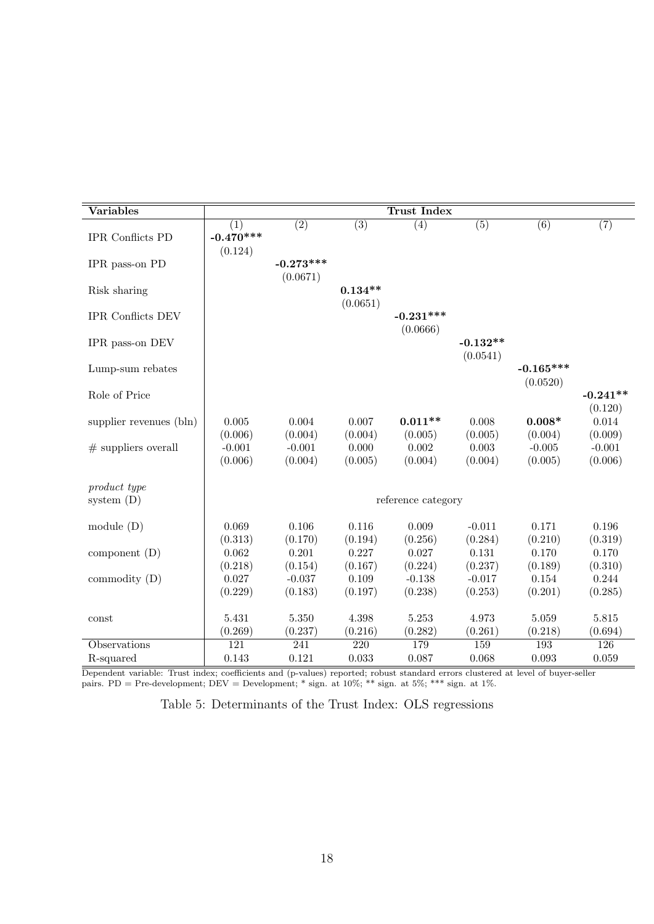| Variables                    |                               |                         |                       | <b>Trust Index</b>      |                        |                         |                       |
|------------------------------|-------------------------------|-------------------------|-----------------------|-------------------------|------------------------|-------------------------|-----------------------|
| IPR Conflicts PD             | (1)<br>$-0.470***$<br>(0.124) | $\overline{(2)}$        | $\overline{(3)}$      | $\overline{(4)}$        | $\overline{(5)}$       | $\overline{(6)}$        | (7)                   |
| IPR pass-on PD               |                               | $-0.273***$<br>(0.0671) |                       |                         |                        |                         |                       |
| Risk sharing                 |                               |                         | $0.134**$<br>(0.0651) |                         |                        |                         |                       |
| <b>IPR Conflicts DEV</b>     |                               |                         |                       | $-0.231***$<br>(0.0666) |                        |                         |                       |
| IPR pass-on DEV              |                               |                         |                       |                         | $-0.132**$<br>(0.0541) |                         |                       |
| Lump-sum rebates             |                               |                         |                       |                         |                        | $-0.165***$<br>(0.0520) |                       |
| Role of Price                |                               |                         |                       |                         |                        |                         | $-0.241**$<br>(0.120) |
| supplier revenues (bln)      | 0.005<br>(0.006)              | 0.004<br>(0.004)        | 0.007<br>(0.004)      | $0.011**$<br>(0.005)    | 0.008<br>(0.005)       | $0.008*$<br>(0.004)     | 0.014<br>(0.009)      |
| $#$ suppliers overall        | $-0.001$<br>(0.006)           | $-0.001$<br>(0.004)     | 0.000<br>(0.005)      | 0.002<br>(0.004)        | 0.003<br>(0.004)       | $-0.005$<br>(0.005)     | $-0.001$<br>(0.006)   |
| product type<br>system $(D)$ |                               |                         |                       | reference category      |                        |                         |                       |
|                              |                               |                         |                       |                         |                        |                         |                       |
| module $(D)$                 | 0.069<br>(0.313)              | 0.106<br>(0.170)        | 0.116<br>(0.194)      | 0.009<br>(0.256)        | $-0.011$<br>(0.284)    | 0.171<br>(0.210)        | 0.196<br>(0.319)      |
| component $(D)$              | 0.062<br>(0.218)              | 0.201<br>(0.154)        | 0.227<br>(0.167)      | 0.027<br>(0.224)        | 0.131<br>(0.237)       | 0.170<br>(0.189)        | 0.170<br>(0.310)      |
| commodity $(D)$              | 0.027                         | $-0.037$                | 0.109                 | $-0.138$                | $-0.017$               | 0.154                   | 0.244                 |
|                              | (0.229)                       | (0.183)                 | (0.197)               | (0.238)                 | (0.253)                | (0.201)                 | (0.285)               |
| const                        | 5.431                         | 5.350                   | 4.398                 | 5.253                   | 4.973                  | 5.059                   | 5.815                 |
|                              | (0.269)                       | (0.237)                 | (0.216)               | (0.282)                 | (0.261)                | (0.218)                 | (0.694)               |
| Observations                 | $\overline{121}$              | 241                     | $\overline{220}$      | 179                     | 159                    | 193                     | 126                   |
| R-squared                    | 0.143                         | 0.121                   | 0.033                 | 0.087                   | 0.068                  | 0.093                   | 0.059                 |

Dependent variable: Trust index; coefficients and (p-values) reported; robust standard errors clustered at level of buyer-seller pairs. PD = Pre-development; DEV = Development; \* sign. at 10%; \*\* sign. at 5%; \*\*\* sign. at 1%.

Table 5: Determinants of the Trust Index: OLS regressions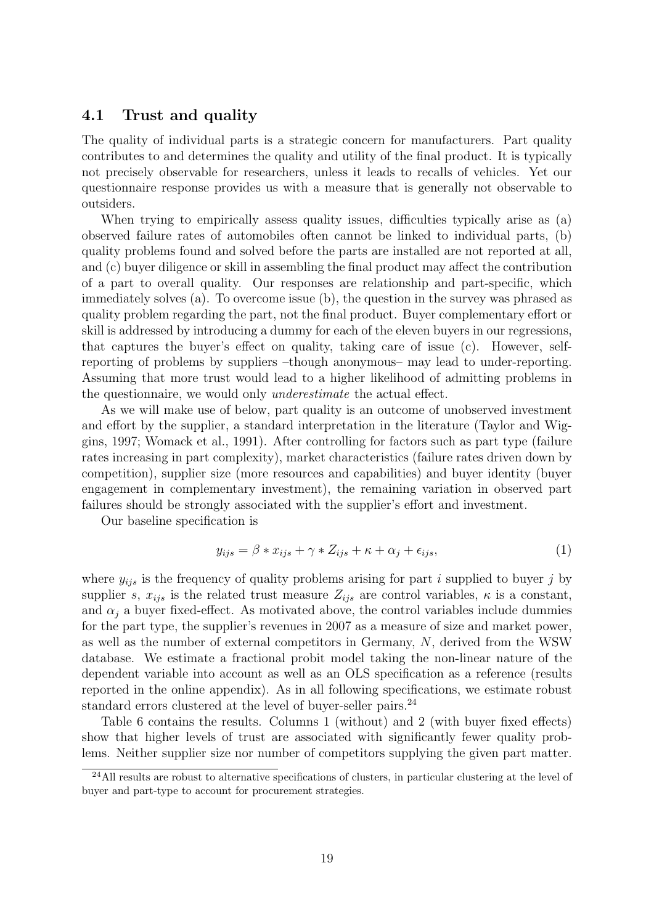#### 4.1 Trust and quality

The quality of individual parts is a strategic concern for manufacturers. Part quality contributes to and determines the quality and utility of the final product. It is typically not precisely observable for researchers, unless it leads to recalls of vehicles. Yet our questionnaire response provides us with a measure that is generally not observable to outsiders.

When trying to empirically assess quality issues, difficulties typically arise as (a) observed failure rates of automobiles often cannot be linked to individual parts, (b) quality problems found and solved before the parts are installed are not reported at all, and (c) buyer diligence or skill in assembling the final product may affect the contribution of a part to overall quality. Our responses are relationship and part-specific, which immediately solves (a). To overcome issue (b), the question in the survey was phrased as quality problem regarding the part, not the final product. Buyer complementary effort or skill is addressed by introducing a dummy for each of the eleven buyers in our regressions, that captures the buyer's effect on quality, taking care of issue (c). However, selfreporting of problems by suppliers –though anonymous– may lead to under-reporting. Assuming that more trust would lead to a higher likelihood of admitting problems in the questionnaire, we would only underestimate the actual effect.

As we will make use of below, part quality is an outcome of unobserved investment and effort by the supplier, a standard interpretation in the literature (Taylor and Wiggins, 1997; Womack et al., 1991). After controlling for factors such as part type (failure rates increasing in part complexity), market characteristics (failure rates driven down by competition), supplier size (more resources and capabilities) and buyer identity (buyer engagement in complementary investment), the remaining variation in observed part failures should be strongly associated with the supplier's effort and investment.

Our baseline specification is

$$
y_{ijs} = \beta * x_{ijs} + \gamma * Z_{ijs} + \kappa + \alpha_j + \epsilon_{ijs},\tag{1}
$$

where  $y_{ijs}$  is the frequency of quality problems arising for part i supplied to buyer j by supplier s,  $x_{ijs}$  is the related trust measure  $Z_{ijs}$  are control variables,  $\kappa$  is a constant, and  $\alpha_i$  a buyer fixed-effect. As motivated above, the control variables include dummies for the part type, the supplier's revenues in 2007 as a measure of size and market power, as well as the number of external competitors in Germany, N, derived from the WSW database. We estimate a fractional probit model taking the non-linear nature of the dependent variable into account as well as an OLS specification as a reference (results reported in the online appendix). As in all following specifications, we estimate robust standard errors clustered at the level of buyer-seller pairs.<sup>24</sup>

Table 6 contains the results. Columns 1 (without) and 2 (with buyer fixed effects) show that higher levels of trust are associated with significantly fewer quality problems. Neither supplier size nor number of competitors supplying the given part matter.

<sup>&</sup>lt;sup>24</sup>All results are robust to alternative specifications of clusters, in particular clustering at the level of buyer and part-type to account for procurement strategies.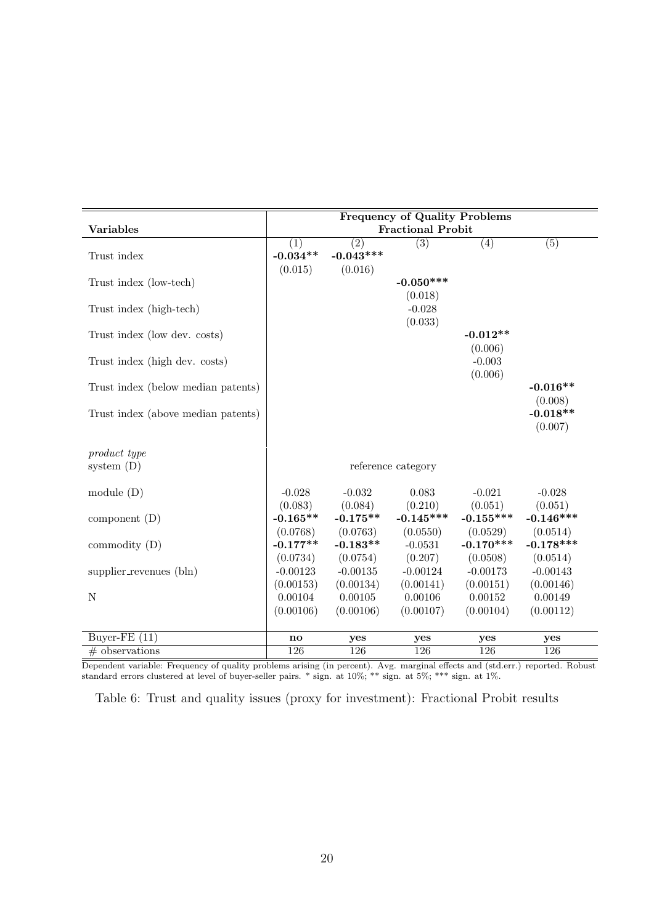| <b>Variables</b>                   |            |             | <b>Frequency of Quality Problems</b><br><b>Fractional Probit</b> |                  |                  |
|------------------------------------|------------|-------------|------------------------------------------------------------------|------------------|------------------|
|                                    |            |             |                                                                  |                  |                  |
|                                    | (1)        | (2)         | $\overline{(3)}$                                                 | $\overline{(4)}$ | $\overline{(5)}$ |
| Trust index                        | $-0.034**$ | $-0.043***$ |                                                                  |                  |                  |
|                                    | (0.015)    | (0.016)     |                                                                  |                  |                  |
| Trust index (low-tech)             |            |             | $-0.050***$                                                      |                  |                  |
|                                    |            |             | (0.018)                                                          |                  |                  |
| Trust index (high-tech)            |            |             | $-0.028$                                                         |                  |                  |
|                                    |            |             | (0.033)                                                          |                  |                  |
| Trust index (low dev. costs)       |            |             |                                                                  | $-0.012**$       |                  |
|                                    |            |             |                                                                  | (0.006)          |                  |
| Trust index (high dev. costs)      |            |             |                                                                  | $-0.003$         |                  |
|                                    |            |             |                                                                  | (0.006)          |                  |
| Trust index (below median patents) |            |             |                                                                  |                  | $-0.016**$       |
|                                    |            |             |                                                                  |                  | (0.008)          |
| Trust index (above median patents) |            |             |                                                                  |                  | $-0.018**$       |
|                                    |            |             |                                                                  |                  | (0.007)          |
|                                    |            |             |                                                                  |                  |                  |
| product type                       |            |             |                                                                  |                  |                  |
| system $(D)$                       |            |             | reference category                                               |                  |                  |
|                                    |            |             |                                                                  |                  |                  |
| module $(D)$                       | $-0.028$   | $-0.032$    | 0.083                                                            | $-0.021$         | $-0.028$         |
|                                    | (0.083)    | (0.084)     | (0.210)                                                          | (0.051)          | (0.051)          |
| component $(D)$                    | $-0.165**$ | $-0.175**$  | $-0.145***$                                                      | $-0.155***$      | $-0.146***$      |
|                                    | (0.0768)   | (0.0763)    | (0.0550)                                                         | (0.0529)         | (0.0514)         |
| commodity $(D)$                    | $-0.177**$ | $-0.183**$  | $-0.0531$                                                        | $-0.170***$      | $-0.178***$      |
|                                    | (0.0734)   | (0.0754)    | (0.207)                                                          | (0.0508)         | (0.0514)         |
| supplier_revenues (bln)            | $-0.00123$ | $-0.00135$  | $-0.00124$                                                       | $-0.00173$       | $-0.00143$       |
|                                    | (0.00153)  | (0.00134)   | (0.00141)                                                        | (0.00151)        | (0.00146)        |
| $\mathbf N$                        | 0.00104    | 0.00105     | 0.00106                                                          | 0.00152          | 0.00149          |
|                                    | (0.00106)  | (0.00106)   | (0.00107)                                                        | (0.00104)        | (0.00112)        |
|                                    |            |             |                                                                  |                  |                  |
| Buyer-FE $(11)$                    | no         | yes         | yes                                                              | yes              | yes              |
| $#$ observations                   | 126        | 126         | 126                                                              | 126              | 126              |

Dependent variable: Frequency of quality problems arising (in percent). Avg. marginal effects and (std.err.) reported. Robust standard errors clustered at level of buyer-seller pairs. \* sign. at 10%; \*\* sign. at 5%; \*\*\* sign. at 1%.

Table 6: Trust and quality issues (proxy for investment): Fractional Probit results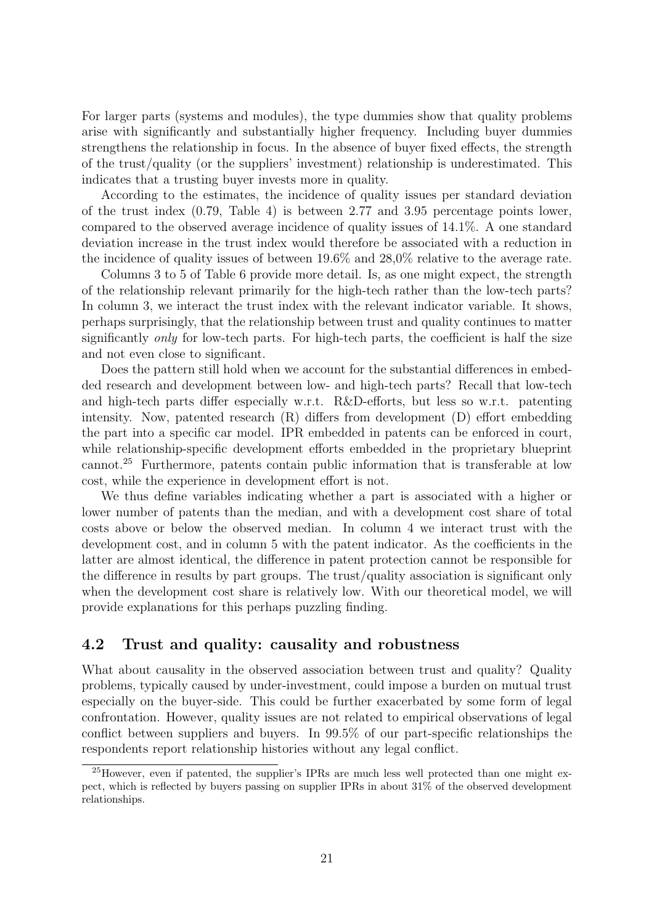For larger parts (systems and modules), the type dummies show that quality problems arise with significantly and substantially higher frequency. Including buyer dummies strengthens the relationship in focus. In the absence of buyer fixed effects, the strength of the trust/quality (or the suppliers' investment) relationship is underestimated. This indicates that a trusting buyer invests more in quality.

According to the estimates, the incidence of quality issues per standard deviation of the trust index (0.79, Table 4) is between 2.77 and 3.95 percentage points lower, compared to the observed average incidence of quality issues of 14.1%. A one standard deviation increase in the trust index would therefore be associated with a reduction in the incidence of quality issues of between 19.6% and 28,0% relative to the average rate.

Columns 3 to 5 of Table 6 provide more detail. Is, as one might expect, the strength of the relationship relevant primarily for the high-tech rather than the low-tech parts? In column 3, we interact the trust index with the relevant indicator variable. It shows, perhaps surprisingly, that the relationship between trust and quality continues to matter significantly only for low-tech parts. For high-tech parts, the coefficient is half the size and not even close to significant.

Does the pattern still hold when we account for the substantial differences in embedded research and development between low- and high-tech parts? Recall that low-tech and high-tech parts differ especially w.r.t. R&D-efforts, but less so w.r.t. patenting intensity. Now, patented research (R) differs from development (D) effort embedding the part into a specific car model. IPR embedded in patents can be enforced in court, while relationship-specific development efforts embedded in the proprietary blueprint cannot.<sup>25</sup> Furthermore, patents contain public information that is transferable at low cost, while the experience in development effort is not.

We thus define variables indicating whether a part is associated with a higher or lower number of patents than the median, and with a development cost share of total costs above or below the observed median. In column 4 we interact trust with the development cost, and in column 5 with the patent indicator. As the coefficients in the latter are almost identical, the difference in patent protection cannot be responsible for the difference in results by part groups. The trust/quality association is significant only when the development cost share is relatively low. With our theoretical model, we will provide explanations for this perhaps puzzling finding.

#### 4.2 Trust and quality: causality and robustness

What about causality in the observed association between trust and quality? Quality problems, typically caused by under-investment, could impose a burden on mutual trust especially on the buyer-side. This could be further exacerbated by some form of legal confrontation. However, quality issues are not related to empirical observations of legal conflict between suppliers and buyers. In 99.5% of our part-specific relationships the respondents report relationship histories without any legal conflict.

<sup>25</sup>However, even if patented, the supplier's IPRs are much less well protected than one might expect, which is reflected by buyers passing on supplier IPRs in about 31% of the observed development relationships.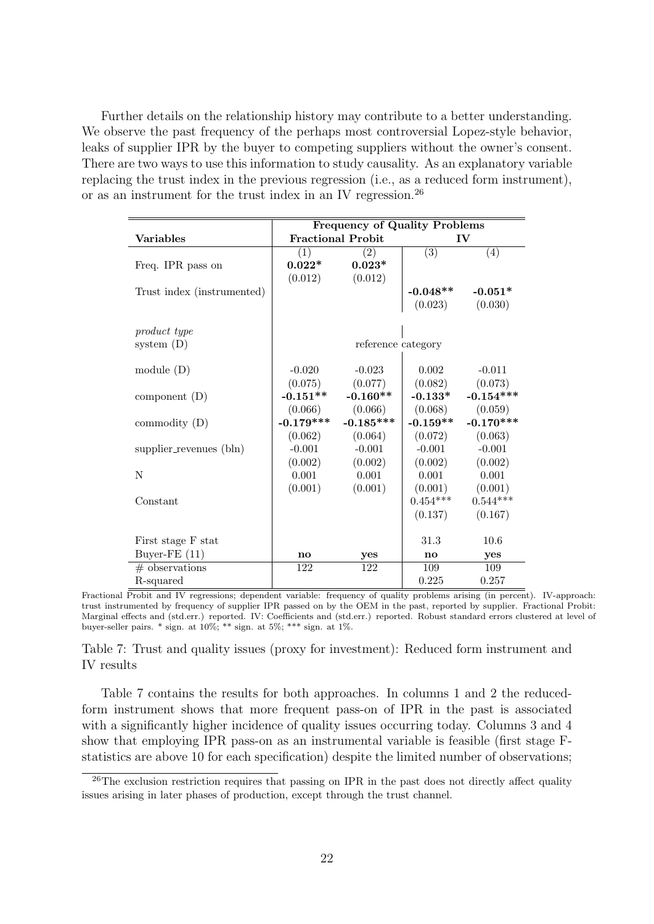Further details on the relationship history may contribute to a better understanding. We observe the past frequency of the perhaps most controversial Lopez-style behavior, leaks of supplier IPR by the buyer to competing suppliers without the owner's consent. There are two ways to use this information to study causality. As an explanatory variable replacing the trust index in the previous regression (i.e., as a reduced form instrument), or as an instrument for the trust index in an IV regression.<sup>26</sup>

|                            |                        | <b>Frequency of Quality Problems</b> |               |                     |
|----------------------------|------------------------|--------------------------------------|---------------|---------------------|
| <b>Variables</b>           |                        | <b>Fractional Probit</b>             |               | $\mathbf{IV}$       |
|                            | (1)                    | (2)                                  | (3)           | (4)                 |
| Freq. IPR pass on          | $0.022*$               | $0.023*$                             |               |                     |
|                            | (0.012)                | (0.012)                              |               |                     |
| Trust index (instrumented) |                        |                                      | $-0.048**$    | -0.051*             |
|                            |                        |                                      |               | $(0.023)$ $(0.030)$ |
|                            |                        |                                      |               |                     |
| product type               |                        |                                      |               |                     |
| system $(D)$               |                        | reference category                   |               |                     |
|                            |                        |                                      |               |                     |
| module $(D)$               | $-0.020$               | $-0.023$                             | 0.002         | $-0.011$            |
|                            |                        | $(0.075)$ $(0.077)$                  | (0.082)       | (0.073)             |
| component $(D)$            | $-0.151***$            | $-0.160**$                           | $-0.133*$     | $-0.154***$         |
|                            | (0.066)                | (0.066)                              | (0.068)       | (0.059)             |
| commodity $(D)$            | $-0.179***$            | $-0.185***$                          | $-0.159**$    | $-0.170***$         |
|                            | (0.062)                | (0.064)                              | (0.072)       | (0.063)             |
| supplier_revenues (bln)    | $-0.001$               | $-0.001$                             | $-0.001$      | $-0.001$            |
|                            | (0.002)                | (0.002)                              | (0.002)       | (0.002)             |
| N                          | 0.001                  | 0.001                                | 0.001         | 0.001               |
|                            | (0.001)                | (0.001)                              |               | $(0.001)$ $(0.001)$ |
| Constant                   |                        |                                      | $0.454***$    | $0.544***$          |
|                            |                        |                                      | (0.137)       | (0.167)             |
|                            |                        |                                      |               |                     |
| First stage F stat         |                        |                                      | 31.3          | 10.6                |
| Buyer-FE $(11)$            | $\mathbf{n}\mathbf{o}$ | yes                                  | $\mathbf{no}$ | yes                 |
| $#$ observations           | 122                    | 122                                  | 109           | 109                 |
| R-squared                  |                        |                                      | 0.225         | 0.257               |

Fractional Probit and IV regressions; dependent variable: frequency of quality problems arising (in percent). IV-approach: trust instrumented by frequency of supplier IPR passed on by the OEM in the past, reported by supplier. Fractional Probit: Marginal effects and (std.err.) reported. IV: Coefficients and (std.err.) reported. Robust standard errors clustered at level of buyer-seller pairs. \* sign. at 10%; \*\* sign. at 5%; \*\*\* sign. at 1%.

Table 7: Trust and quality issues (proxy for investment): Reduced form instrument and IV results

Table 7 contains the results for both approaches. In columns 1 and 2 the reducedform instrument shows that more frequent pass-on of IPR in the past is associated with a significantly higher incidence of quality issues occurring today. Columns 3 and 4 show that employing IPR pass-on as an instrumental variable is feasible (first stage Fstatistics are above 10 for each specification) despite the limited number of observations;

 $26$ The exclusion restriction requires that passing on IPR in the past does not directly affect quality issues arising in later phases of production, except through the trust channel.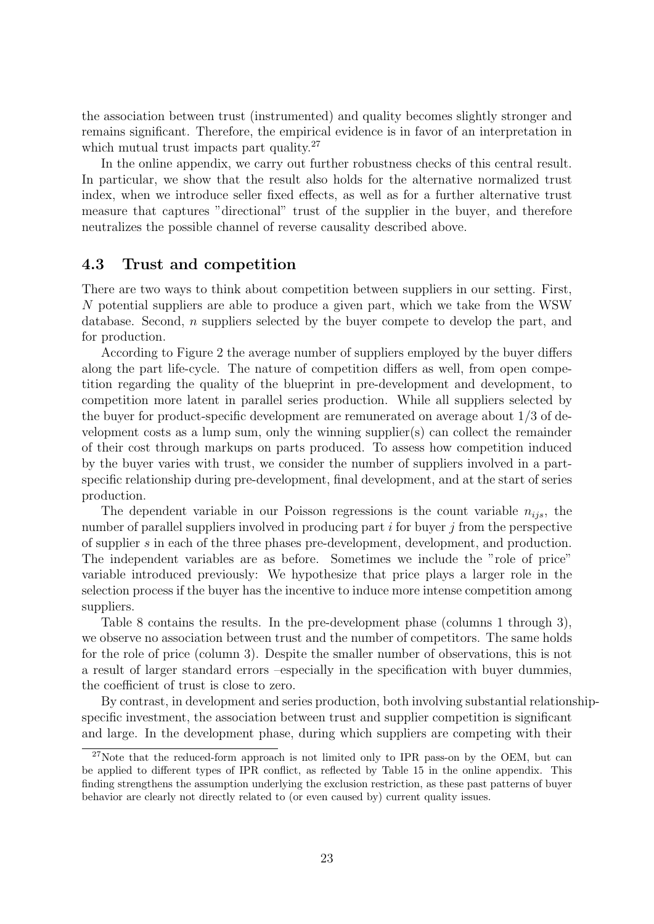the association between trust (instrumented) and quality becomes slightly stronger and remains significant. Therefore, the empirical evidence is in favor of an interpretation in which mutual trust impacts part quality.<sup>27</sup>

In the online appendix, we carry out further robustness checks of this central result. In particular, we show that the result also holds for the alternative normalized trust index, when we introduce seller fixed effects, as well as for a further alternative trust measure that captures "directional" trust of the supplier in the buyer, and therefore neutralizes the possible channel of reverse causality described above.

#### 4.3 Trust and competition

There are two ways to think about competition between suppliers in our setting. First, N potential suppliers are able to produce a given part, which we take from the WSW database. Second, n suppliers selected by the buyer compete to develop the part, and for production.

According to Figure 2 the average number of suppliers employed by the buyer differs along the part life-cycle. The nature of competition differs as well, from open competition regarding the quality of the blueprint in pre-development and development, to competition more latent in parallel series production. While all suppliers selected by the buyer for product-specific development are remunerated on average about 1/3 of development costs as a lump sum, only the winning supplier(s) can collect the remainder of their cost through markups on parts produced. To assess how competition induced by the buyer varies with trust, we consider the number of suppliers involved in a partspecific relationship during pre-development, final development, and at the start of series production.

The dependent variable in our Poisson regressions is the count variable  $n_{ijs}$ , the number of parallel suppliers involved in producing part  $i$  for buyer  $j$  from the perspective of supplier s in each of the three phases pre-development, development, and production. The independent variables are as before. Sometimes we include the "role of price" variable introduced previously: We hypothesize that price plays a larger role in the selection process if the buyer has the incentive to induce more intense competition among suppliers.

Table 8 contains the results. In the pre-development phase (columns 1 through 3), we observe no association between trust and the number of competitors. The same holds for the role of price (column 3). Despite the smaller number of observations, this is not a result of larger standard errors –especially in the specification with buyer dummies, the coefficient of trust is close to zero.

By contrast, in development and series production, both involving substantial relationshipspecific investment, the association between trust and supplier competition is significant and large. In the development phase, during which suppliers are competing with their

 $27$ Note that the reduced-form approach is not limited only to IPR pass-on by the OEM, but can be applied to different types of IPR conflict, as reflected by Table 15 in the online appendix. This finding strengthens the assumption underlying the exclusion restriction, as these past patterns of buyer behavior are clearly not directly related to (or even caused by) current quality issues.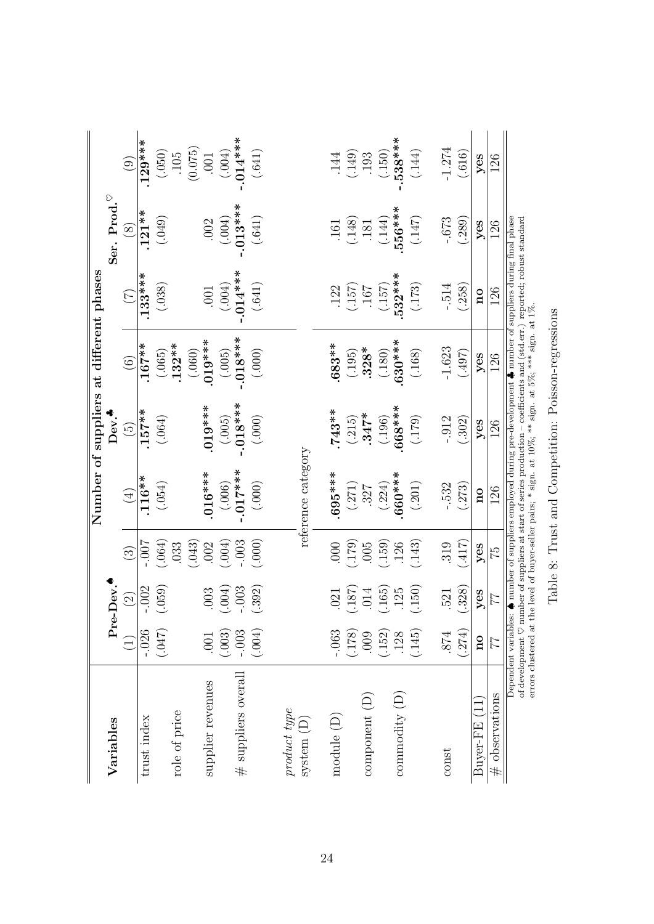|                                      |                                |                         |                        |                         |                 | Number of suppliers at different phases                                                                                                                                                                                                                                                                                                                                                |                         |            |                |
|--------------------------------------|--------------------------------|-------------------------|------------------------|-------------------------|-----------------|----------------------------------------------------------------------------------------------------------------------------------------------------------------------------------------------------------------------------------------------------------------------------------------------------------------------------------------------------------------------------------------|-------------------------|------------|----------------|
| Variables                            |                                | Pre-Dev.                |                        |                         | Dev.            |                                                                                                                                                                                                                                                                                                                                                                                        |                         | Ser. Prod. |                |
|                                      | $\widehat{L}$                  | $\widehat{\mathcal{Q}}$ | $\widehat{\mathbb{G}}$ | $\bigoplus$             | $\widetilde{5}$ | $\widehat{6}$                                                                                                                                                                                                                                                                                                                                                                          | $(\mathcal{L})$         | $\otimes$  | $\odot$        |
| trust index                          | $-0.026$                       | $-.002$                 | $-00.7$                | $.116**$                | $.157**$        | $.167**$                                                                                                                                                                                                                                                                                                                                                                               | $.133***$               | $.121**$   | $.129***$      |
|                                      | (740)                          | (.059)                  | (.064)                 | (.054)                  | (.064)          | (.065)                                                                                                                                                                                                                                                                                                                                                                                 | (.038)                  | (.049)     |                |
| role of price                        |                                |                         | .033                   |                         |                 | $.132***$                                                                                                                                                                                                                                                                                                                                                                              |                         |            | $(050)$<br>105 |
|                                      |                                |                         | (.043)                 |                         |                 | (.060)                                                                                                                                                                                                                                                                                                                                                                                 |                         |            | (0.075)        |
| supplier revenues                    | .001                           | 003                     | .002                   | $016***$                | $019***$        | $.019***$                                                                                                                                                                                                                                                                                                                                                                              | .001                    | .002       | .001           |
|                                      | (.003)                         | (500)                   | (100)                  | (.006)                  | (.005)          | (.005)                                                                                                                                                                                                                                                                                                                                                                                 | $(0.004)$               | (.004)     | $(0.004)$      |
| $#$ suppliers overall                | $-.003$                        | .003                    | .003                   | $-0.17***$              | $-0.018***$     | $-018***$                                                                                                                                                                                                                                                                                                                                                                              | $-0.014***$             | $-.013***$ | $-0.014***$    |
|                                      | (.004)                         | (.392)                  | (.000)                 | $(.000)$                | (.000)          | (.000)                                                                                                                                                                                                                                                                                                                                                                                 | $(.641)$                | $(.641)$   | (.641)         |
| product type                         |                                |                         |                        |                         |                 |                                                                                                                                                                                                                                                                                                                                                                                        |                         |            |                |
| $system$ $(D)$                       |                                |                         |                        | reference category      |                 |                                                                                                                                                                                                                                                                                                                                                                                        |                         |            |                |
|                                      |                                |                         |                        |                         |                 |                                                                                                                                                                                                                                                                                                                                                                                        |                         |            |                |
| module $(D)$                         | $-063$                         | .021                    | 000                    | $695***$                | $.743**$        | .683**                                                                                                                                                                                                                                                                                                                                                                                 | .122                    | .161       | .144           |
|                                      | (178)                          | (187)                   | (179)                  | (.271)                  | (.215)          | (.195)                                                                                                                                                                                                                                                                                                                                                                                 | (157)                   | (0.148)    | (.149)         |
| component(D)                         | 000                            | .014                    | .005                   | $.327$<br>(.224)        | $.347*$         | $.328*$                                                                                                                                                                                                                                                                                                                                                                                | 167                     | $.181\,$   | .193           |
|                                      | $(.152)$<br>$.128$<br>$(.145)$ | (165)                   | (159)                  |                         | (.196)          | (.180)                                                                                                                                                                                                                                                                                                                                                                                 | (157)                   | (.144)     | (150)          |
| $\mathop{\rm commodity}\nolimits(D)$ |                                | .125                    | 126                    | $660***$                | 668***          | $630***$                                                                                                                                                                                                                                                                                                                                                                               | ∗<br>532**              | 556***     | $-.538***$     |
|                                      |                                | (150)                   | (.143)                 | (.201)                  | (179)           | (.168)                                                                                                                                                                                                                                                                                                                                                                                 | (.173)                  | (147)      | (.144)         |
| const                                | 874                            | 521                     | 319                    | $-532$                  | $-.912$         | $-1.623$                                                                                                                                                                                                                                                                                                                                                                               | $-514$                  | $-0.673$   | $-1.274$       |
|                                      | (.274)                         | (328)                   | (117)                  | (273)                   | (.302)          | (704)                                                                                                                                                                                                                                                                                                                                                                                  | (.258)                  | (.289)     | (.616)         |
| $Buyer-FE(11)$                       | $\overline{\mathbf{n}}$        | yes                     | yes                    | $\overline{\mathbf{a}}$ | $y$ es          | $y$ es                                                                                                                                                                                                                                                                                                                                                                                 | $\overline{\mathbf{n}}$ | yes        | yes            |
| $#$ observations                     | 77                             | 77                      | 57                     | 126                     | 126             | 126                                                                                                                                                                                                                                                                                                                                                                                    | 126                     | 126        | 126            |
|                                      | errors clustered at            |                         |                        |                         |                 | Dependent variables: $\spadesuit$ number of suppliers employed during pre-development $\clubsuit$ number of suppliers during final phase<br>of development $\heartsuit$ number of suppliers at start of series production – coefficients and (std.err.) reported; robust standard<br>the level of buyer-seller pairs; $*$ sign. at $10\%$ ; $**$ sign. at $5\%$ ; $***$ sign. at $1\%$ |                         |            |                |

Table 8: Trust and Competition: Poisson-regressions Table 8: Trust and Competition: Poisson-regressions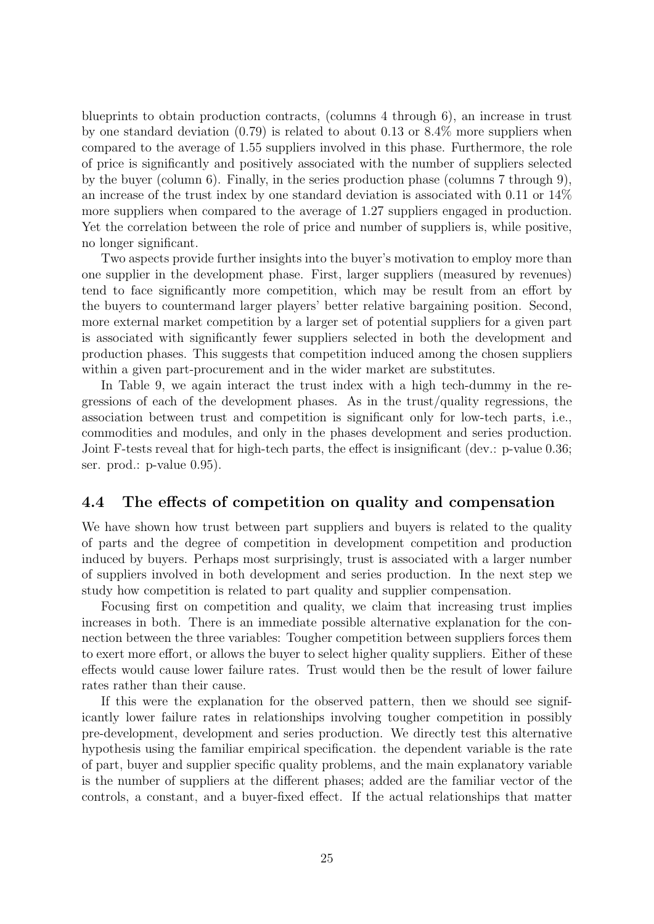blueprints to obtain production contracts, (columns 4 through 6), an increase in trust by one standard deviation (0.79) is related to about 0.13 or 8.4% more suppliers when compared to the average of 1.55 suppliers involved in this phase. Furthermore, the role of price is significantly and positively associated with the number of suppliers selected by the buyer (column 6). Finally, in the series production phase (columns 7 through 9), an increase of the trust index by one standard deviation is associated with 0.11 or 14% more suppliers when compared to the average of 1.27 suppliers engaged in production. Yet the correlation between the role of price and number of suppliers is, while positive, no longer significant.

Two aspects provide further insights into the buyer's motivation to employ more than one supplier in the development phase. First, larger suppliers (measured by revenues) tend to face significantly more competition, which may be result from an effort by the buyers to countermand larger players' better relative bargaining position. Second, more external market competition by a larger set of potential suppliers for a given part is associated with significantly fewer suppliers selected in both the development and production phases. This suggests that competition induced among the chosen suppliers within a given part-procurement and in the wider market are substitutes.

In Table 9, we again interact the trust index with a high tech-dummy in the regressions of each of the development phases. As in the trust/quality regressions, the association between trust and competition is significant only for low-tech parts, i.e., commodities and modules, and only in the phases development and series production. Joint F-tests reveal that for high-tech parts, the effect is insignificant (dev.: p-value 0.36; ser. prod.: p-value 0.95).

#### 4.4 The effects of competition on quality and compensation

We have shown how trust between part suppliers and buyers is related to the quality of parts and the degree of competition in development competition and production induced by buyers. Perhaps most surprisingly, trust is associated with a larger number of suppliers involved in both development and series production. In the next step we study how competition is related to part quality and supplier compensation.

Focusing first on competition and quality, we claim that increasing trust implies increases in both. There is an immediate possible alternative explanation for the connection between the three variables: Tougher competition between suppliers forces them to exert more effort, or allows the buyer to select higher quality suppliers. Either of these effects would cause lower failure rates. Trust would then be the result of lower failure rates rather than their cause.

If this were the explanation for the observed pattern, then we should see significantly lower failure rates in relationships involving tougher competition in possibly pre-development, development and series production. We directly test this alternative hypothesis using the familiar empirical specification. the dependent variable is the rate of part, buyer and supplier specific quality problems, and the main explanatory variable is the number of suppliers at the different phases; added are the familiar vector of the controls, a constant, and a buyer-fixed effect. If the actual relationships that matter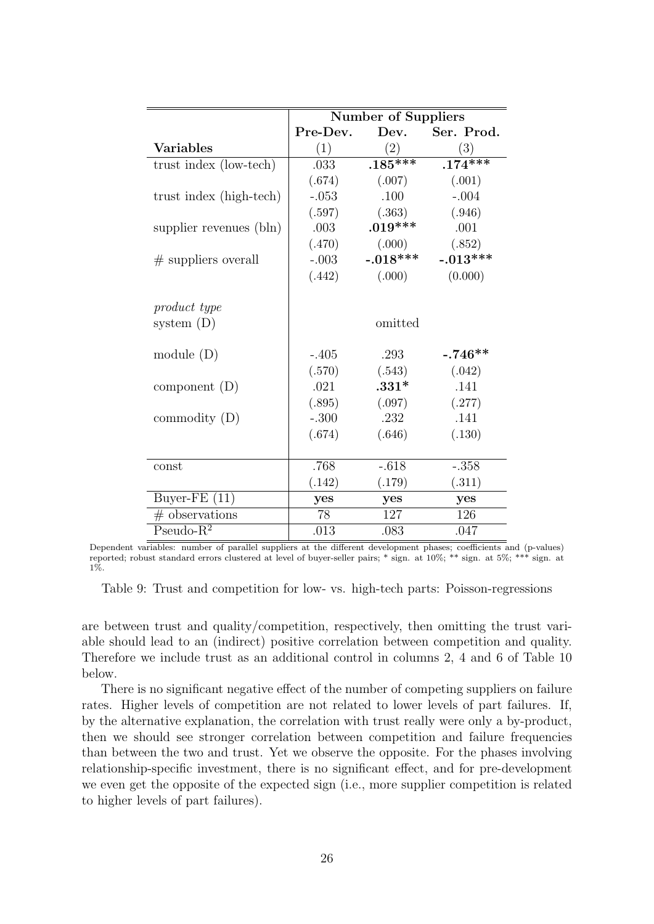|                         |          | <b>Number of Suppliers</b> |                 |
|-------------------------|----------|----------------------------|-----------------|
|                         | Pre-Dev. |                            | Dev. Ser. Prod. |
| <b>Variables</b>        | (1)      | (2)                        | (3)             |
| trust index (low-tech)  | .033     | $.185***$                  | $.174***$       |
|                         | (.674)   | (.007)                     | (.001)          |
| trust index (high-tech) | $-.053$  | .100                       | $-.004$         |
|                         | (.597)   | (.363)                     | (.946)          |
| supplier revenues (bln) | .003     | $.019***$                  | .001            |
|                         | (.470)   | (.000)                     | (.852)          |
| $#$ suppliers overall   | $-.003$  | $-.018***$                 | $-.013***$      |
|                         | (.442)   | (.000)                     | (0.000)         |
|                         |          |                            |                 |
| product type            |          |                            |                 |
| system $(D)$            |          | omitted                    |                 |
|                         |          |                            |                 |
| module $(D)$            | $-.405$  | .293                       | $-.746**$       |
|                         | (.570)   | (.543)                     | (.042)          |
| component $(D)$         | .021     | $.331*$                    | .141            |
|                         | (.895)   | (.097)                     | (.277)          |
| commodity $(D)$         | $-.300$  | .232                       | .141            |
|                         | (.674)   | (.646)                     | (.130)          |
|                         |          |                            |                 |
| const                   | .768     | $-.618$                    | $-.358$         |
|                         | (.142)   | (.179)                     | (.311)          |
| Buyer-FE $(11)$         | yes      | yes                        | yes             |
| $#$ observations        | 78       | 127                        | 126             |
| $Pseudo-R2$             | .013     | .083                       | .047            |

Dependent variables: number of parallel suppliers at the different development phases; coefficients and (p-values) reported; robust standard errors clustered at level of buyer-seller pairs; \* sign. at 10%; \*\* sign. at 5%; \*\*\* sign. at 1%.

Table 9: Trust and competition for low- vs. high-tech parts: Poisson-regressions

are between trust and quality/competition, respectively, then omitting the trust variable should lead to an (indirect) positive correlation between competition and quality. Therefore we include trust as an additional control in columns 2, 4 and 6 of Table 10 below.

There is no significant negative effect of the number of competing suppliers on failure rates. Higher levels of competition are not related to lower levels of part failures. If, by the alternative explanation, the correlation with trust really were only a by-product, then we should see stronger correlation between competition and failure frequencies than between the two and trust. Yet we observe the opposite. For the phases involving relationship-specific investment, there is no significant effect, and for pre-development we even get the opposite of the expected sign (i.e., more supplier competition is related to higher levels of part failures).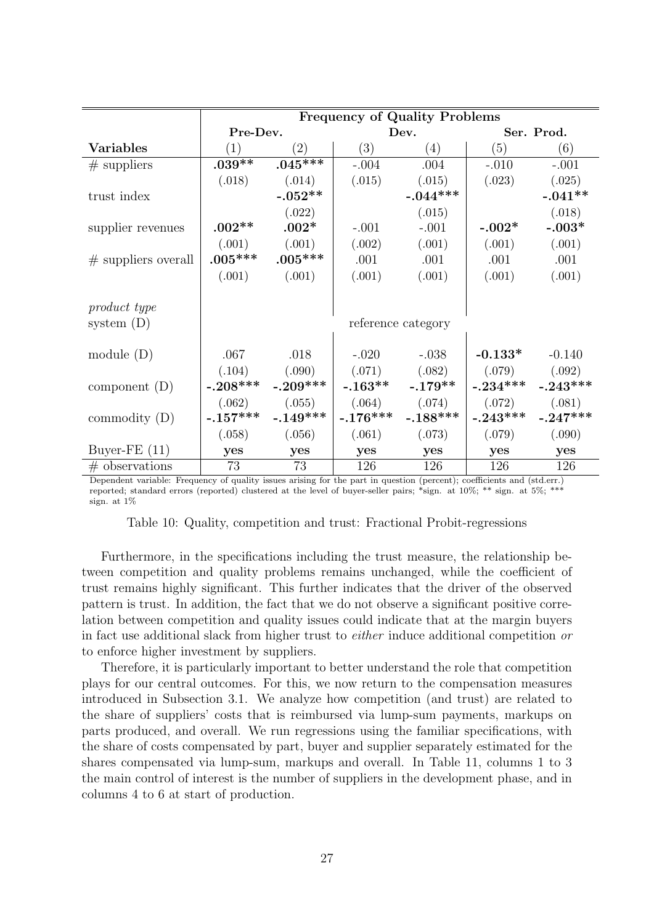|                       |            |            |            | <b>Frequency of Quality Problems</b> |            |            |
|-----------------------|------------|------------|------------|--------------------------------------|------------|------------|
|                       | Pre-Dev.   |            |            | Dev.                                 |            | Ser. Prod. |
| <b>Variables</b>      | (1)        | (2)        | (3)        | (4)                                  | (5)        | (6)        |
| $#$ suppliers         | $.039**$   | $.045***$  | $-.004$    | .004                                 | $-.010$    | $-.001$    |
|                       | (.018)     | (.014)     | (.015)     | (.015)                               | (.023)     | (.025)     |
| trust index           |            | $-.052**$  |            | $-.044***$                           |            | $-.041**$  |
|                       |            | (.022)     |            | (.015)                               |            | (.018)     |
| supplier revenues     | $.002**$   | $.002*$    | $-.001$    | $-.001$                              | $-.002*$   | $-.003*$   |
|                       | (.001)     | (.001)     | (.002)     | (.001)                               | (.001)     | (.001)     |
| $#$ suppliers overall | $.005***$  | $.005***$  | .001       | .001                                 | .001       | .001       |
|                       | (.001)     | (.001)     | (.001)     | (.001)                               | (.001)     | (.001)     |
|                       |            |            |            |                                      |            |            |
| product type          |            |            |            |                                      |            |            |
| system $(D)$          |            |            |            | reference category                   |            |            |
|                       |            |            |            |                                      |            |            |
| module $(D)$          | .067       | .018       | $-.020$    | $-.038$                              | $-0.133*$  | $-0.140$   |
|                       | (.104)     | (.090)     | (.071)     | (.082)                               | (.079)     | (.092)     |
| component $(D)$       | $-.208***$ | $-.209***$ | $-.163**$  | $-.179**$                            | $-.234***$ | $-.243***$ |
|                       | (.062)     | (.055)     | (.064)     | (.074)                               | (.072)     | (.081)     |
| commodity $(D)$       | $-.157***$ | $-.149***$ | $-.176***$ | $-.188***$                           | $-.243***$ | $-.247***$ |
|                       | (.058)     | (.056)     | (.061)     | (.073)                               | (.079)     | (.090)     |
| Buyer-FE $(11)$       | yes        | yes        | yes        | yes                                  | yes        | yes        |
| $#$ observations      | 73         | 73         | 126        | 126                                  | 126        | 126        |

Dependent variable: Frequency of quality issues arising for the part in question (percent); coefficients and (std.err.) reported; standard errors (reported) clustered at the level of buyer-seller pairs; \*sign. at  $10\%$ ; \*\* sign. at  $5\%$ ; \*\*\* sign. at 1%

|  |  |  |  |  | Table 10: Quality, competition and trust: Fractional Probit-regressions |
|--|--|--|--|--|-------------------------------------------------------------------------|
|--|--|--|--|--|-------------------------------------------------------------------------|

Furthermore, in the specifications including the trust measure, the relationship between competition and quality problems remains unchanged, while the coefficient of trust remains highly significant. This further indicates that the driver of the observed pattern is trust. In addition, the fact that we do not observe a significant positive correlation between competition and quality issues could indicate that at the margin buyers in fact use additional slack from higher trust to either induce additional competition or to enforce higher investment by suppliers.

Therefore, it is particularly important to better understand the role that competition plays for our central outcomes. For this, we now return to the compensation measures introduced in Subsection 3.1. We analyze how competition (and trust) are related to the share of suppliers' costs that is reimbursed via lump-sum payments, markups on parts produced, and overall. We run regressions using the familiar specifications, with the share of costs compensated by part, buyer and supplier separately estimated for the shares compensated via lump-sum, markups and overall. In Table 11, columns 1 to 3 the main control of interest is the number of suppliers in the development phase, and in columns 4 to 6 at start of production.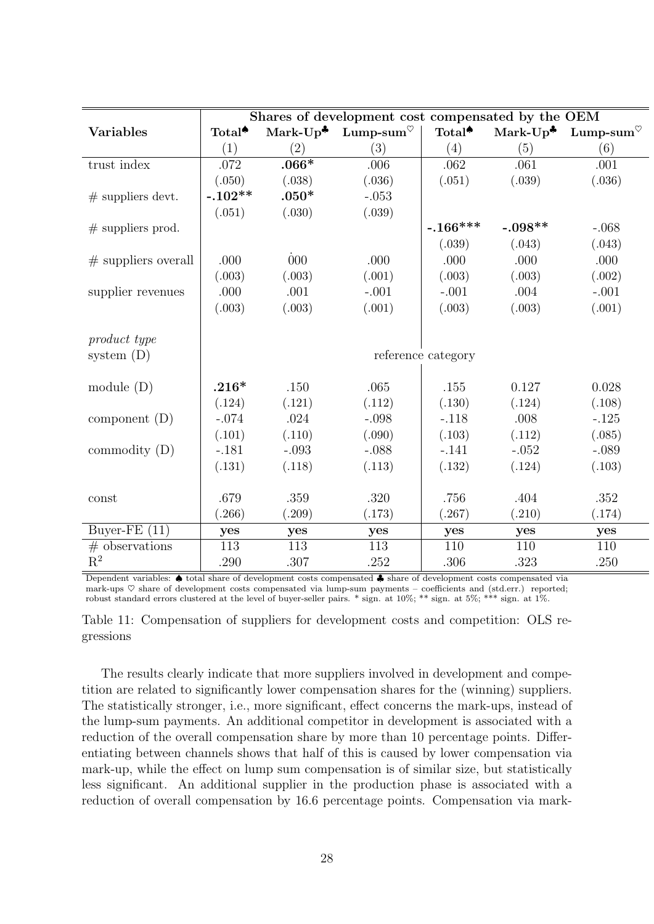|                       |                    |         | Shares of development cost compensated by the OEM                                   |                    |              |          |
|-----------------------|--------------------|---------|-------------------------------------------------------------------------------------|--------------------|--------------|----------|
| <b>Variables</b>      | Total <sup>*</sup> |         | Mark-Up <sup><math>\bullet</math></sup> Lump-sum <sup><math>\heartsuit</math></sup> | Total <sup>*</sup> | Mark- $Up^*$ | Lump-sum |
|                       | (1)                | (2)     | (3)                                                                                 | (4)                | (5)          | (6)      |
| trust index           | .072               | $.066*$ | .006                                                                                | .062               | .061         | .001     |
|                       | (.050)             | (.038)  | (.036)                                                                              | (.051)             | (.039)       | (.036)   |
| $#$ suppliers devt.   | $-.102**$          | $.050*$ | $-.053$                                                                             |                    |              |          |
|                       | (.051)             | (.030)  | (.039)                                                                              |                    |              |          |
| $#$ suppliers prod.   |                    |         |                                                                                     | $-.166***$         | $-.098**$    | $-.068$  |
|                       |                    |         |                                                                                     | (.039)             | (.043)       | (.043)   |
| $#$ suppliers overall | .000               | 000     | .000                                                                                | .000               | .000         | .000     |
|                       | (.003)             | (.003)  | (.001)                                                                              | (.003)             | (.003)       | (.002)   |
| supplier revenues     | .000               | .001    | $-.001$                                                                             | $-.001$            | .004         | $-.001$  |
|                       | (.003)             | (.003)  | (.001)                                                                              | (.003)             | (.003)       | (.001)   |
|                       |                    |         |                                                                                     |                    |              |          |
| product type          |                    |         |                                                                                     |                    |              |          |
| system $(D)$          |                    |         |                                                                                     | reference category |              |          |
|                       |                    |         |                                                                                     |                    |              |          |
| module $(D)$          | $.216*$            | .150    | .065                                                                                | .155               | 0.127        | 0.028    |
|                       | (.124)             | (.121)  | (.112)                                                                              | (.130)             | (.124)       | (.108)   |
| component $(D)$       | $-.074$            | .024    | $-.098$                                                                             | $-.118$            | .008         | $-.125$  |
|                       | (.101)             | (.110)  | (.090)                                                                              | (.103)             | (.112)       | (.085)   |
| commodity $(D)$       | $-.181$            | $-.093$ | $-.088$                                                                             | $-.141$            | $-.052$      | $-.089$  |
|                       | (.131)             | (.118)  | (.113)                                                                              | (.132)             | (.124)       | (.103)   |
|                       |                    |         |                                                                                     |                    |              |          |
| const                 | .679               | .359    | .320                                                                                | .756               | .404         | .352     |
|                       | (.266)             | (.209)  | (.173)                                                                              | (.267)             | (.210)       | (.174)   |
| Buyer-FE $(11)$       | yes                | yes     | yes                                                                                 | yes                | yes          | yes      |
| $#$ observations      | 113                | 113     | 113                                                                                 | 110                | 110          | 110      |
| $\mathbf{R}^2$        | .290               | .307    | .252                                                                                | .306               | .323         | .250     |

Dependent variables: ♠ total share of development costs compensated ♣ share of development costs compensated via mark-ups  $\heartsuit$  share of development costs compensated via lump-sum payments – coefficients and (std.err.) reported; robust standard errors clustered at the level of buyer-seller pairs. \* sign. at 10%; \*\* sign. at 5%; \*\*\* sign. at 1%.

Table 11: Compensation of suppliers for development costs and competition: OLS regressions

The results clearly indicate that more suppliers involved in development and competition are related to significantly lower compensation shares for the (winning) suppliers. The statistically stronger, i.e., more significant, effect concerns the mark-ups, instead of the lump-sum payments. An additional competitor in development is associated with a reduction of the overall compensation share by more than 10 percentage points. Differentiating between channels shows that half of this is caused by lower compensation via mark-up, while the effect on lump sum compensation is of similar size, but statistically less significant. An additional supplier in the production phase is associated with a reduction of overall compensation by 16.6 percentage points. Compensation via mark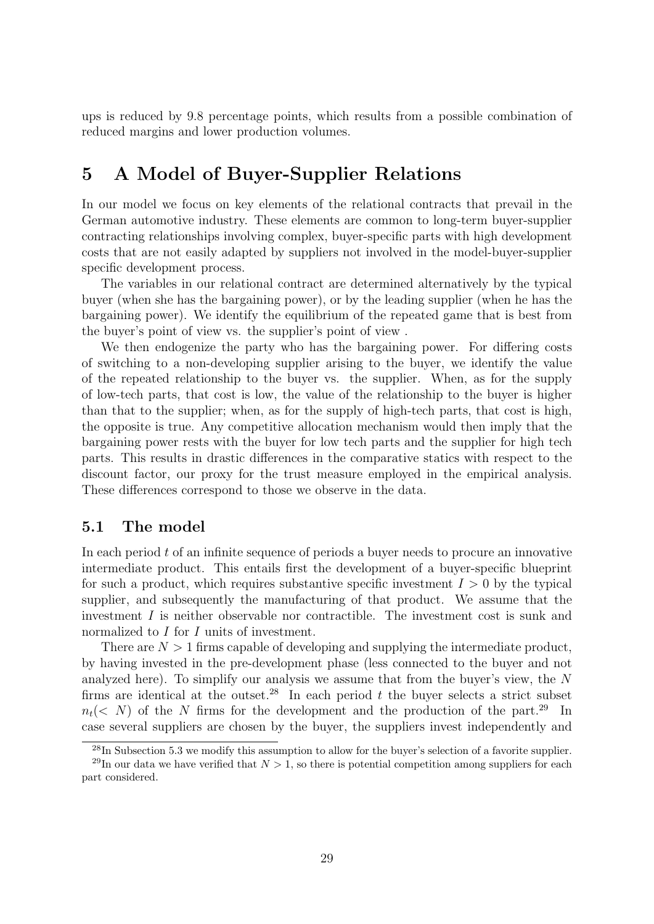ups is reduced by 9.8 percentage points, which results from a possible combination of reduced margins and lower production volumes.

## 5 A Model of Buyer-Supplier Relations

In our model we focus on key elements of the relational contracts that prevail in the German automotive industry. These elements are common to long-term buyer-supplier contracting relationships involving complex, buyer-specific parts with high development costs that are not easily adapted by suppliers not involved in the model-buyer-supplier specific development process.

The variables in our relational contract are determined alternatively by the typical buyer (when she has the bargaining power), or by the leading supplier (when he has the bargaining power). We identify the equilibrium of the repeated game that is best from the buyer's point of view vs. the supplier's point of view .

We then endogenize the party who has the bargaining power. For differing costs of switching to a non-developing supplier arising to the buyer, we identify the value of the repeated relationship to the buyer vs. the supplier. When, as for the supply of low-tech parts, that cost is low, the value of the relationship to the buyer is higher than that to the supplier; when, as for the supply of high-tech parts, that cost is high, the opposite is true. Any competitive allocation mechanism would then imply that the bargaining power rests with the buyer for low tech parts and the supplier for high tech parts. This results in drastic differences in the comparative statics with respect to the discount factor, our proxy for the trust measure employed in the empirical analysis. These differences correspond to those we observe in the data.

#### 5.1 The model

In each period  $t$  of an infinite sequence of periods a buyer needs to procure an innovative intermediate product. This entails first the development of a buyer-specific blueprint for such a product, which requires substantive specific investment  $I > 0$  by the typical supplier, and subsequently the manufacturing of that product. We assume that the investment  $I$  is neither observable nor contractible. The investment cost is sunk and normalized to I for I units of investment.

There are  $N > 1$  firms capable of developing and supplying the intermediate product, by having invested in the pre-development phase (less connected to the buyer and not analyzed here). To simplify our analysis we assume that from the buyer's view, the N firms are identical at the outset.<sup>28</sup> In each period  $t$  the buyer selects a strict subset  $n_t$  (< N) of the N firms for the development and the production of the part.<sup>29</sup> In case several suppliers are chosen by the buyer, the suppliers invest independently and

<sup>28</sup>In Subsection 5.3 we modify this assumption to allow for the buyer's selection of a favorite supplier.

<sup>&</sup>lt;sup>29</sup>In our data we have verified that  $N > 1$ , so there is potential competition among suppliers for each part considered.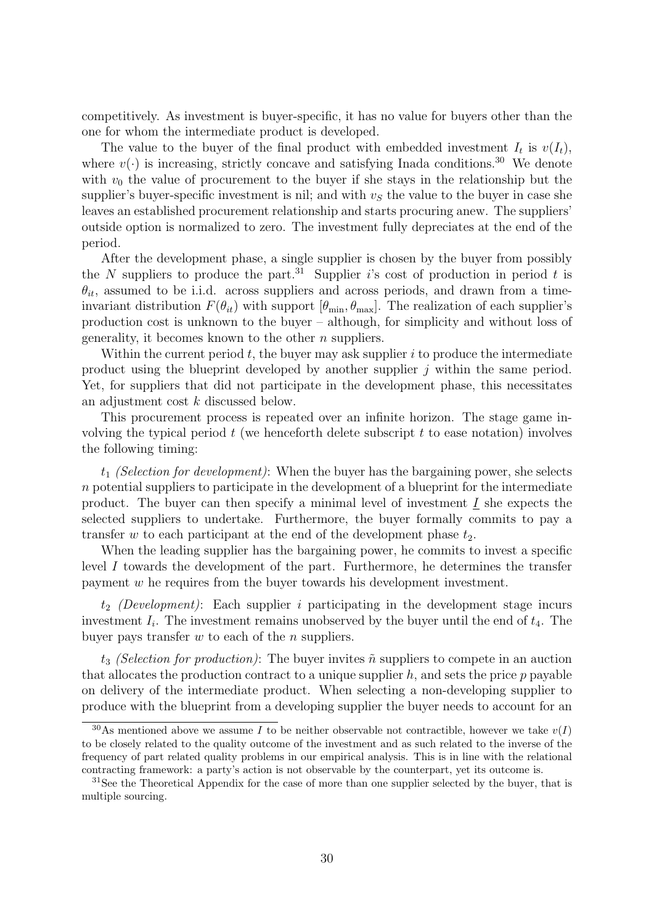competitively. As investment is buyer-specific, it has no value for buyers other than the one for whom the intermediate product is developed.

The value to the buyer of the final product with embedded investment  $I_t$  is  $v(I_t)$ , where  $v(\cdot)$  is increasing, strictly concave and satisfying Inada conditions.<sup>30</sup> We denote with  $v_0$  the value of procurement to the buyer if she stays in the relationship but the supplier's buyer-specific investment is nil; and with  $v<sub>S</sub>$  the value to the buyer in case she leaves an established procurement relationship and starts procuring anew. The suppliers' outside option is normalized to zero. The investment fully depreciates at the end of the period.

After the development phase, a single supplier is chosen by the buyer from possibly the N suppliers to produce the part.<sup>31</sup> Supplier i's cost of production in period t is  $\theta_{it}$ , assumed to be i.i.d. across suppliers and across periods, and drawn from a timeinvariant distribution  $F(\theta_{it})$  with support  $[\theta_{min}, \theta_{max}]$ . The realization of each supplier's production cost is unknown to the buyer – although, for simplicity and without loss of generality, it becomes known to the other  $n$  suppliers.

Within the current period  $t$ , the buyer may ask supplier  $i$  to produce the intermediate product using the blueprint developed by another supplier  $j$  within the same period. Yet, for suppliers that did not participate in the development phase, this necessitates an adjustment cost k discussed below.

This procurement process is repeated over an infinite horizon. The stage game involving the typical period  $t$  (we henceforth delete subscript  $t$  to ease notation) involves the following timing:

 $t_1$  (Selection for development): When the buyer has the bargaining power, she selects n potential suppliers to participate in the development of a blueprint for the intermediate product. The buyer can then specify a minimal level of investment  $I$  she expects the selected suppliers to undertake. Furthermore, the buyer formally commits to pay a transfer w to each participant at the end of the development phase  $t_2$ .

When the leading supplier has the bargaining power, he commits to invest a specific level I towards the development of the part. Furthermore, he determines the transfer payment w he requires from the buyer towards his development investment.

 $t_2$  (Development): Each supplier i participating in the development stage incurs investment  $I_i$ . The investment remains unobserved by the buyer until the end of  $t_4$ . The buyer pays transfer  $w$  to each of the  $n$  suppliers.

 $t_3$  (Selection for production): The buyer invites  $\tilde{n}$  suppliers to compete in an auction that allocates the production contract to a unique supplier  $h$ , and sets the price  $p$  payable on delivery of the intermediate product. When selecting a non-developing supplier to produce with the blueprint from a developing supplier the buyer needs to account for an

<sup>&</sup>lt;sup>30</sup>As mentioned above we assume I to be neither observable not contractible, however we take  $v(I)$ to be closely related to the quality outcome of the investment and as such related to the inverse of the frequency of part related quality problems in our empirical analysis. This is in line with the relational contracting framework: a party's action is not observable by the counterpart, yet its outcome is.

 $31$ See the Theoretical Appendix for the case of more than one supplier selected by the buyer, that is multiple sourcing.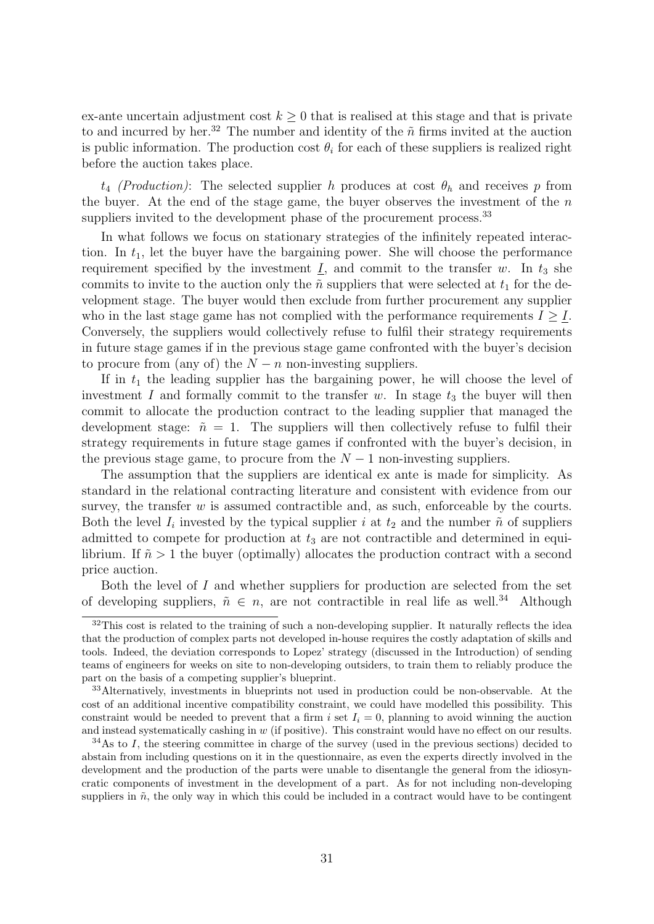ex-ante uncertain adjustment cost  $k \geq 0$  that is realised at this stage and that is private to and incurred by her.<sup>32</sup> The number and identity of the  $\tilde{n}$  firms invited at the auction is public information. The production cost  $\theta_i$  for each of these suppliers is realized right before the auction takes place.

 $t_4$  (*Production*): The selected supplier h produces at cost  $\theta_h$  and receives p from the buyer. At the end of the stage game, the buyer observes the investment of the  $n$ suppliers invited to the development phase of the procurement process.<sup>33</sup>

In what follows we focus on stationary strategies of the infinitely repeated interaction. In  $t_1$ , let the buyer have the bargaining power. She will choose the performance requirement specified by the investment  $I$ , and commit to the transfer w. In  $t_3$  she commits to invite to the auction only the  $\tilde{n}$  suppliers that were selected at  $t_1$  for the development stage. The buyer would then exclude from further procurement any supplier who in the last stage game has not complied with the performance requirements  $I \geq I$ . Conversely, the suppliers would collectively refuse to fulfil their strategy requirements in future stage games if in the previous stage game confronted with the buyer's decision to procure from (any of) the  $N - n$  non-investing suppliers.

If in  $t_1$  the leading supplier has the bargaining power, he will choose the level of investment I and formally commit to the transfer w. In stage  $t_3$  the buyer will then commit to allocate the production contract to the leading supplier that managed the development stage:  $\tilde{n} = 1$ . The suppliers will then collectively refuse to fulfil their strategy requirements in future stage games if confronted with the buyer's decision, in the previous stage game, to procure from the  $N-1$  non-investing suppliers.

The assumption that the suppliers are identical ex ante is made for simplicity. As standard in the relational contracting literature and consistent with evidence from our survey, the transfer  $w$  is assumed contractible and, as such, enforceable by the courts. Both the level  $I_i$  invested by the typical supplier i at  $t_2$  and the number  $\tilde{n}$  of suppliers admitted to compete for production at  $t_3$  are not contractible and determined in equilibrium. If  $\tilde{n} > 1$  the buyer (optimally) allocates the production contract with a second price auction.

Both the level of  $I$  and whether suppliers for production are selected from the set of developing suppliers,  $\tilde{n} \in n$ , are not contractible in real life as well.<sup>34</sup> Although

<sup>&</sup>lt;sup>32</sup>This cost is related to the training of such a non-developing supplier. It naturally reflects the idea that the production of complex parts not developed in-house requires the costly adaptation of skills and tools. Indeed, the deviation corresponds to Lopez' strategy (discussed in the Introduction) of sending teams of engineers for weeks on site to non-developing outsiders, to train them to reliably produce the part on the basis of a competing supplier's blueprint.

<sup>&</sup>lt;sup>33</sup>Alternatively, investments in blueprints not used in production could be non-observable. At the cost of an additional incentive compatibility constraint, we could have modelled this possibility. This constraint would be needed to prevent that a firm i set  $I_i = 0$ , planning to avoid winning the auction and instead systematically cashing in  $w$  (if positive). This constraint would have no effect on our results.

 $34$ As to I, the steering committee in charge of the survey (used in the previous sections) decided to abstain from including questions on it in the questionnaire, as even the experts directly involved in the development and the production of the parts were unable to disentangle the general from the idiosyncratic components of investment in the development of a part. As for not including non-developing suppliers in  $\tilde{n}$ , the only way in which this could be included in a contract would have to be contingent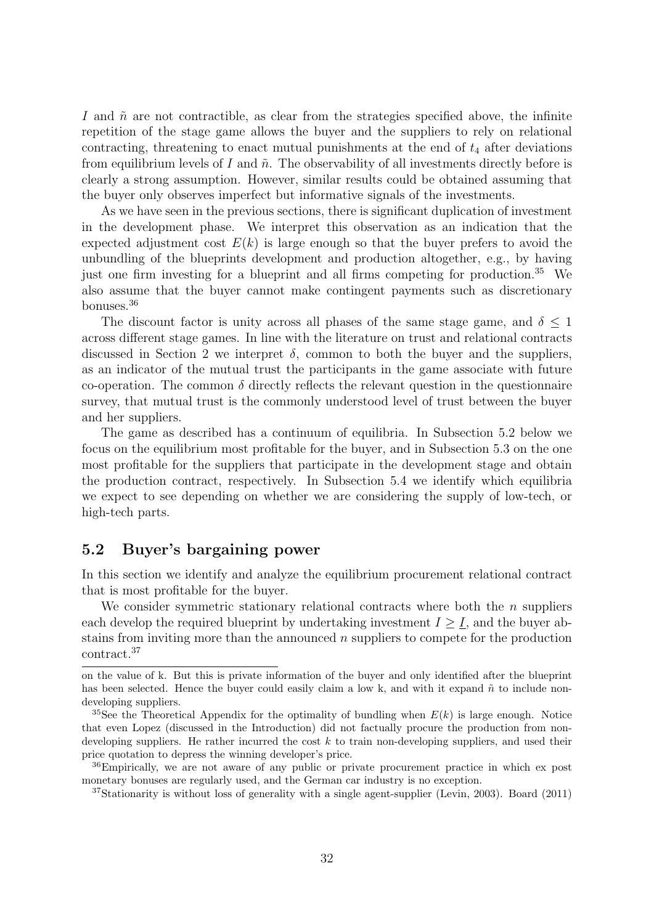I and  $\tilde{n}$  are not contractible, as clear from the strategies specified above, the infinite repetition of the stage game allows the buyer and the suppliers to rely on relational contracting, threatening to enact mutual punishments at the end of  $t_4$  after deviations from equilibrium levels of I and  $\tilde{n}$ . The observability of all investments directly before is clearly a strong assumption. However, similar results could be obtained assuming that the buyer only observes imperfect but informative signals of the investments.

As we have seen in the previous sections, there is significant duplication of investment in the development phase. We interpret this observation as an indication that the expected adjustment cost  $E(k)$  is large enough so that the buyer prefers to avoid the unbundling of the blueprints development and production altogether, e.g., by having just one firm investing for a blueprint and all firms competing for production.<sup>35</sup> We also assume that the buyer cannot make contingent payments such as discretionary bonuses.<sup>36</sup>

The discount factor is unity across all phases of the same stage game, and  $\delta \leq 1$ across different stage games. In line with the literature on trust and relational contracts discussed in Section 2 we interpret  $\delta$ , common to both the buyer and the suppliers, as an indicator of the mutual trust the participants in the game associate with future co-operation. The common  $\delta$  directly reflects the relevant question in the questionnaire survey, that mutual trust is the commonly understood level of trust between the buyer and her suppliers.

The game as described has a continuum of equilibria. In Subsection 5.2 below we focus on the equilibrium most profitable for the buyer, and in Subsection 5.3 on the one most profitable for the suppliers that participate in the development stage and obtain the production contract, respectively. In Subsection 5.4 we identify which equilibria we expect to see depending on whether we are considering the supply of low-tech, or high-tech parts.

#### 5.2 Buyer's bargaining power

In this section we identify and analyze the equilibrium procurement relational contract that is most profitable for the buyer.

We consider symmetric stationary relational contracts where both the  $n$  suppliers each develop the required blueprint by undertaking investment  $I \geq I$ , and the buyer abstains from inviting more than the announced n suppliers to compete for the production contract.<sup>37</sup>

on the value of k. But this is private information of the buyer and only identified after the blueprint has been selected. Hence the buyer could easily claim a low k, and with it expand  $\tilde{n}$  to include nondeveloping suppliers.

<sup>&</sup>lt;sup>35</sup>See the Theoretical Appendix for the optimality of bundling when  $E(k)$  is large enough. Notice that even Lopez (discussed in the Introduction) did not factually procure the production from nondeveloping suppliers. He rather incurred the cost  $k$  to train non-developing suppliers, and used their price quotation to depress the winning developer's price.

<sup>&</sup>lt;sup>36</sup>Empirically, we are not aware of any public or private procurement practice in which ex post monetary bonuses are regularly used, and the German car industry is no exception.

 $37$ Stationarity is without loss of generality with a single agent-supplier (Levin, 2003). Board (2011)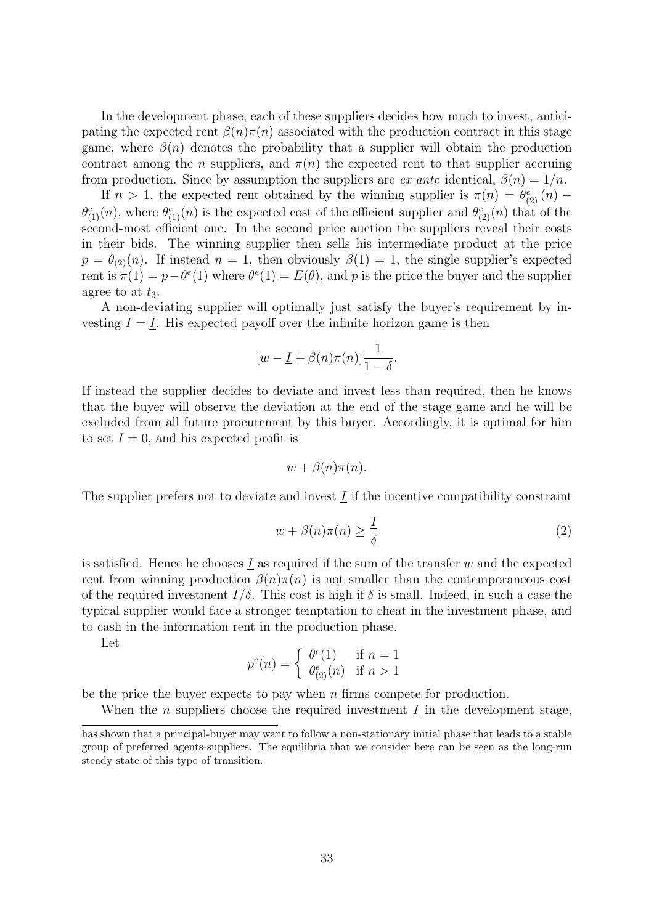In the development phase, each of these suppliers decides how much to invest, anticipating the expected rent  $\beta(n)\pi(n)$  associated with the production contract in this stage game, where  $\beta(n)$  denotes the probability that a supplier will obtain the production contract among the *n* suppliers, and  $\pi(n)$  the expected rent to that supplier accruing from production. Since by assumption the suppliers are ex ante identical,  $\beta(n) = 1/n$ .

If  $n > 1$ , the expected rent obtained by the winning supplier is  $\pi(n) = \theta_{(2)}^e(n)$  $\theta_{(1)}^e(n)$ , where  $\theta_{(1)}^e(n)$  is the expected cost of the efficient supplier and  $\theta_{(2)}^e(n)$  that of the second-most efficient one. In the second price auction the suppliers reveal their costs in their bids. The winning supplier then sells his intermediate product at the price  $p = \theta_{(2)}(n)$ . If instead  $n = 1$ , then obviously  $\beta(1) = 1$ , the single supplier's expected rent is  $\pi(1) = p - \theta^e(1)$  where  $\theta^e(1) = E(\theta)$ , and p is the price the buyer and the supplier agree to at  $t_3$ .

A non-deviating supplier will optimally just satisfy the buyer's requirement by investing  $I = I$ . His expected payoff over the infinite horizon game is then

$$
[w - \underline{I} + \beta(n)\pi(n)]\frac{1}{1-\delta}.
$$

If instead the supplier decides to deviate and invest less than required, then he knows that the buyer will observe the deviation at the end of the stage game and he will be excluded from all future procurement by this buyer. Accordingly, it is optimal for him to set  $I = 0$ , and his expected profit is

$$
w + \beta(n)\pi(n).
$$

The supplier prefers not to deviate and invest  $I$  if the incentive compatibility constraint

$$
w + \beta(n)\pi(n) \ge \frac{1}{\delta} \tag{2}
$$

is satisfied. Hence he chooses  $I$  as required if the sum of the transfer w and the expected rent from winning production  $\beta(n)\pi(n)$  is not smaller than the contemporaneous cost of the required investment  $I/\delta$ . This cost is high if  $\delta$  is small. Indeed, in such a case the typical supplier would face a stronger temptation to cheat in the investment phase, and to cash in the information rent in the production phase.

Let

$$
p^{e}(n) = \begin{cases} \theta^{e}(1) & \text{if } n = 1\\ \theta^{e}_{(2)}(n) & \text{if } n > 1 \end{cases}
$$

be the price the buyer expects to pay when  $n$  firms compete for production.

When the *n* suppliers choose the required investment  $I$  in the development stage,

has shown that a principal-buyer may want to follow a non-stationary initial phase that leads to a stable group of preferred agents-suppliers. The equilibria that we consider here can be seen as the long-run steady state of this type of transition.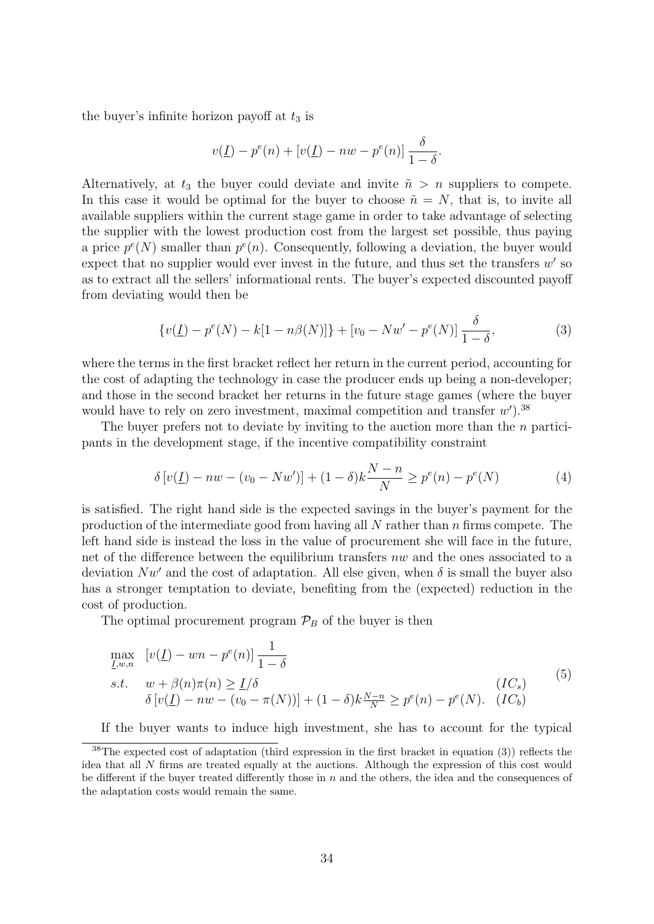the buyer's infinite horizon payoff at  $t_3$  is

$$
v(\underline{I}) - p^{e}(n) + [v(\underline{I}) - nw - p^{e}(n)] \frac{\delta}{1 - \delta}.
$$

Alternatively, at  $t_3$  the buyer could deviate and invite  $\tilde{n} > n$  suppliers to compete. In this case it would be optimal for the buyer to choose  $\tilde{n} = N$ , that is, to invite all available suppliers within the current stage game in order to take advantage of selecting the supplier with the lowest production cost from the largest set possible, thus paying a price  $p^{e}(N)$  smaller than  $p^{e}(n)$ . Consequently, following a deviation, the buyer would expect that no supplier would ever invest in the future, and thus set the transfers  $w'$  so as to extract all the sellers' informational rents. The buyer's expected discounted payoff from deviating would then be

$$
\{v(\underline{I}) - p^{e}(N) - k[1 - n\beta(N)]\} + [v_0 - Nw' - p^{e}(N)]\frac{\delta}{1 - \delta},
$$
\n(3)

where the terms in the first bracket reflect her return in the current period, accounting for the cost of adapting the technology in case the producer ends up being a non-developer; and those in the second bracket her returns in the future stage games (where the buyer would have to rely on zero investment, maximal competition and transfer  $w'$ ).<sup>38</sup>

The buyer prefers not to deviate by inviting to the auction more than the *n* participants in the development stage, if the incentive compatibility constraint

$$
\delta \left[ v(\underline{I}) - nw - (v_0 - Nw') \right] + (1 - \delta)k \frac{N - n}{N} \ge p^e(n) - p^e(N) \tag{4}
$$

is satisfied. The right hand side is the expected savings in the buyer's payment for the production of the intermediate good from having all  $N$  rather than  $n$  firms compete. The left hand side is instead the loss in the value of procurement she will face in the future, net of the difference between the equilibrium transfers nw and the ones associated to a deviation  $Nw'$  and the cost of adaptation. All else given, when  $\delta$  is small the buyer also has a stronger temptation to deviate, benefiting from the (expected) reduction in the cost of production.

The optimal procurement program  $\mathcal{P}_B$  of the buyer is then

$$
\max_{\underline{I},w,n} [v(\underline{I}) - wn - p^e(n)] \frac{1}{1-\delta}
$$
\n
$$
s.t. \quad w + \beta(n)\pi(n) \ge \underline{I}/\delta \qquad (IC_s)
$$
\n
$$
\delta[v(\underline{I}) - nw - (v_0 - \pi(N))] + (1-\delta)k \frac{N-n}{N} \ge p^e(n) - p^e(N). \quad (IC_b)
$$
\n
$$
(5)
$$

If the buyer wants to induce high investment, she has to account for the typical

<sup>38</sup>The expected cost of adaptation (third expression in the first bracket in equation (3)) reflects the idea that all N firms are treated equally at the auctions. Although the expression of this cost would be different if the buyer treated differently those in  $n$  and the others, the idea and the consequences of the adaptation costs would remain the same.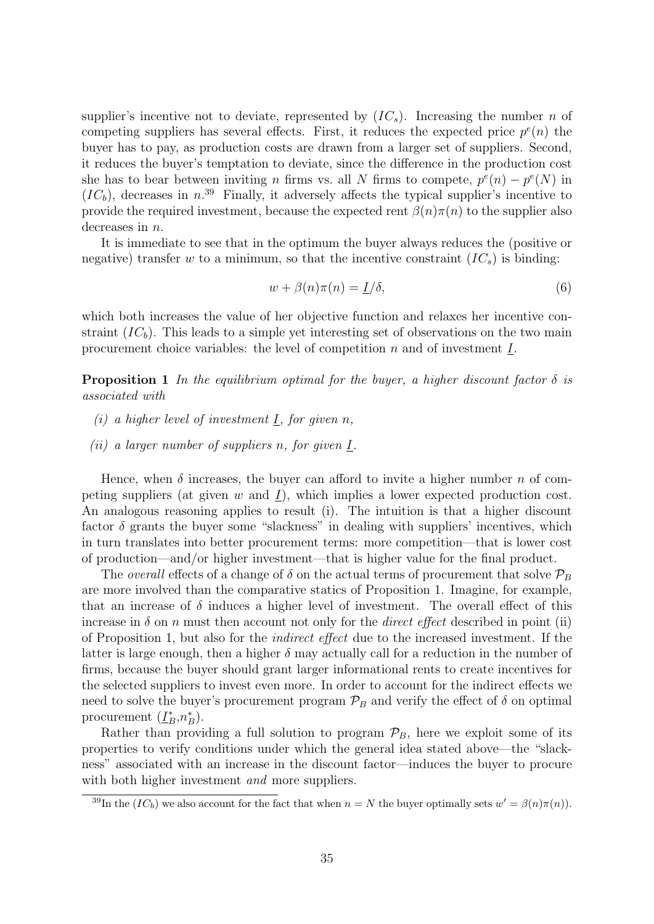supplier's incentive not to deviate, represented by  $(IC_s)$ . Increasing the number n of competing suppliers has several effects. First, it reduces the expected price  $p^{e}(n)$  the buyer has to pay, as production costs are drawn from a larger set of suppliers. Second, it reduces the buyer's temptation to deviate, since the difference in the production cost she has to bear between inviting *n* firms vs. all *N* firms to compete,  $p^{e}(n) - p^{e}(N)$  in  $(IC_b)$ , decreases in n.<sup>39</sup> Finally, it adversely affects the typical supplier's incentive to provide the required investment, because the expected rent  $\beta(n)\pi(n)$  to the supplier also decreases in n.

It is immediate to see that in the optimum the buyer always reduces the (positive or negative) transfer w to a minimum, so that the incentive constraint  $(IC<sub>s</sub>)$  is binding:

$$
w + \beta(n)\pi(n) = \underline{I}/\delta,\tag{6}
$$

which both increases the value of her objective function and relaxes her incentive constraint  $(IC_b)$ . This leads to a simple yet interesting set of observations on the two main procurement choice variables: the level of competition  $n$  and of investment  $I$ .

**Proposition 1** In the equilibrium optimal for the buyer, a higher discount factor  $\delta$  is associated with

- (i) a higher level of investment  $\underline{I}$ , for given n,
- (*ii*) a larger number of suppliers n, for given  $I$ .

Hence, when  $\delta$  increases, the buyer can afford to invite a higher number n of competing suppliers (at given w and I), which implies a lower expected production cost. An analogous reasoning applies to result (i). The intuition is that a higher discount factor  $\delta$  grants the buyer some "slackness" in dealing with suppliers' incentives, which in turn translates into better procurement terms: more competition—that is lower cost of production—and/or higher investment—that is higher value for the final product.

The *overall* effects of a change of  $\delta$  on the actual terms of procurement that solve  $\mathcal{P}_B$ are more involved than the comparative statics of Proposition 1. Imagine, for example, that an increase of  $\delta$  induces a higher level of investment. The overall effect of this increase in  $\delta$  on n must then account not only for the *direct effect* described in point (ii) of Proposition 1, but also for the indirect effect due to the increased investment. If the latter is large enough, then a higher  $\delta$  may actually call for a reduction in the number of firms, because the buyer should grant larger informational rents to create incentives for the selected suppliers to invest even more. In order to account for the indirect effects we need to solve the buyer's procurement program  $\mathcal{P}_B$  and verify the effect of  $\delta$  on optimal procurement  $(\underline{I}_B^*, n_B^*)$ .

Rather than providing a full solution to program  $\mathcal{P}_B$ , here we exploit some of its properties to verify conditions under which the general idea stated above—the "slackness" associated with an increase in the discount factor—induces the buyer to procure with both higher investment *and* more suppliers.

<sup>&</sup>lt;sup>39</sup>In the  $(IC_b)$  we also account for the fact that when  $n = N$  the buyer optimally sets  $w' = \beta(n)\pi(n)$ .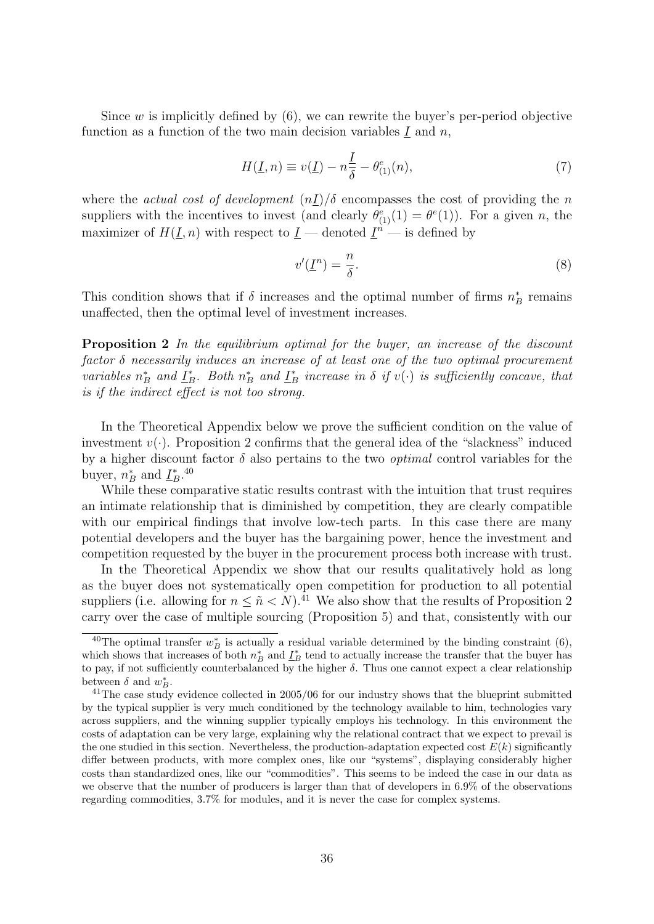Since  $w$  is implicitly defined by  $(6)$ , we can rewrite the buyer's per-period objective function as a function of the two main decision variables  $\underline{I}$  and  $n$ ,

$$
H(\underline{I}, n) \equiv v(\underline{I}) - n\frac{\underline{I}}{\delta} - \theta_{(1)}^{e}(n), \qquad (7)
$$

where the actual cost of development  $(nI)/\delta$  encompasses the cost of providing the n suppliers with the incentives to invest (and clearly  $\theta_{(1)}^e(1) = \theta^e(1)$ ). For a given n, the maximizer of  $H(\underline{I}, n)$  with respect to  $\underline{I}$  — denoted  $\underline{I}^n$  — is defined by

$$
v'(\underline{I}^n) = \frac{n}{\delta}.\tag{8}
$$

This condition shows that if  $\delta$  increases and the optimal number of firms  $n_B^*$  remains unaffected, then the optimal level of investment increases.

**Proposition 2** In the equilibrium optimal for the buyer, an increase of the discount factor δ necessarily induces an increase of at least one of the two optimal procurement variables  $n_B^*$  and  $\underline{I}_B^*$ . Both  $n_B^*$  and  $\underline{I}_B^*$  increase in  $\delta$  if  $v(\cdot)$  is sufficiently concave, that is if the indirect effect is not too strong.

In the Theoretical Appendix below we prove the sufficient condition on the value of investment  $v(\cdot)$ . Proposition 2 confirms that the general idea of the "slackness" induced by a higher discount factor  $\delta$  also pertains to the two *optimal* control variables for the buyer,  $n_B^*$  and  $\underline{I}_B^*$ .<sup>40</sup>

While these comparative static results contrast with the intuition that trust requires an intimate relationship that is diminished by competition, they are clearly compatible with our empirical findings that involve low-tech parts. In this case there are many potential developers and the buyer has the bargaining power, hence the investment and competition requested by the buyer in the procurement process both increase with trust.

In the Theoretical Appendix we show that our results qualitatively hold as long as the buyer does not systematically open competition for production to all potential suppliers (i.e. allowing for  $n \leq \tilde{n} < N$ ).<sup>41</sup> We also show that the results of Proposition 2 carry over the case of multiple sourcing (Proposition 5) and that, consistently with our

<sup>&</sup>lt;sup>40</sup>The optimal transfer  $w_B^*$  is actually a residual variable determined by the binding constraint (6), which shows that increases of both  $n_B^*$  and  $\underline{I}_B^*$  tend to actually increase the transfer that the buyer has to pay, if not sufficiently counterbalanced by the higher  $\delta$ . Thus one cannot expect a clear relationship between  $\delta$  and  $w_B^*$ .

<sup>&</sup>lt;sup>41</sup>The case study evidence collected in 2005/06 for our industry shows that the blueprint submitted by the typical supplier is very much conditioned by the technology available to him, technologies vary across suppliers, and the winning supplier typically employs his technology. In this environment the costs of adaptation can be very large, explaining why the relational contract that we expect to prevail is the one studied in this section. Nevertheless, the production-adaptation expected cost  $E(k)$  significantly differ between products, with more complex ones, like our "systems", displaying considerably higher costs than standardized ones, like our "commodities". This seems to be indeed the case in our data as we observe that the number of producers is larger than that of developers in 6.9% of the observations regarding commodities, 3.7% for modules, and it is never the case for complex systems.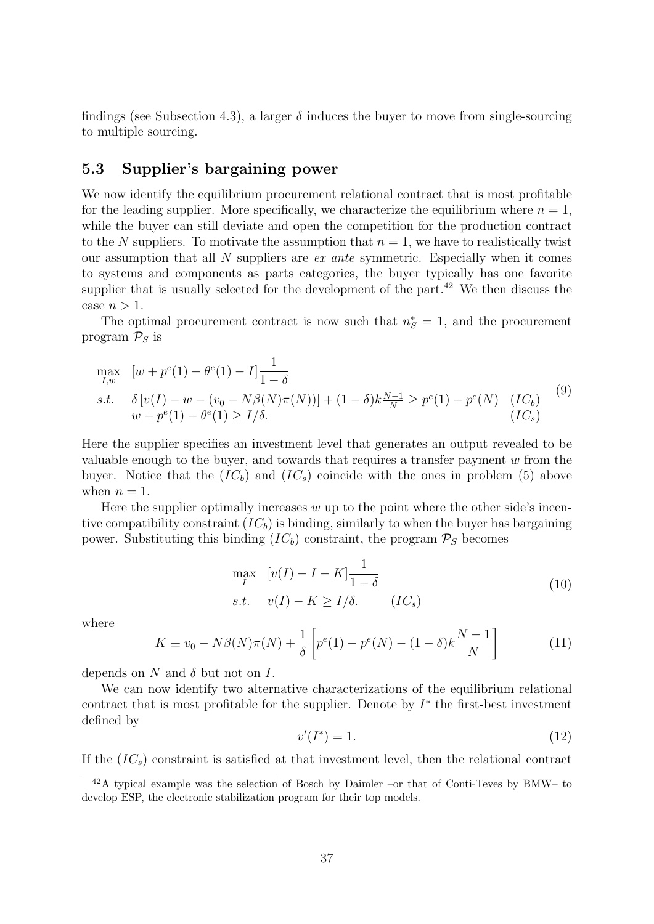findings (see Subsection 4.3), a larger  $\delta$  induces the buyer to move from single-sourcing to multiple sourcing.

#### 5.3 Supplier's bargaining power

We now identify the equilibrium procurement relational contract that is most profitable for the leading supplier. More specifically, we characterize the equilibrium where  $n = 1$ , while the buyer can still deviate and open the competition for the production contract to the N suppliers. To motivate the assumption that  $n = 1$ , we have to realistically twist our assumption that all  $N$  suppliers are *ex ante* symmetric. Especially when it comes to systems and components as parts categories, the buyer typically has one favorite supplier that is usually selected for the development of the part. $42$  We then discuss the case  $n > 1$ .

The optimal procurement contract is now such that  $n_S^* = 1$ , and the procurement program  $P_S$  is

$$
\max_{I,w} \quad [w + p^{e}(1) - \theta^{e}(1) - I] \frac{1}{1 - \delta}
$$
\n
$$
s.t. \quad \delta[v(I) - w - (v_0 - N\beta(N)\pi(N))] + (1 - \delta)k \frac{N-1}{N} \ge p^{e}(1) - p^{e}(N) \quad (IC_b)
$$
\n
$$
w + p^{e}(1) - \theta^{e}(1) \ge I/\delta. \tag{IC_s}
$$

Here the supplier specifies an investment level that generates an output revealed to be valuable enough to the buyer, and towards that requires a transfer payment  $w$  from the buyer. Notice that the  $(IC_b)$  and  $(IC_s)$  coincide with the ones in problem (5) above when  $n = 1$ .

Here the supplier optimally increases  $w$  up to the point where the other side's incentive compatibility constraint  $(IC_b)$  is binding, similarly to when the buyer has bargaining power. Substituting this binding  $(IC_b)$  constraint, the program  $\mathcal{P}_S$  becomes

$$
\max_{I} \quad [v(I) - I - K] \frac{1}{1 - \delta}
$$
  
s.t. 
$$
v(I) - K \ge I/\delta. \qquad (IC_s)
$$
 (10)

where

$$
K \equiv v_0 - N\beta(N)\pi(N) + \frac{1}{\delta} \left[ p^e(1) - p^e(N) - (1 - \delta)k \frac{N - 1}{N} \right]
$$
 (11)

depends on N and  $\delta$  but not on I.

We can now identify two alternative characterizations of the equilibrium relational contract that is most profitable for the supplier. Denote by  $I^*$  the first-best investment defined by

$$
v'(I^*) = 1.\tag{12}
$$

If the  $(IC_s)$  constraint is satisfied at that investment level, then the relational contract

<sup>42</sup>A typical example was the selection of Bosch by Daimler –or that of Conti-Teves by BMW– to develop ESP, the electronic stabilization program for their top models.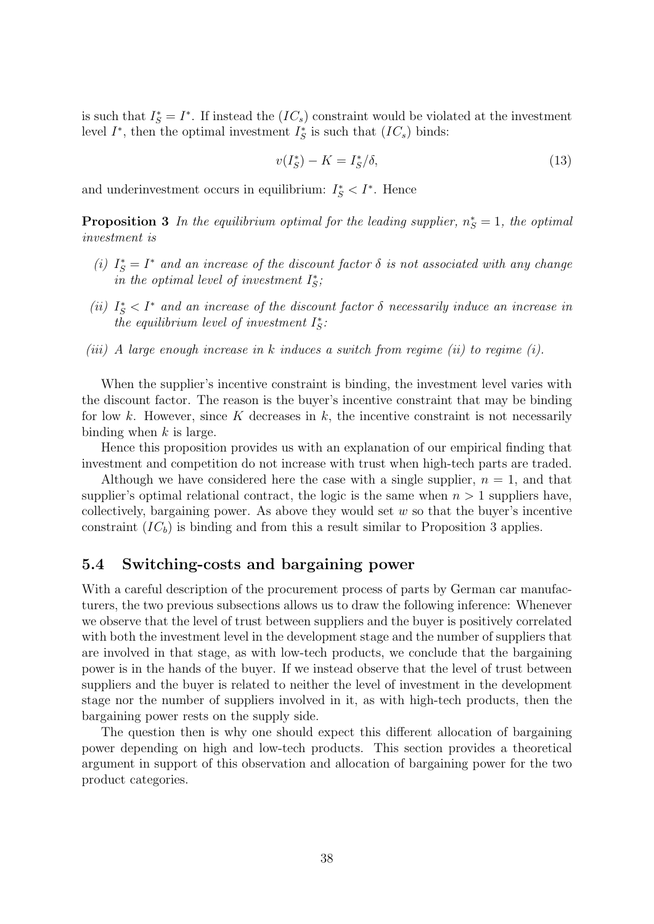is such that  $I_{S}^{*} = I^{*}$ . If instead the  $(IC_{s})$  constraint would be violated at the investment level  $I^*$ , then the optimal investment  $I^*_S$  is such that  $(IC_s)$  binds:

$$
v(I_S^*) - K = I_S^*/\delta,\tag{13}
$$

and underinvestment occurs in equilibrium:  $I_S^* < I^*$ . Hence

**Proposition 3** In the equilibrium optimal for the leading supplier,  $n_S^* = 1$ , the optimal investment is

- (i)  $I_S^* = I^*$  and an increase of the discount factor  $\delta$  is not associated with any change in the optimal level of investment  $I_{\mathcal{S}}^*$ ;
- (ii)  $I_S^* < I^*$  and an increase of the discount factor  $\delta$  necessarily induce an increase in the equilibrium level of investment  $I_S^*$ :
- (iii) A large enough increase in k induces a switch from regime (ii) to regime (i).

When the supplier's incentive constraint is binding, the investment level varies with the discount factor. The reason is the buyer's incentive constraint that may be binding for low k. However, since K decreases in  $k$ , the incentive constraint is not necessarily binding when  $k$  is large.

Hence this proposition provides us with an explanation of our empirical finding that investment and competition do not increase with trust when high-tech parts are traded.

Although we have considered here the case with a single supplier,  $n = 1$ , and that supplier's optimal relational contract, the logic is the same when  $n > 1$  suppliers have, collectively, bargaining power. As above they would set  $w$  so that the buyer's incentive constraint  $(IC_b)$  is binding and from this a result similar to Proposition 3 applies.

#### 5.4 Switching-costs and bargaining power

With a careful description of the procurement process of parts by German car manufacturers, the two previous subsections allows us to draw the following inference: Whenever we observe that the level of trust between suppliers and the buyer is positively correlated with both the investment level in the development stage and the number of suppliers that are involved in that stage, as with low-tech products, we conclude that the bargaining power is in the hands of the buyer. If we instead observe that the level of trust between suppliers and the buyer is related to neither the level of investment in the development stage nor the number of suppliers involved in it, as with high-tech products, then the bargaining power rests on the supply side.

The question then is why one should expect this different allocation of bargaining power depending on high and low-tech products. This section provides a theoretical argument in support of this observation and allocation of bargaining power for the two product categories.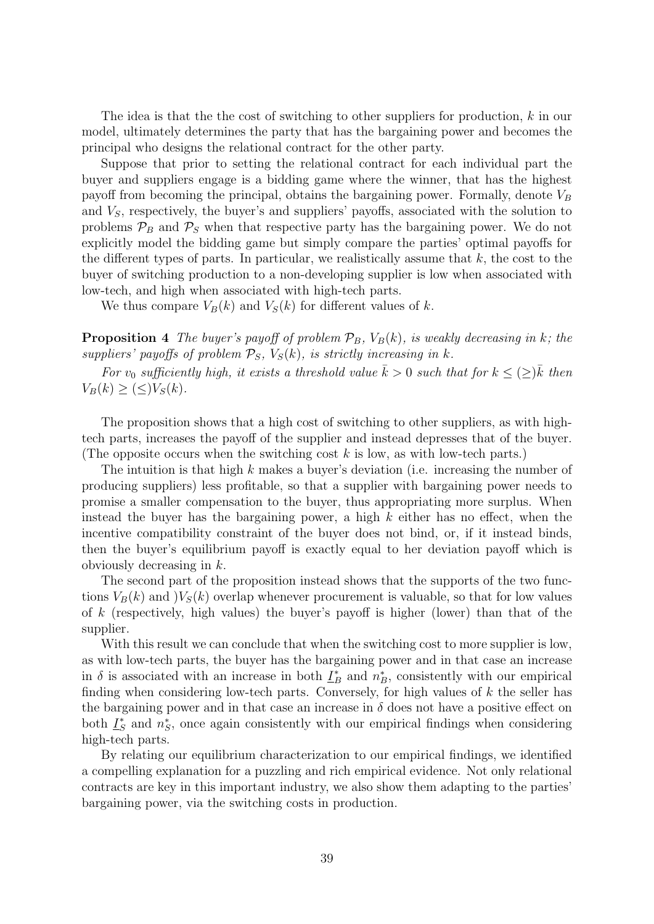The idea is that the the cost of switching to other suppliers for production, k in our model, ultimately determines the party that has the bargaining power and becomes the principal who designs the relational contract for the other party.

Suppose that prior to setting the relational contract for each individual part the buyer and suppliers engage is a bidding game where the winner, that has the highest payoff from becoming the principal, obtains the bargaining power. Formally, denote  $V_B$ and  $V<sub>S</sub>$ , respectively, the buyer's and suppliers' payoffs, associated with the solution to problems  $P_B$  and  $P_S$  when that respective party has the bargaining power. We do not explicitly model the bidding game but simply compare the parties' optimal payoffs for the different types of parts. In particular, we realistically assume that  $k$ , the cost to the buyer of switching production to a non-developing supplier is low when associated with low-tech, and high when associated with high-tech parts.

We thus compare  $V_B(k)$  and  $V_S(k)$  for different values of k.

**Proposition 4** The buyer's payoff of problem  $\mathcal{P}_B$ ,  $V_B(k)$ , is weakly decreasing in k; the suppliers' payoffs of problem  $\mathcal{P}_S$ ,  $V_S(k)$ , is strictly increasing in k.

For  $v_0$  sufficiently high, it exists a threshold value  $\bar{k} > 0$  such that for  $k \leq (\geq) \bar{k}$  then  $V_B(k) \geq (\leq)V_S(k)$ .

The proposition shows that a high cost of switching to other suppliers, as with hightech parts, increases the payoff of the supplier and instead depresses that of the buyer. (The opposite occurs when the switching cost  $k$  is low, as with low-tech parts.)

The intuition is that high k makes a buyer's deviation (i.e. increasing the number of producing suppliers) less profitable, so that a supplier with bargaining power needs to promise a smaller compensation to the buyer, thus appropriating more surplus. When instead the buyer has the bargaining power, a high  $k$  either has no effect, when the incentive compatibility constraint of the buyer does not bind, or, if it instead binds, then the buyer's equilibrium payoff is exactly equal to her deviation payoff which is obviously decreasing in k.

The second part of the proposition instead shows that the supports of the two functions  $V_B(k)$  and  $)V_S(k)$  overlap whenever procurement is valuable, so that for low values of k (respectively, high values) the buyer's payoff is higher (lower) than that of the supplier.

With this result we can conclude that when the switching cost to more supplier is low, as with low-tech parts, the buyer has the bargaining power and in that case an increase in  $\delta$  is associated with an increase in both  $\underline{I}_B^*$  and  $n_B^*$ , consistently with our empirical finding when considering low-tech parts. Conversely, for high values of  $k$  the seller has the bargaining power and in that case an increase in  $\delta$  does not have a positive effect on both  $L_S^*$  $*_{S}$  and  $n_{S}^{*}$ , once again consistently with our empirical findings when considering high-tech parts.

By relating our equilibrium characterization to our empirical findings, we identified a compelling explanation for a puzzling and rich empirical evidence. Not only relational contracts are key in this important industry, we also show them adapting to the parties' bargaining power, via the switching costs in production.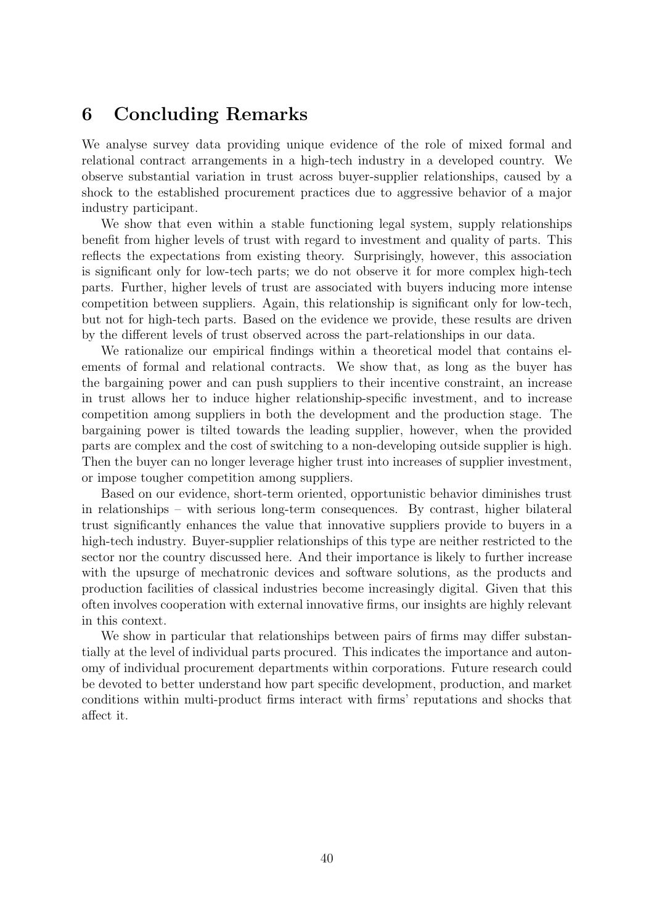## 6 Concluding Remarks

We analyse survey data providing unique evidence of the role of mixed formal and relational contract arrangements in a high-tech industry in a developed country. We observe substantial variation in trust across buyer-supplier relationships, caused by a shock to the established procurement practices due to aggressive behavior of a major industry participant.

We show that even within a stable functioning legal system, supply relationships benefit from higher levels of trust with regard to investment and quality of parts. This reflects the expectations from existing theory. Surprisingly, however, this association is significant only for low-tech parts; we do not observe it for more complex high-tech parts. Further, higher levels of trust are associated with buyers inducing more intense competition between suppliers. Again, this relationship is significant only for low-tech, but not for high-tech parts. Based on the evidence we provide, these results are driven by the different levels of trust observed across the part-relationships in our data.

We rationalize our empirical findings within a theoretical model that contains elements of formal and relational contracts. We show that, as long as the buyer has the bargaining power and can push suppliers to their incentive constraint, an increase in trust allows her to induce higher relationship-specific investment, and to increase competition among suppliers in both the development and the production stage. The bargaining power is tilted towards the leading supplier, however, when the provided parts are complex and the cost of switching to a non-developing outside supplier is high. Then the buyer can no longer leverage higher trust into increases of supplier investment, or impose tougher competition among suppliers.

Based on our evidence, short-term oriented, opportunistic behavior diminishes trust in relationships – with serious long-term consequences. By contrast, higher bilateral trust significantly enhances the value that innovative suppliers provide to buyers in a high-tech industry. Buyer-supplier relationships of this type are neither restricted to the sector nor the country discussed here. And their importance is likely to further increase with the upsurge of mechatronic devices and software solutions, as the products and production facilities of classical industries become increasingly digital. Given that this often involves cooperation with external innovative firms, our insights are highly relevant in this context.

We show in particular that relationships between pairs of firms may differ substantially at the level of individual parts procured. This indicates the importance and autonomy of individual procurement departments within corporations. Future research could be devoted to better understand how part specific development, production, and market conditions within multi-product firms interact with firms' reputations and shocks that affect it.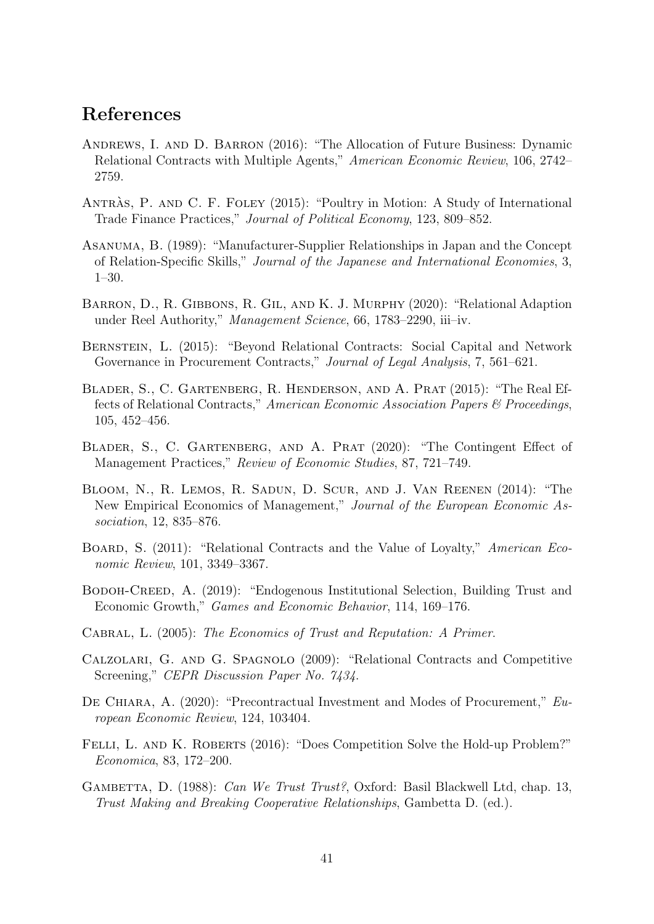## References

- Andrews, I. and D. Barron (2016): "The Allocation of Future Business: Dynamic Relational Contracts with Multiple Agents," American Economic Review, 106, 2742– 2759.
- ANTRAS, P. AND C. F. FOLEY (2015): "Poultry in Motion: A Study of International Trade Finance Practices," Journal of Political Economy, 123, 809–852.
- Asanuma, B. (1989): "Manufacturer-Supplier Relationships in Japan and the Concept of Relation-Specific Skills," Journal of the Japanese and International Economies, 3, 1–30.
- BARRON, D., R. GIBBONS, R. GIL, AND K. J. MURPHY (2020): "Relational Adaption under Reel Authority," Management Science, 66, 1783–2290, iii–iv.
- Bernstein, L. (2015): "Beyond Relational Contracts: Social Capital and Network Governance in Procurement Contracts," Journal of Legal Analysis, 7, 561–621.
- Blader, S., C. Gartenberg, R. Henderson, and A. Prat (2015): "The Real Effects of Relational Contracts," American Economic Association Papers & Proceedings, 105, 452–456.
- BLADER, S., C. GARTENBERG, AND A. PRAT (2020): "The Contingent Effect of Management Practices," Review of Economic Studies, 87, 721–749.
- Bloom, N., R. Lemos, R. Sadun, D. Scur, and J. Van Reenen (2014): "The New Empirical Economics of Management," Journal of the European Economic Association, 12, 835–876.
- BOARD, S. (2011): "Relational Contracts and the Value of Loyalty," American Economic Review, 101, 3349–3367.
- Bodoh-Creed, A. (2019): "Endogenous Institutional Selection, Building Trust and Economic Growth," Games and Economic Behavior, 114, 169–176.
- CABRAL, L. (2005): The Economics of Trust and Reputation: A Primer.
- Calzolari, G. and G. Spagnolo (2009): "Relational Contracts and Competitive Screening," CEPR Discussion Paper No. 7434.
- De Chiara, A. (2020): "Precontractual Investment and Modes of Procurement," European Economic Review, 124, 103404.
- FELLI, L. AND K. ROBERTS (2016): "Does Competition Solve the Hold-up Problem?" Economica, 83, 172–200.
- GAMBETTA, D. (1988): Can We Trust Trust?, Oxford: Basil Blackwell Ltd, chap. 13, Trust Making and Breaking Cooperative Relationships, Gambetta D. (ed.).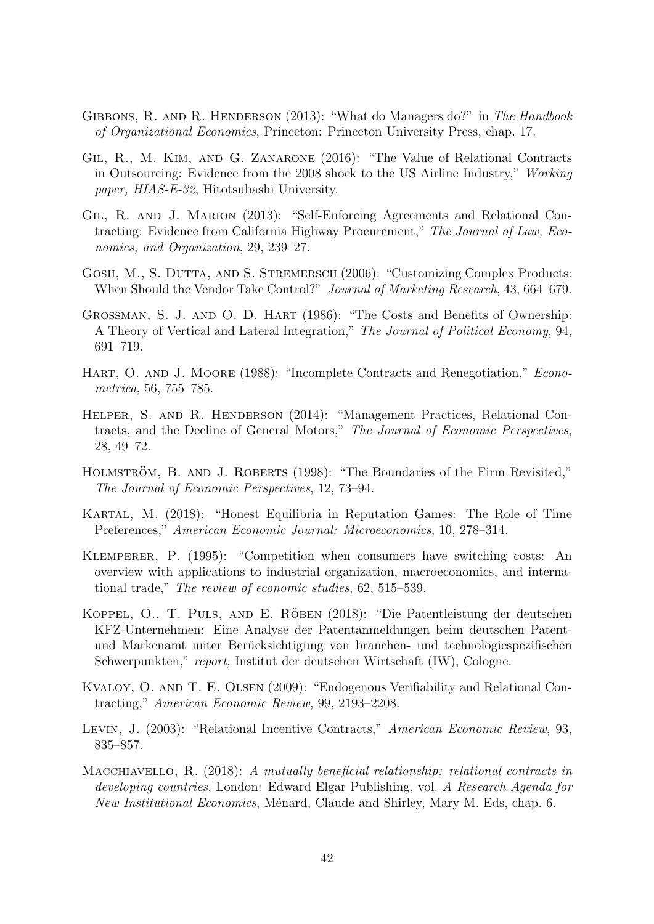- GIBBONS, R. AND R. HENDERSON (2013): "What do Managers do?" in The Handbook of Organizational Economics, Princeton: Princeton University Press, chap. 17.
- Gil, R., M. Kim, and G. Zanarone (2016): "The Value of Relational Contracts in Outsourcing: Evidence from the 2008 shock to the US Airline Industry," Working paper, HIAS-E-32, Hitotsubashi University.
- Gil, R. and J. Marion (2013): "Self-Enforcing Agreements and Relational Contracting: Evidence from California Highway Procurement," The Journal of Law, Economics, and Organization, 29, 239–27.
- GOSH, M., S. DUTTA, AND S. STREMERSCH (2006): "Customizing Complex Products: When Should the Vendor Take Control?" *Journal of Marketing Research*, 43, 664–679.
- GROSSMAN, S. J. AND O. D. HART (1986): "The Costs and Benefits of Ownership: A Theory of Vertical and Lateral Integration," The Journal of Political Economy, 94, 691–719.
- HART, O. AND J. MOORE (1988): "Incomplete Contracts and Renegotiation," *Econo*metrica, 56, 755–785.
- Helper, S. and R. Henderson (2014): "Management Practices, Relational Contracts, and the Decline of General Motors," The Journal of Economic Perspectives, 28, 49–72.
- HOLMSTRÖM, B. AND J. ROBERTS (1998): "The Boundaries of the Firm Revisited," The Journal of Economic Perspectives, 12, 73–94.
- Kartal, M. (2018): "Honest Equilibria in Reputation Games: The Role of Time Preferences," American Economic Journal: Microeconomics, 10, 278–314.
- Klemperer, P. (1995): "Competition when consumers have switching costs: An overview with applications to industrial organization, macroeconomics, and international trade," The review of economic studies, 62, 515–539.
- KOPPEL, O., T. PULS, AND E. RÖBEN (2018): "Die Patentleistung der deutschen KFZ-Unternehmen: Eine Analyse der Patentanmeldungen beim deutschen Patentund Markenamt unter Berücksichtigung von branchen- und technologiespezifischen Schwerpunkten," report, Institut der deutschen Wirtschaft (IW), Cologne.
- Kvaloy, O. and T. E. Olsen (2009): "Endogenous Verifiability and Relational Contracting," American Economic Review, 99, 2193–2208.
- Levin, J. (2003): "Relational Incentive Contracts," American Economic Review, 93, 835–857.
- Macchiavello, R. (2018): A mutually beneficial relationship: relational contracts in developing countries, London: Edward Elgar Publishing, vol. A Research Agenda for New Institutional Economics, Ménard, Claude and Shirley, Mary M. Eds, chap. 6.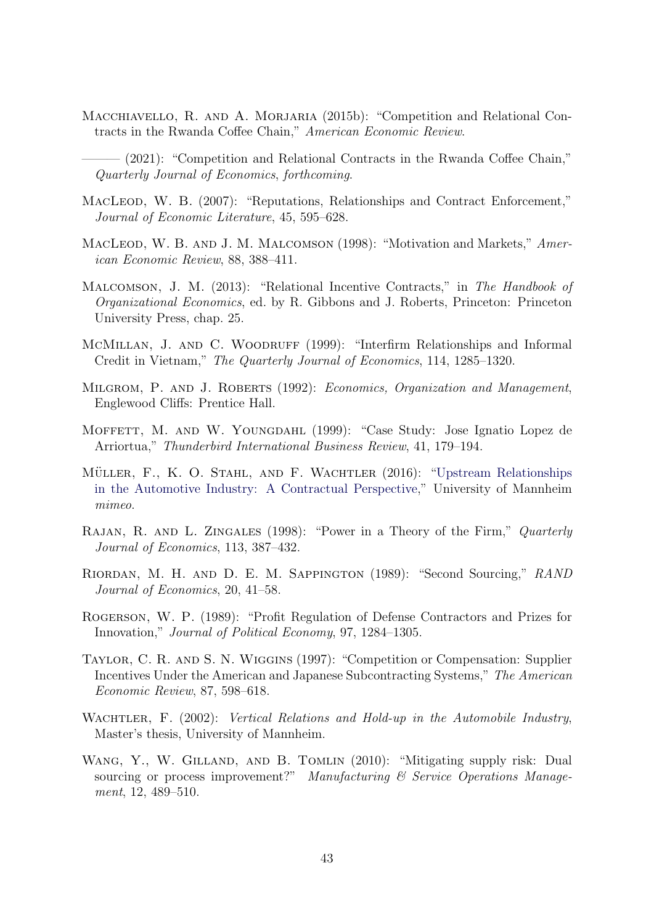- MACCHIAVELLO, R. AND A. MORJARIA (2015b): "Competition and Relational Contracts in the Rwanda Coffee Chain," American Economic Review.
- $-$  (2021): "Competition and Relational Contracts in the Rwanda Coffee Chain," Quarterly Journal of Economics, forthcoming.
- MACLEOD, W. B. (2007): "Reputations, Relationships and Contract Enforcement," Journal of Economic Literature, 45, 595–628.
- MACLEOD, W. B. AND J. M. MALCOMSON (1998): "Motivation and Markets," American Economic Review, 88, 388–411.
- Malcomson, J. M. (2013): "Relational Incentive Contracts," in The Handbook of Organizational Economics, ed. by R. Gibbons and J. Roberts, Princeton: Princeton University Press, chap. 25.
- McMillan, J. and C. Woodruff (1999): "Interfirm Relationships and Informal Credit in Vietnam," The Quarterly Journal of Economics, 114, 1285–1320.
- MILGROM, P. AND J. ROBERTS (1992): Economics, Organization and Management, Englewood Cliffs: Prentice Hall.
- MOFFETT, M. AND W. YOUNGDAHL (1999): "Case Study: Jose Ignatio Lopez de Arriortua," Thunderbird International Business Review, 41, 179–194.
- MÜLLER, F., K. O. STAHL, AND F. WACHTLER (2016): ["Upstream Relationships](https://www.vwl.uni-mannheim.de/media/Lehrstuehle/vwl/Stahl/MueStaWa_2016_03_19.pdf) [in the Automotive Industry: A Contractual Perspective,](https://www.vwl.uni-mannheim.de/media/Lehrstuehle/vwl/Stahl/MueStaWa_2016_03_19.pdf)" University of Mannheim mimeo.
- RAJAN, R. AND L. ZINGALES (1998): "Power in a Theory of the Firm," Quarterly Journal of Economics, 113, 387–432.
- Riordan, M. H. and D. E. M. Sappington (1989): "Second Sourcing," RAND Journal of Economics, 20, 41–58.
- Rogerson, W. P. (1989): "Profit Regulation of Defense Contractors and Prizes for Innovation," Journal of Political Economy, 97, 1284–1305.
- Taylor, C. R. and S. N. Wiggins (1997): "Competition or Compensation: Supplier Incentives Under the American and Japanese Subcontracting Systems," The American Economic Review, 87, 598–618.
- WACHTLER, F. (2002): Vertical Relations and Hold-up in the Automobile Industry, Master's thesis, University of Mannheim.
- WANG, Y., W. GILLAND, AND B. TOMLIN (2010): "Mitigating supply risk: Dual sourcing or process improvement?" Manufacturing & Service Operations Management, 12, 489–510.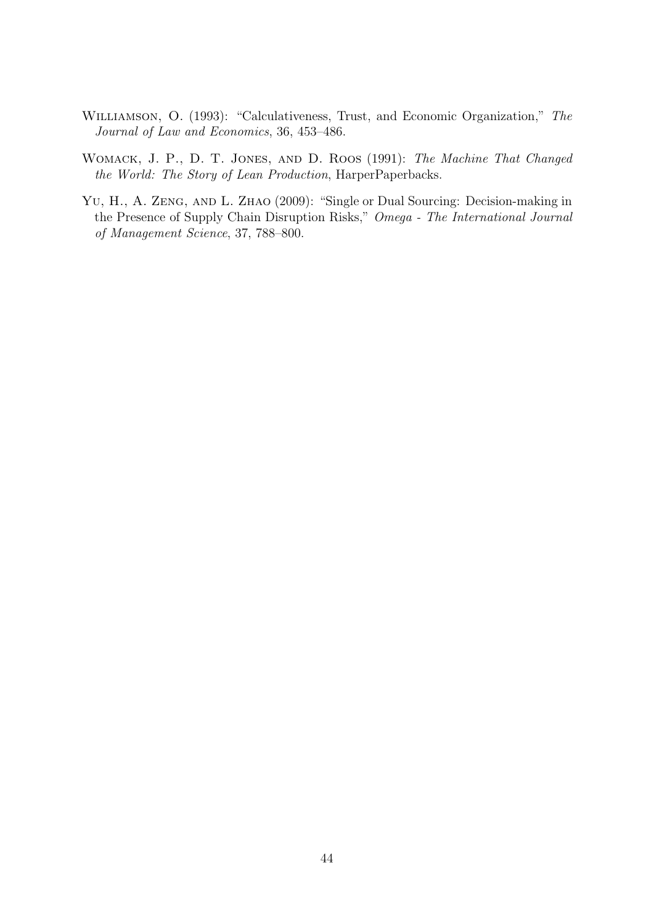- Williamson, O. (1993): "Calculativeness, Trust, and Economic Organization," The Journal of Law and Economics, 36, 453–486.
- Womack, J. P., D. T. Jones, and D. Roos (1991): The Machine That Changed the World: The Story of Lean Production, HarperPaperbacks.
- YU, H., A. ZENG, AND L. ZHAO (2009): "Single or Dual Sourcing: Decision-making in the Presence of Supply Chain Disruption Risks," Omega - The International Journal of Management Science, 37, 788–800.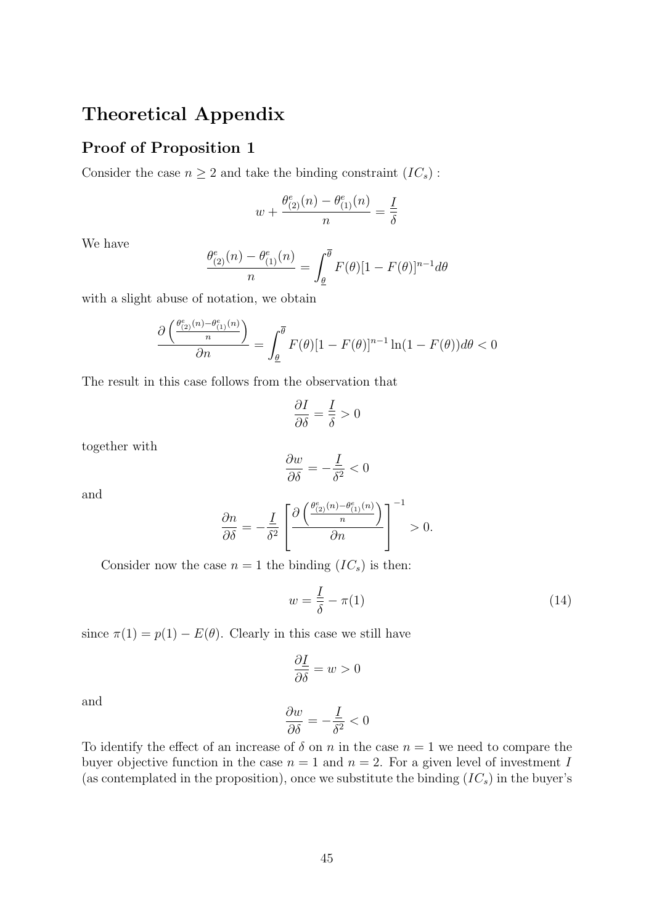## Theoretical Appendix

#### Proof of Proposition 1

Consider the case  $n \geq 2$  and take the binding constraint  $(IC_s)$ :

$$
w + \frac{\theta_{(2)}^e(n) - \theta_{(1)}^e(n)}{n} = \frac{1}{\delta}
$$

We have

$$
\frac{\theta_{(2)}^e(n) - \theta_{(1)}^e(n)}{n} = \int_{\underline{\theta}}^{\overline{\theta}} F(\theta)[1 - F(\theta)]^{n-1} d\theta
$$

with a slight abuse of notation, we obtain

$$
\frac{\partial \left(\frac{\theta_{(2)}^e(n) - \theta_{(1)}^e(n)}{n}\right)}{\partial n} = \int_{\underline{\theta}}^{\overline{\theta}} F(\theta)[1 - F(\theta)]^{n-1} \ln(1 - F(\theta)) d\theta < 0
$$

The result in this case follows from the observation that

$$
\frac{\partial I}{\partial \delta} = \frac{I}{\delta} > 0
$$

together with

$$
\frac{\partial w}{\partial \delta} = -\frac{I}{\delta^2} < 0
$$

and

$$
\frac{\partial n}{\partial \delta} = -\frac{I}{\delta^2} \left[ \frac{\partial \left( \frac{\theta_{(2)}^e(n) - \theta_{(1)}^e(n)}{n} \right)}{\partial n} \right]^{-1} > 0.
$$

Consider now the case  $n = 1$  the binding  $(IC_s)$  is then:

$$
w = \frac{I}{\delta} - \pi(1) \tag{14}
$$

since  $\pi(1) = p(1) - E(\theta)$ . Clearly in this case we still have

$$
\frac{\partial \underline{I}}{\partial \delta} = w > 0
$$

and

$$
\frac{\partial w}{\partial \delta} = -\frac{I}{\delta^2} < 0
$$

To identify the effect of an increase of  $\delta$  on n in the case  $n = 1$  we need to compare the buyer objective function in the case  $n = 1$  and  $n = 2$ . For a given level of investment I (as contemplated in the proposition), once we substitute the binding  $(IC_s)$  in the buyer's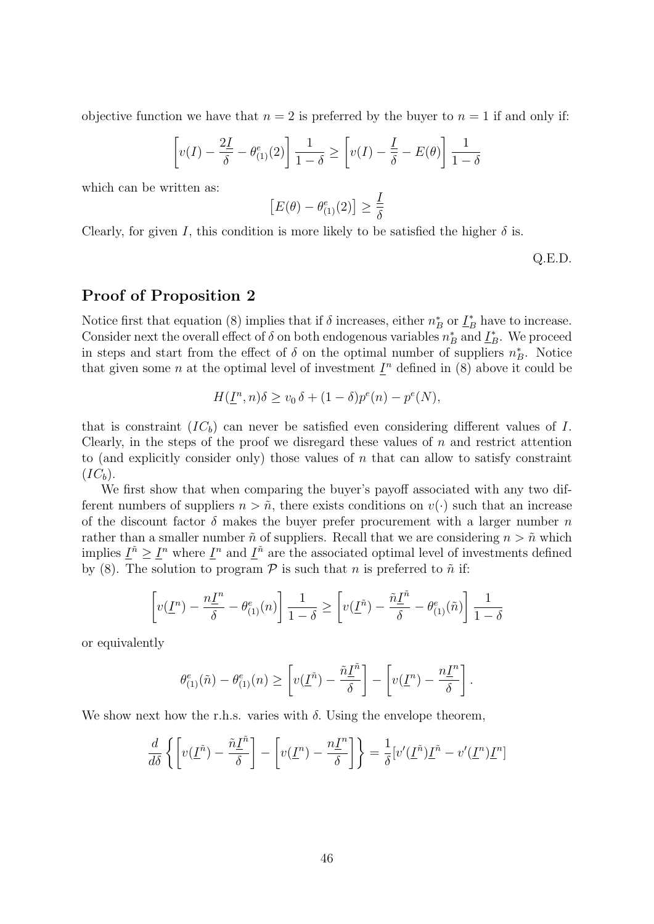objective function we have that  $n = 2$  is preferred by the buyer to  $n = 1$  if and only if:

$$
\left[v(I) - \frac{2I}{\delta} - \theta_{(1)}^e(2)\right] \frac{1}{1-\delta} \ge \left[v(I) - \frac{I}{\delta} - E(\theta)\right] \frac{1}{1-\delta}
$$

which can be written as:

$$
[E(\theta) - \theta_{(1)}^e(2)] \ge \frac{1}{\delta}
$$

Clearly, for given I, this condition is more likely to be satisfied the higher  $\delta$  is.

Q.E.D.

#### Proof of Proposition 2

Notice first that equation (8) implies that if  $\delta$  increases, either  $n_B^*$  or  $\underline{I}_B^*$  have to increase. Consider next the overall effect of  $\delta$  on both endogenous variables  $n_B^*$  and  $\underline{I}_B^*$ . We proceed in steps and start from the effect of  $\delta$  on the optimal number of suppliers  $n_B^*$ . Notice that given some *n* at the optimal level of investment  $I^n$  defined in (8) above it could be

$$
H(\underline{I}^n, n)\delta \ge v_0 \delta + (1 - \delta)p^e(n) - p^e(N),
$$

that is constraint  $(IC_b)$  can never be satisfied even considering different values of I. Clearly, in the steps of the proof we disregard these values of  $n$  and restrict attention to (and explicitly consider only) those values of  $n$  that can allow to satisfy constraint  $(IC_b).$ 

We first show that when comparing the buyer's payoff associated with any two different numbers of suppliers  $n > \tilde{n}$ , there exists conditions on  $v(\cdot)$  such that an increase of the discount factor  $\delta$  makes the buyer prefer procurement with a larger number n rather than a smaller number  $\tilde{n}$  of suppliers. Recall that we are considering  $n > \tilde{n}$  which implies  $\underline{I}^{\tilde{n}} \geq \underline{I}^n$  where  $\underline{I}^n$  and  $\underline{I}^{\tilde{n}}$  are the associated optimal level of investments defined by (8). The solution to program  $P$  is such that n is preferred to  $\tilde{n}$  if:

$$
\left[v(\underline{I}^n) - \frac{n\underline{I}^n}{\delta} - \theta_{(1)}^e(n)\right] \frac{1}{1-\delta} \ge \left[v(\underline{I}^{\tilde{n}}) - \frac{\tilde{n}\underline{I}^{\tilde{n}}}{\delta} - \theta_{(1)}^e(\tilde{n})\right] \frac{1}{1-\delta}
$$

or equivalently

$$
\theta_{(1)}^e(\tilde{n}) - \theta_{(1)}^e(n) \ge \left[ \nu(\underline{I}^{\tilde{n}}) - \frac{\tilde{n}\underline{I}^{\tilde{n}}}{\delta} \right] - \left[ \nu(\underline{I}^n) - \frac{n\underline{I}^n}{\delta} \right].
$$

We show next how the r.h.s. varies with  $\delta$ . Using the envelope theorem,

$$
\frac{d}{d\delta} \left\{ \left[ v(\underline{I}^{\tilde{n}}) - \frac{\tilde{n}\underline{I}^{\tilde{n}}}{\delta} \right] - \left[ v(\underline{I}^n) - \frac{n\underline{I}^n}{\delta} \right] \right\} = \frac{1}{\delta} [v'(\underline{I}^{\tilde{n}})\underline{I}^{\tilde{n}} - v'(\underline{I}^n)\underline{I}^n]
$$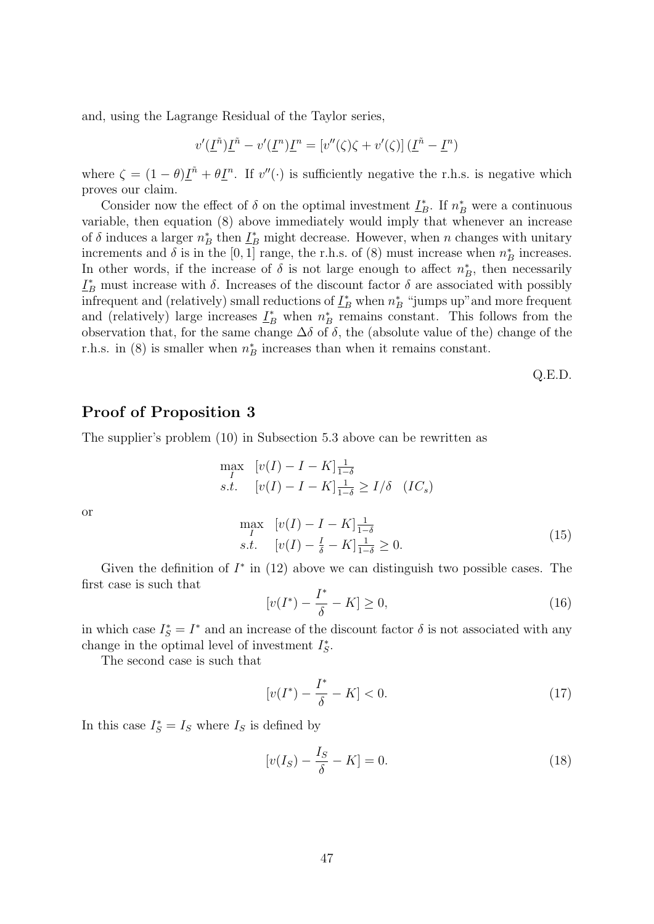and, using the Lagrange Residual of the Taylor series,

$$
v'(\underline{I}^{\tilde{n}})\underline{I}^{\tilde{n}} - v'(\underline{I}^n)\underline{I}^n = [v''(\zeta)\zeta + v'(\zeta)](\underline{I}^{\tilde{n}} - \underline{I}^n)
$$

where  $\zeta = (1 - \theta) \underline{I}^{\tilde{n}} + \theta \underline{I}^{\tilde{n}}$ . If  $v''(\cdot)$  is sufficiently negative the r.h.s. is negative which proves our claim.

Consider now the effect of  $\delta$  on the optimal investment  $\underline{I}_B^*$ . If  $n_B^*$  were a continuous variable, then equation (8) above immediately would imply that whenever an increase of  $\delta$  induces a larger  $n_B^*$  then  $\underline{I}_B^*$  might decrease. However, when n changes with unitary increments and  $\delta$  is in the [0, 1] range, the r.h.s. of (8) must increase when  $n_B^*$  increases. In other words, if the increase of  $\delta$  is not large enough to affect  $n_B^*$ , then necessarily  $\underline{I}_B^*$  must increase with  $\delta$ . Increases of the discount factor  $\delta$  are associated with possibly infrequent and (relatively) small reductions of  $\underline{I}_B^*$  when  $n_B^*$  "jumps up" and more frequent and (relatively) large increases  $\underline{I}_B^*$  when  $n_B^*$  remains constant. This follows from the observation that, for the same change  $\Delta\delta$  of  $\delta$ , the (absolute value of the) change of the r.h.s. in (8) is smaller when  $n_B^*$  increases than when it remains constant.

Q.E.D.

#### Proof of Proposition 3

The supplier's problem (10) in Subsection 5.3 above can be rewritten as

$$
\max_{I} \quad [v(I) - I - K] \frac{1}{1 - \delta}
$$
  
s.t. 
$$
[v(I) - I - K] \frac{1}{1 - \delta} \ge I/\delta \quad (IC_s)
$$

or

$$
\max_{I} \quad [v(I) - I - K] \frac{1}{1 - \delta} \ns.t. \quad [v(I) - \frac{I}{\delta} - K] \frac{1}{1 - \delta} \ge 0.
$$
\n(15)

Given the definition of  $I^*$  in (12) above we can distinguish two possible cases. The first case is such that

$$
[v(I^*) - \frac{I^*}{\delta} - K] \ge 0,\t(16)
$$

in which case  $I_S^* = I^*$  and an increase of the discount factor  $\delta$  is not associated with any change in the optimal level of investment  $I_S^*$ .

The second case is such that

$$
[v(I^*) - \frac{I^*}{\delta} - K] < 0. \tag{17}
$$

In this case  $I_S^* = I_S$  where  $I_S$  is defined by

$$
[v(IS) - \frac{IS}{\delta} - K] = 0.
$$
\n(18)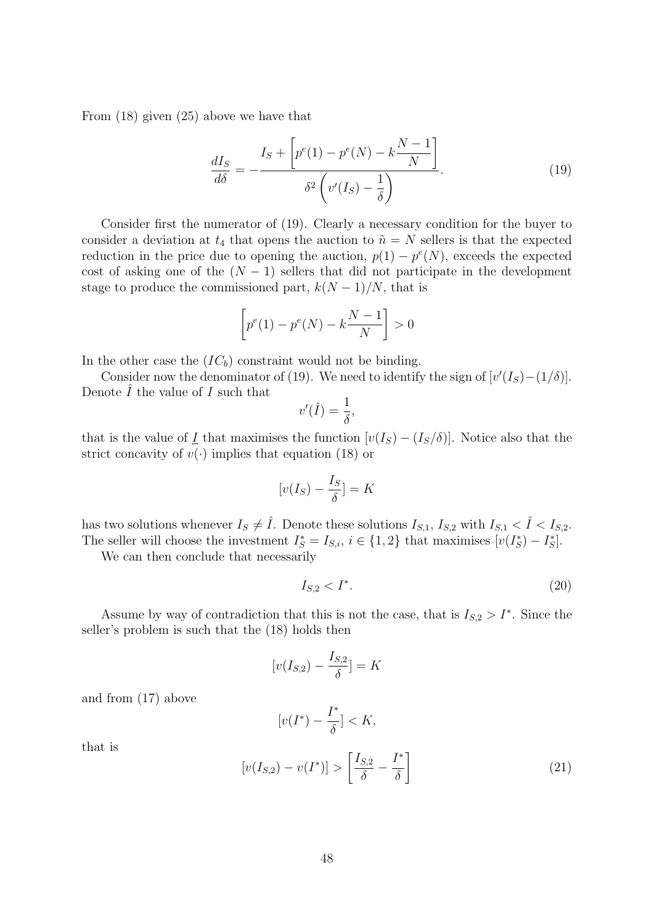From (18) given (25) above we have that

$$
\frac{dI_S}{d\delta} = -\frac{I_S + \left[p^e(1) - p^e(N) - k\frac{N-1}{N}\right]}{\delta^2 \left(v'(I_S) - \frac{1}{\delta}\right)}.
$$
\n(19)

Consider first the numerator of (19). Clearly a necessary condition for the buyer to consider a deviation at  $t_4$  that opens the auction to  $\tilde{n} = N$  sellers is that the expected reduction in the price due to opening the auction,  $p(1) - p^{e}(N)$ , exceeds the expected cost of asking one of the  $(N-1)$  sellers that did not participate in the development stage to produce the commissioned part,  $k(N-1)/N$ , that is

$$
\[p^{e}(1) - p^{e}(N) - k\frac{N-1}{N}\] > 0
$$

In the other case the  $(IC_b)$  constraint would not be binding.

Consider now the denominator of (19). We need to identify the sign of  $[v'(I<sub>S</sub>) - (1/\delta)]$ . Denote  $\hat{I}$  the value of  $I$  such that

$$
v'(\hat{I}) = \frac{1}{\delta},
$$

that is the value of I that maximises the function  $[v(I_S) - (I_S/\delta)]$ . Notice also that the strict concavity of  $v(\cdot)$  implies that equation (18) or

$$
[v(I_S) - \frac{I_S}{\delta}] = K
$$

has two solutions whenever  $I_S \neq \hat{I}$ . Denote these solutions  $I_{S,1}$ ,  $I_{S,2}$  with  $I_{S,1} < \hat{I} < I_{S,2}$ . The seller will choose the investment  $I_S^* = I_{S,i}$ ,  $i \in \{1,2\}$  that maximises  $[v(I_S^*) - I_S^*]$ .

We can then conclude that necessarily

$$
I_{S,2} < I^*.\tag{20}
$$

Assume by way of contradiction that this is not the case, that is  $I_{S,2} > I^*$ . Since the seller's problem is such that the (18) holds then

$$
[v(I_{S,2}) - \frac{I_{S,2}}{\delta}] = K
$$

and from (17) above

$$
[v(I^*) - \frac{I^*}{\delta}] < K,
$$

that is

$$
[v(I_{S,2}) - v(I^*)] > \left[\frac{I_{S,2}}{\delta} - \frac{I^*}{\delta}\right]
$$
\n(21)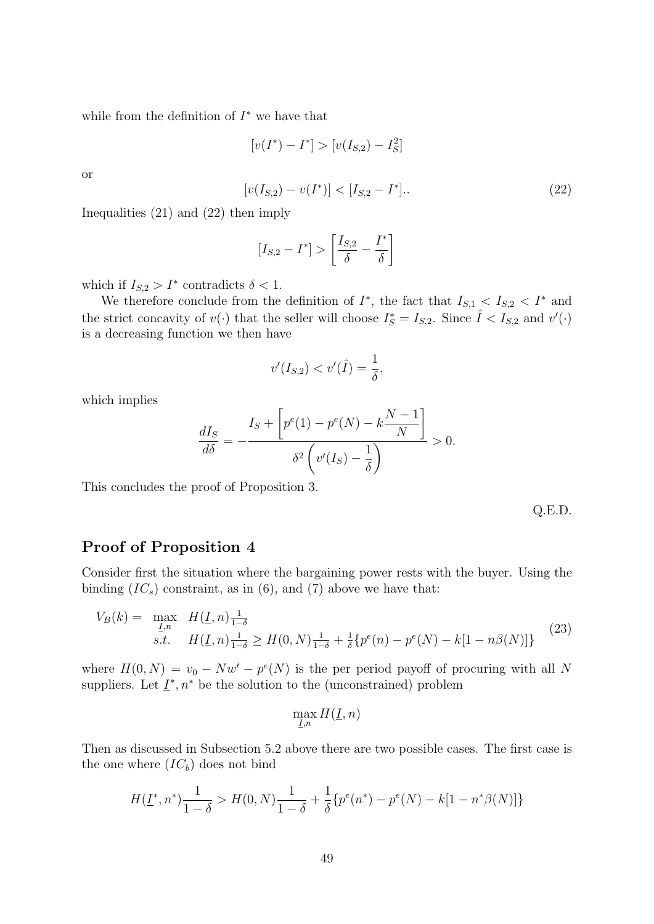while from the definition of  $I^*$  we have that

$$
[v(I^*) - I^*] > [v(I_{S,2}) - I_S^2]
$$

or

$$
[v(I_{S,2}) - v(I^*)] < [I_{S,2} - I^*]. \tag{22}
$$

Inequalities (21) and (22) then imply

$$
[I_{S,2} - I^*] > \left[\frac{I_{S,2}}{\delta} - \frac{I^*}{\delta}\right]
$$

which if  $I_{S,2} > I^*$  contradicts  $\delta < 1$ .

We therefore conclude from the definition of  $I^*$ , the fact that  $I_{S,1} < I_{S,2} < I^*$  and the strict concavity of  $v(\cdot)$  that the seller will choose  $I_S^* = I_{S,2}$ . Since  $\hat{I} < I_{S,2}$  and  $v'(\cdot)$ is a decreasing function we then have

$$
v'(I_{S,2}) < v'(\hat{I}) = \frac{1}{\delta},
$$

which implies

$$
\frac{dI_S}{d\delta} = -\frac{I_S + \left[p^e(1) - p^e(N) - k\frac{N-1}{N}\right]}{\delta^2 \left(v'(I_S) - \frac{1}{\delta}\right)} > 0.
$$

This concludes the proof of Proposition 3.

Q.E.D.

#### Proof of Proposition 4

Consider first the situation where the bargaining power rests with the buyer. Using the binding  $(IC_s)$  constraint, as in  $(6)$ , and  $(7)$  above we have that:

$$
V_B(k) = \max_{\underline{I},n} H(\underline{I},n) \frac{1}{1-\delta}
$$
  
s.t. 
$$
H(\underline{I},n) \frac{1}{1-\delta} \ge H(0,N) \frac{1}{1-\delta} + \frac{1}{\delta} \{p^e(n) - p^e(N) - k[1 - n\beta(N)]\}
$$
(23)

where  $H(0, N) = v_0 - Nw' - p^e(N)$  is the per period payoff of procuring with all N suppliers. Let  $\underline{I}^*, n^*$  be the solution to the (unconstrained) problem

$$
\max_{\underline{I},n}H(\underline{I},n)
$$

Then as discussed in Subsection 5.2 above there are two possible cases. The first case is the one where  $(IC_b)$  does not bind

$$
H(\underline{I}^*, n^*) \frac{1}{1-\delta} > H(0, N) \frac{1}{1-\delta} + \frac{1}{\delta} \{ p^e(n^*) - p^e(N) - k[1 - n^*\beta(N)] \}
$$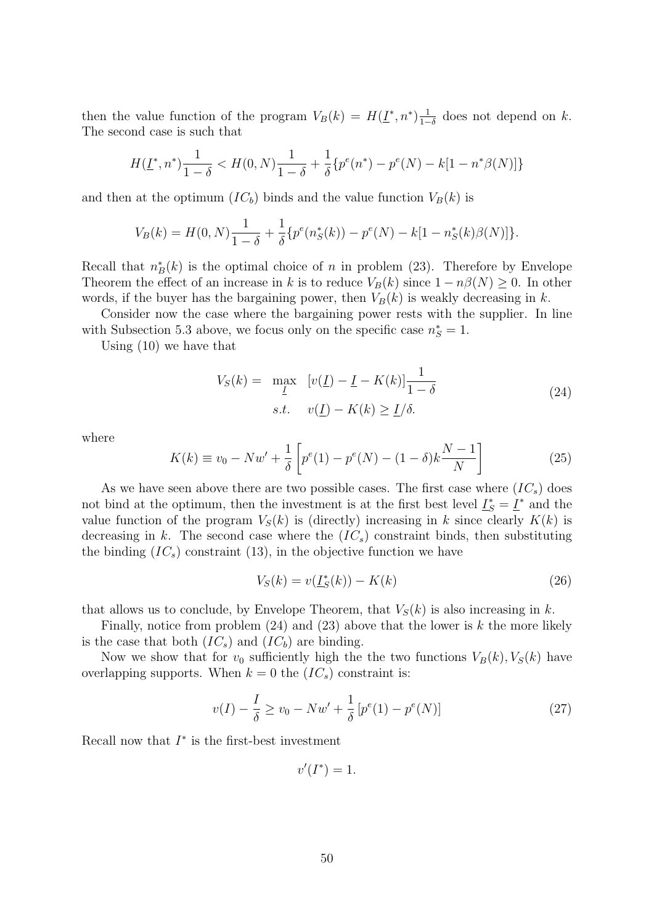then the value function of the program  $V_B(k) = H(\underline{I}^*, n^*) \frac{1}{1-\epsilon}$  $\frac{1}{1-\delta}$  does not depend on k. The second case is such that

$$
H(\underline{I}^*, n^*) \frac{1}{1-\delta} < H(0, N) \frac{1}{1-\delta} + \frac{1}{\delta} \{ p^e(n^*) - p^e(N) - k[1 - n^*\beta(N)] \}
$$

and then at the optimum  $(IC_b)$  binds and the value function  $V_B(k)$  is

$$
V_B(k) = H(0, N)\frac{1}{1-\delta} + \frac{1}{\delta} \{p^e(n_S^*(k)) - p^e(N) - k[1 - n_S^*(k)\beta(N)]\}.
$$

Recall that  $n_B^*(k)$  is the optimal choice of n in problem (23). Therefore by Envelope Theorem the effect of an increase in k is to reduce  $V_B(k)$  since  $1 - n\beta(N) \geq 0$ . In other words, if the buyer has the bargaining power, then  $V_B(k)$  is weakly decreasing in k.

Consider now the case where the bargaining power rests with the supplier. In line with Subsection 5.3 above, we focus only on the specific case  $n_S^* = 1$ .

Using (10) we have that

$$
V_S(k) = \max_{\underline{I}} \quad [v(\underline{I}) - \underline{I} - K(k)] \frac{1}{1 - \delta}
$$
\n
$$
s.t. \quad v(\underline{I}) - K(k) \ge \underline{I}/\delta.
$$
\n(24)

where

$$
K(k) \equiv v_0 - Nw' + \frac{1}{\delta} \left[ p^e(1) - p^e(N) - (1 - \delta)k \frac{N - 1}{N} \right]
$$
 (25)

As we have seen above there are two possible cases. The first case where  $(IC<sub>s</sub>)$  does not bind at the optimum, then the investment is at the first best level  $\underline{I}_S^* = \underline{I}^*$  and the value function of the program  $V_S(k)$  is (directly) increasing in k since clearly  $K(k)$  is decreasing in k. The second case where the  $(IC_s)$  constraint binds, then substituting the binding  $(IC<sub>s</sub>)$  constraint (13), in the objective function we have

$$
V_S(k) = v(\underline{I}_S^*(k)) - K(k)
$$
\n(26)

that allows us to conclude, by Envelope Theorem, that  $V_S(k)$  is also increasing in k.

Finally, notice from problem  $(24)$  and  $(23)$  above that the lower is k the more likely is the case that both  $(IC_s)$  and  $(IC_b)$  are binding.

Now we show that for  $v_0$  sufficiently high the the two functions  $V_B(k)$ ,  $V_S(k)$  have overlapping supports. When  $k = 0$  the  $(IC_s)$  constraint is:

$$
v(I) - \frac{I}{\delta} \ge v_0 - Nw' + \frac{1}{\delta} \left[ p^e(1) - p^e(N) \right] \tag{27}
$$

Recall now that  $I^*$  is the first-best investment

 $v'(I^*) = 1.$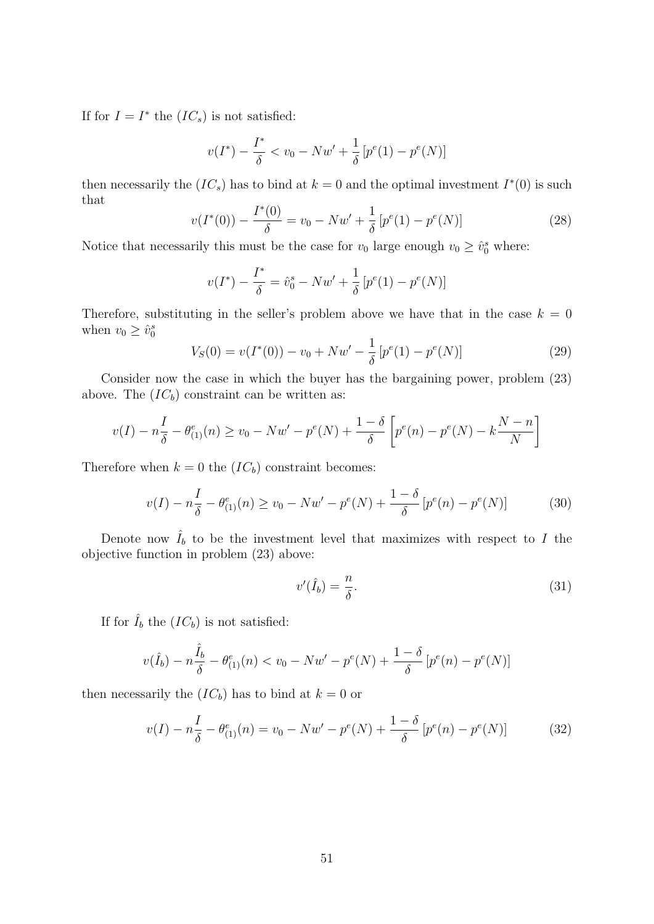If for  $I = I^*$  the  $(IC_s)$  is not satisfied:

$$
v(I^*) - \frac{I^*}{\delta} < v_0 - Nw' + \frac{1}{\delta} \left[ p^e(1) - p^e(N) \right]
$$

then necessarily the  $(IC_s)$  has to bind at  $k = 0$  and the optimal investment  $I^*(0)$  is such that

$$
v(I^*(0)) - \frac{I^*(0)}{\delta} = v_0 - Nw' + \frac{1}{\delta} [p^e(1) - p^e(N)] \tag{28}
$$

Notice that necessarily this must be the case for  $v_0$  large enough  $v_0 \geq \hat{v}_0^s$  where:

$$
v(I^*) - \frac{I^*}{\delta} = \hat{v}_0^s - Nw' + \frac{1}{\delta} [p^e(1) - p^e(N)]
$$

Therefore, substituting in the seller's problem above we have that in the case  $k = 0$ when  $v_0 \geq \hat{v}_0^s$ 

$$
V_S(0) = v(I^*(0)) - v_0 + Nw' - \frac{1}{\delta} [p^e(1) - p^e(N)]
$$
\n(29)

Consider now the case in which the buyer has the bargaining power, problem (23) above. The  $(IC_b)$  constraint can be written as:

$$
v(I) - n\frac{I}{\delta} - \theta_{(1)}^{e}(n) \ge v_0 - Nw' - p^{e}(N) + \frac{1-\delta}{\delta} \left[ p^{e}(n) - p^{e}(N) - k\frac{N-n}{N} \right]
$$

Therefore when  $k = 0$  the  $(IC_b)$  constraint becomes:

$$
v(I) - n\frac{I}{\delta} - \theta_{(1)}^e(n) \ge v_0 - Nw' - p^e(N) + \frac{1-\delta}{\delta} \left[ p^e(n) - p^e(N) \right] \tag{30}
$$

Denote now  $\hat{I}_b$  to be the investment level that maximizes with respect to I the objective function in problem (23) above:

$$
v'(\hat{I}_b) = \frac{n}{\delta}.\tag{31}
$$

If for  $\hat{I}_b$  the  $(IC_b)$  is not satisfied:

$$
v(\hat{I}_b) - n\frac{\hat{I}_b}{\delta} - \theta_{(1)}^e(n) < v_0 - Nw' - p^e(N) + \frac{1-\delta}{\delta} \left[ p^e(n) - p^e(N) \right]
$$

then necessarily the  $(IC_b)$  has to bind at  $k = 0$  or

$$
v(I) - n\frac{I}{\delta} - \theta_{(1)}^e(n) = v_0 - Nw' - p^e(N) + \frac{1-\delta}{\delta} \left[ p^e(n) - p^e(N) \right]
$$
(32)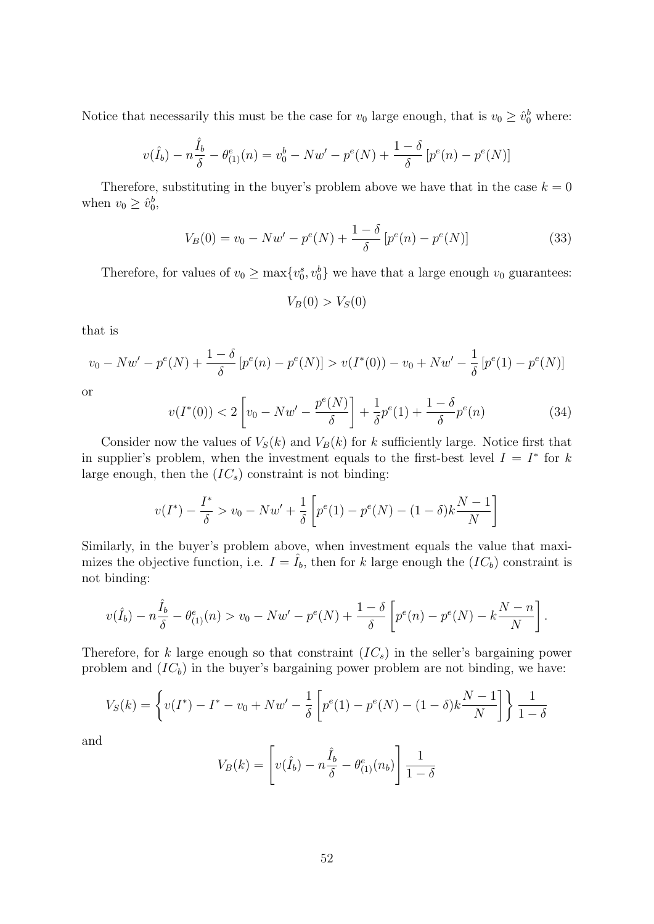Notice that necessarily this must be the case for  $v_0$  large enough, that is  $v_0 \geq \hat{v}_0^b$  where:

$$
v(\hat{I}_b) - n\frac{\hat{I}_b}{\delta} - \theta_{(1)}^e(n) = v_0^b - Nw' - p^e(N) + \frac{1-\delta}{\delta} [p^e(n) - p^e(N)]
$$

Therefore, substituting in the buyer's problem above we have that in the case  $k = 0$ when  $v_0 \geq \hat{v}_0^b$ ,

$$
V_B(0) = v_0 - Nw' - p^e(N) + \frac{1 - \delta}{\delta} [p^e(n) - p^e(N)]
$$
\n(33)

Therefore, for values of  $v_0 \ge \max\{v_0^s, v_0^b\}$  we have that a large enough  $v_0$  guarantees:

$$
V_B(0) > V_S(0)
$$

that is

$$
v_0 - Nw' - p^e(N) + \frac{1 - \delta}{\delta} [p^e(n) - p^e(N)] > v(I^*(0)) - v_0 + Nw' - \frac{1}{\delta} [p^e(1) - p^e(N)]
$$

or

$$
v(I^*(0)) < 2\left[v_0 - Nw' - \frac{p^e(N)}{\delta}\right] + \frac{1}{\delta}p^e(1) + \frac{1-\delta}{\delta}p^e(n) \tag{34}
$$

Consider now the values of  $V_S(k)$  and  $V_B(k)$  for k sufficiently large. Notice first that in supplier's problem, when the investment equals to the first-best level  $I = I^*$  for k large enough, then the  $(IC_s)$  constraint is not binding:

$$
v(I^*) - \frac{I^*}{\delta} > v_0 - Nw' + \frac{1}{\delta} \left[ p^e(1) - p^e(N) - (1 - \delta)k \frac{N-1}{N} \right]
$$

Similarly, in the buyer's problem above, when investment equals the value that maximizes the objective function, i.e.  $I = \hat{I}_b$ , then for k large enough the  $(IC_b)$  constraint is not binding:

$$
v(\hat{I}_b) - n\frac{\hat{I}_b}{\delta} - \theta_{(1)}^e(n) > v_0 - Nw' - p^e(N) + \frac{1-\delta}{\delta} \left[ p^e(n) - p^e(N) - k\frac{N-n}{N} \right].
$$

Therefore, for k large enough so that constraint  $(IC_s)$  in the seller's bargaining power problem and  $(IC_b)$  in the buyer's bargaining power problem are not binding, we have:

$$
V_S(k) = \left\{ v(I^*) - I^* - v_0 + Nw' - \frac{1}{\delta} \left[ p^e(1) - p^e(N) - (1 - \delta)k \frac{N-1}{N} \right] \right\} \frac{1}{1 - \delta}
$$

and

$$
V_B(k) = \left[ v(\hat{I}_b) - n\frac{\hat{I}_b}{\delta} - \theta_{(1)}^e(n_b) \right] \frac{1}{1-\delta}
$$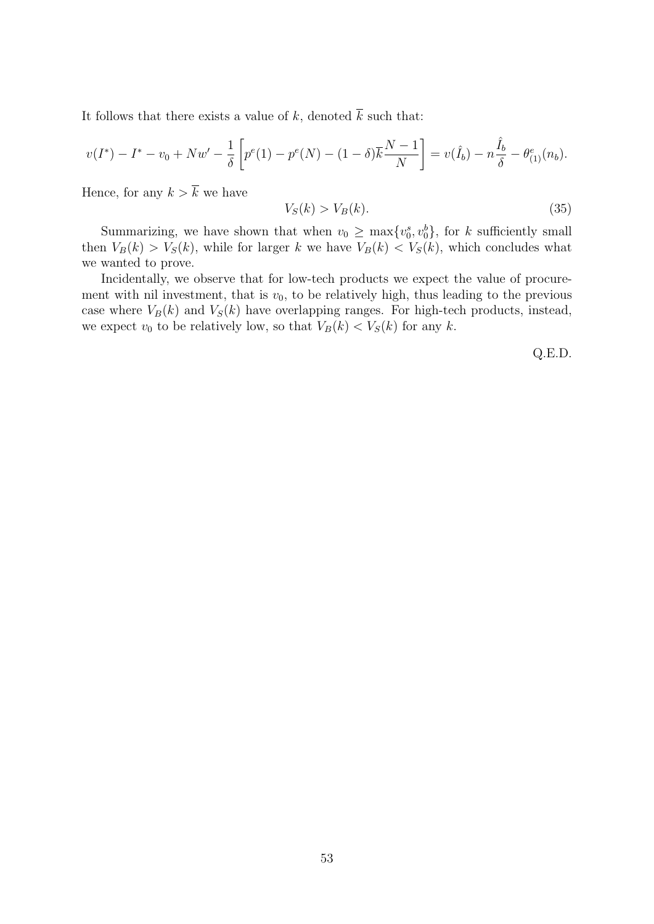It follows that there exists a value of k, denoted  $\overline{k}$  such that:

$$
v(I^*) - I^* - v_0 + Nw' - \frac{1}{\delta} \left[ p^{e}(1) - p^{e}(N) - (1 - \delta) \overline{k} \frac{N-1}{N} \right] = v(\hat{I}_b) - n \frac{\hat{I}_b}{\delta} - \theta_{(1)}^{e}(n_b).
$$

Hence, for any  $k > \overline{k}$  we have

$$
V_S(k) > V_B(k). \tag{35}
$$

Summarizing, we have shown that when  $v_0 \ge \max\{v_0^s, v_0^b\}$ , for k sufficiently small then  $V_B(k) > V_S(k)$ , while for larger k we have  $V_B(k) < V_S(k)$ , which concludes what we wanted to prove.

Incidentally, we observe that for low-tech products we expect the value of procurement with nil investment, that is  $v_0$ , to be relatively high, thus leading to the previous case where  $V_B(k)$  and  $V_S(k)$  have overlapping ranges. For high-tech products, instead, we expect  $v_0$  to be relatively low, so that  $V_B(k) < V_S(k)$  for any k.

Q.E.D.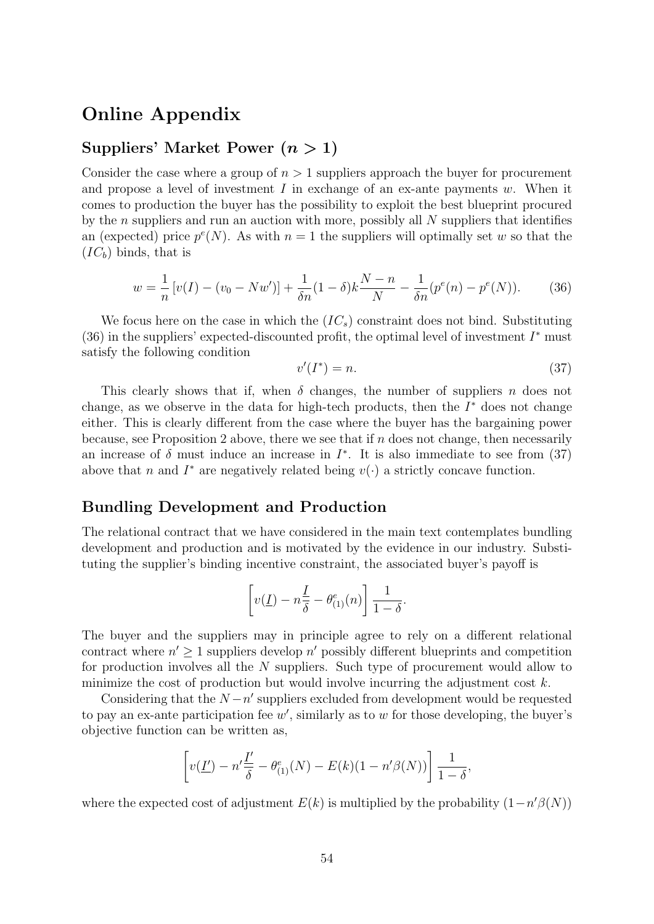## Online Appendix

#### Suppliers' Market Power  $(n > 1)$

Consider the case where a group of  $n > 1$  suppliers approach the buyer for procurement and propose a level of investment I in exchange of an ex-ante payments  $w$ . When it comes to production the buyer has the possibility to exploit the best blueprint procured by the n suppliers and run an auction with more, possibly all  $N$  suppliers that identifies an (expected) price  $p^{e}(N)$ . As with  $n = 1$  the suppliers will optimally set w so that the  $(IC_b)$  binds, that is

$$
w = \frac{1}{n} \left[ v(I) - (v_0 - Nw') \right] + \frac{1}{\delta n} (1 - \delta) k \frac{N - n}{N} - \frac{1}{\delta n} (p^e(n) - p^e(N)). \tag{36}
$$

We focus here on the case in which the  $(IC<sub>s</sub>)$  constraint does not bind. Substituting (36) in the suppliers' expected-discounted profit, the optimal level of investment  $I^*$  must satisfy the following condition

$$
v'(I^*) = n.\t\t(37)
$$

This clearly shows that if, when  $\delta$  changes, the number of suppliers n does not change, as we observe in the data for high-tech products, then the  $I^*$  does not change either. This is clearly different from the case where the buyer has the bargaining power because, see Proposition 2 above, there we see that if  $n$  does not change, then necessarily an increase of  $\delta$  must induce an increase in  $I^*$ . It is also immediate to see from (37) above that n and  $I^*$  are negatively related being  $v(\cdot)$  a strictly concave function.

#### Bundling Development and Production

The relational contract that we have considered in the main text contemplates bundling development and production and is motivated by the evidence in our industry. Substituting the supplier's binding incentive constraint, the associated buyer's payoff is

$$
\left[v(\underline{I}) - n\frac{\underline{I}}{\delta} - \theta_{(1)}^e(n)\right] \frac{1}{1-\delta}.
$$

The buyer and the suppliers may in principle agree to rely on a different relational contract where  $n' \geq 1$  suppliers develop n' possibly different blueprints and competition for production involves all the N suppliers. Such type of procurement would allow to minimize the cost of production but would involve incurring the adjustment cost  $k$ .

Considering that the  $N - n'$  suppliers excluded from development would be requested to pay an ex-ante participation fee  $w'$ , similarly as to  $w$  for those developing, the buyer's objective function can be written as,

$$
\left[v(\underline{I'}) - n'\frac{\underline{I'}}{\delta} - \theta_{(1)}^e(N) - E(k)(1 - n'\beta(N))\right] \frac{1}{1 - \delta},
$$

where the expected cost of adjustment  $E(k)$  is multiplied by the probability  $(1 - n'\beta(N))$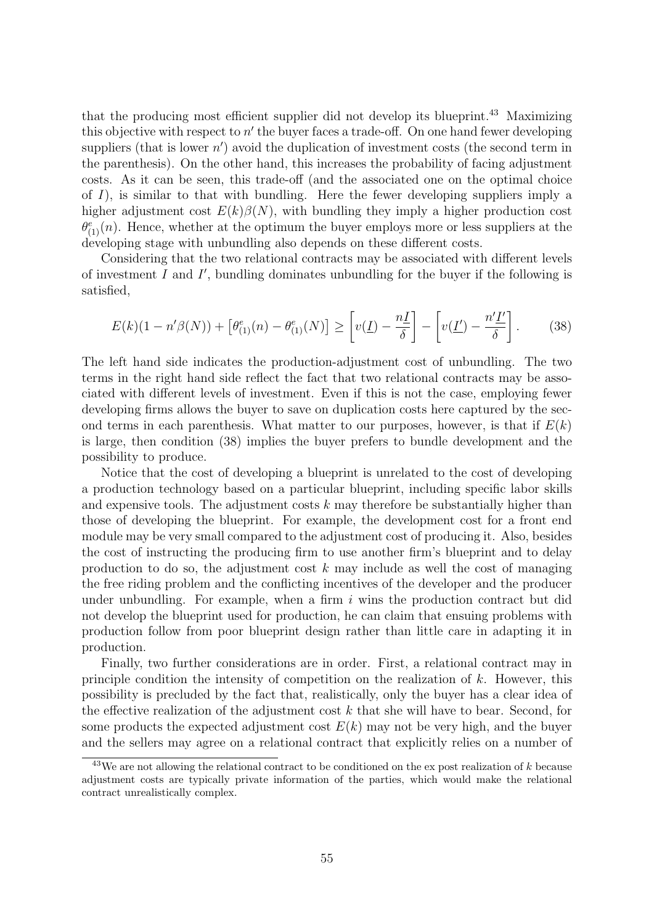that the producing most efficient supplier did not develop its blueprint.<sup>43</sup> Maximizing this objective with respect to  $n'$  the buyer faces a trade-off. On one hand fewer developing suppliers (that is lower  $n'$ ) avoid the duplication of investment costs (the second term in the parenthesis). On the other hand, this increases the probability of facing adjustment costs. As it can be seen, this trade-off (and the associated one on the optimal choice of  $I$ ), is similar to that with bundling. Here the fewer developing suppliers imply a higher adjustment cost  $E(k)\beta(N)$ , with bundling they imply a higher production cost  $\theta_{(1)}^e(n)$ . Hence, whether at the optimum the buyer employs more or less suppliers at the developing stage with unbundling also depends on these different costs.

Considering that the two relational contracts may be associated with different levels of investment  $I$  and  $I'$ , bundling dominates unbundling for the buyer if the following is satisfied,

$$
E(k)(1 - n'\beta(N)) + \left[\theta_{(1)}^e(n) - \theta_{(1)}^e(N)\right] \ge \left[v(\underline{I}) - \frac{n\underline{I}}{\delta}\right] - \left[v(\underline{I'}) - \frac{n'\underline{I'}}{\delta}\right].\tag{38}
$$

The left hand side indicates the production-adjustment cost of unbundling. The two terms in the right hand side reflect the fact that two relational contracts may be associated with different levels of investment. Even if this is not the case, employing fewer developing firms allows the buyer to save on duplication costs here captured by the second terms in each parenthesis. What matter to our purposes, however, is that if  $E(k)$ is large, then condition (38) implies the buyer prefers to bundle development and the possibility to produce.

Notice that the cost of developing a blueprint is unrelated to the cost of developing a production technology based on a particular blueprint, including specific labor skills and expensive tools. The adjustment costs  $k$  may therefore be substantially higher than those of developing the blueprint. For example, the development cost for a front end module may be very small compared to the adjustment cost of producing it. Also, besides the cost of instructing the producing firm to use another firm's blueprint and to delay production to do so, the adjustment cost  $k$  may include as well the cost of managing the free riding problem and the conflicting incentives of the developer and the producer under unbundling. For example, when a firm  $i$  wins the production contract but did not develop the blueprint used for production, he can claim that ensuing problems with production follow from poor blueprint design rather than little care in adapting it in production.

Finally, two further considerations are in order. First, a relational contract may in principle condition the intensity of competition on the realization of k. However, this possibility is precluded by the fact that, realistically, only the buyer has a clear idea of the effective realization of the adjustment cost  $k$  that she will have to bear. Second, for some products the expected adjustment cost  $E(k)$  may not be very high, and the buyer and the sellers may agree on a relational contract that explicitly relies on a number of

 $43$ We are not allowing the relational contract to be conditioned on the ex post realization of k because adjustment costs are typically private information of the parties, which would make the relational contract unrealistically complex.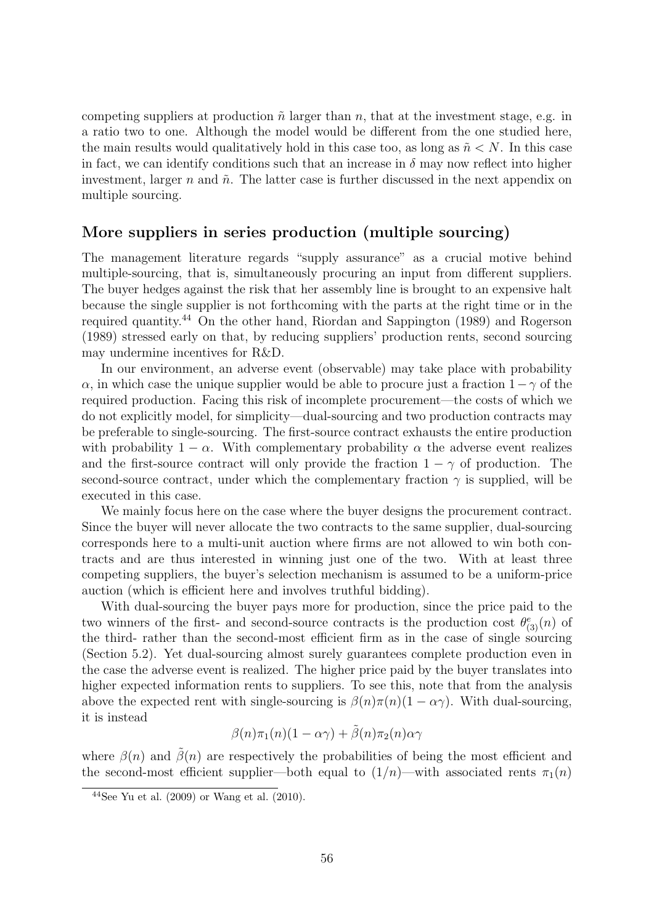competing suppliers at production  $\tilde{n}$  larger than n, that at the investment stage, e.g. in a ratio two to one. Although the model would be different from the one studied here, the main results would qualitatively hold in this case too, as long as  $\tilde{n} \lt N$ . In this case in fact, we can identify conditions such that an increase in  $\delta$  may now reflect into higher investment, larger n and  $\tilde{n}$ . The latter case is further discussed in the next appendix on multiple sourcing.

#### More suppliers in series production (multiple sourcing)

The management literature regards "supply assurance" as a crucial motive behind multiple-sourcing, that is, simultaneously procuring an input from different suppliers. The buyer hedges against the risk that her assembly line is brought to an expensive halt because the single supplier is not forthcoming with the parts at the right time or in the required quantity.<sup>44</sup> On the other hand, Riordan and Sappington (1989) and Rogerson (1989) stressed early on that, by reducing suppliers' production rents, second sourcing may undermine incentives for R&D.

In our environment, an adverse event (observable) may take place with probability  $\alpha$ , in which case the unique supplier would be able to procure just a fraction  $1-\gamma$  of the required production. Facing this risk of incomplete procurement—the costs of which we do not explicitly model, for simplicity—dual-sourcing and two production contracts may be preferable to single-sourcing. The first-source contract exhausts the entire production with probability  $1 - \alpha$ . With complementary probability  $\alpha$  the adverse event realizes and the first-source contract will only provide the fraction  $1 - \gamma$  of production. The second-source contract, under which the complementary fraction  $\gamma$  is supplied, will be executed in this case.

We mainly focus here on the case where the buyer designs the procurement contract. Since the buyer will never allocate the two contracts to the same supplier, dual-sourcing corresponds here to a multi-unit auction where firms are not allowed to win both contracts and are thus interested in winning just one of the two. With at least three competing suppliers, the buyer's selection mechanism is assumed to be a uniform-price auction (which is efficient here and involves truthful bidding).

With dual-sourcing the buyer pays more for production, since the price paid to the two winners of the first- and second-source contracts is the production cost  $\theta_{(3)}^e(n)$  of the third- rather than the second-most efficient firm as in the case of single sourcing (Section 5.2). Yet dual-sourcing almost surely guarantees complete production even in the case the adverse event is realized. The higher price paid by the buyer translates into higher expected information rents to suppliers. To see this, note that from the analysis above the expected rent with single-sourcing is  $\beta(n)\pi(n)(1-\alpha\gamma)$ . With dual-sourcing, it is instead

$$
\beta(n)\pi_1(n)(1-\alpha\gamma) + \tilde{\beta}(n)\pi_2(n)\alpha\gamma
$$

where  $\beta(n)$  and  $\beta(n)$  are respectively the probabilities of being the most efficient and the second-most efficient supplier—both equal to  $(1/n)$ —with associated rents  $\pi_1(n)$ 

 $44$ See Yu et al. (2009) or Wang et al. (2010).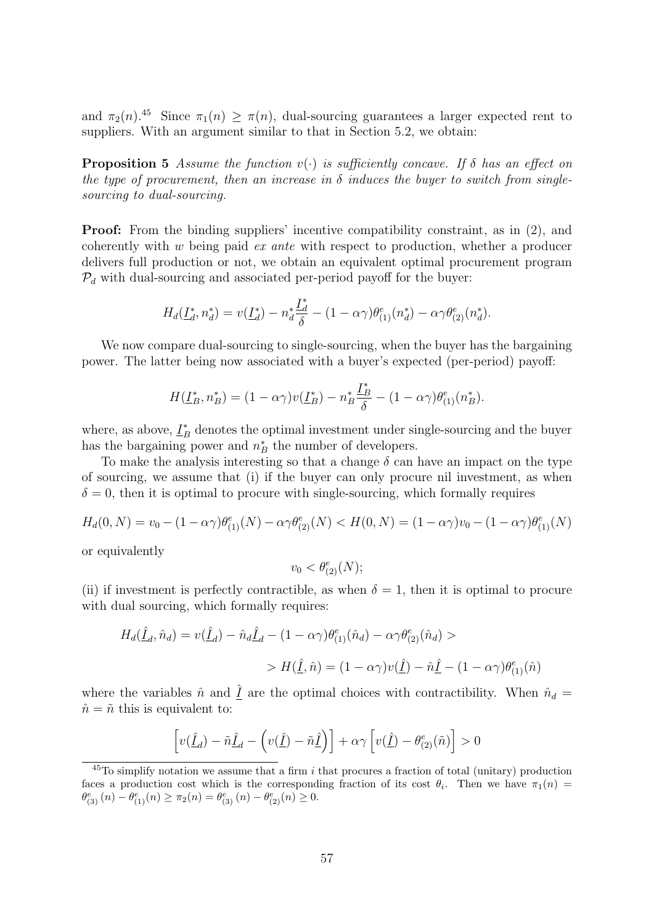and  $\pi_2(n)$ .<sup>45</sup> Since  $\pi_1(n) \geq \pi(n)$ , dual-sourcing guarantees a larger expected rent to suppliers. With an argument similar to that in Section 5.2, we obtain:

**Proposition 5** Assume the function  $v(\cdot)$  is sufficiently concave. If  $\delta$  has an effect on the type of procurement, then an increase in  $\delta$  induces the buyer to switch from singlesourcing to dual-sourcing.

Proof: From the binding suppliers' incentive compatibility constraint, as in (2), and coherently with  $w$  being paid  $ex$  ante with respect to production, whether a producer delivers full production or not, we obtain an equivalent optimal procurement program  $\mathcal{P}_d$  with dual-sourcing and associated per-period payoff for the buyer:

$$
H_d(\underline{I}_d^*, n_d^*) = v(\underline{I}_d^*) - n_d^* \frac{\underline{I}_d^*}{\delta} - (1 - \alpha \gamma) \theta_{(1)}^e(n_d^*) - \alpha \gamma \theta_{(2)}^e(n_d^*).
$$

We now compare dual-sourcing to single-sourcing, when the buyer has the bargaining power. The latter being now associated with a buyer's expected (per-period) payoff:

$$
H(\underline{I}_B^*, n_B^*) = (1 - \alpha \gamma) v(\underline{I}_B^*) - n_B^* \frac{\underline{I}_B^*}{\delta} - (1 - \alpha \gamma) \theta_{(1)}^e(n_B^*).
$$

where, as above,  $\underline{I}_B^*$  denotes the optimal investment under single-sourcing and the buyer has the bargaining power and  $n_B^*$  the number of developers.

To make the analysis interesting so that a change  $\delta$  can have an impact on the type of sourcing, we assume that (i) if the buyer can only procure nil investment, as when  $\delta = 0$ , then it is optimal to procure with single-sourcing, which formally requires

$$
H_d(0, N) = v_0 - (1 - \alpha \gamma) \theta_{(1)}^e(N) - \alpha \gamma \theta_{(2)}^e(N) < H(0, N) = (1 - \alpha \gamma) v_0 - (1 - \alpha \gamma) \theta_{(1)}^e(N)
$$

or equivalently

$$
v_0 < \theta_{(2)}^e(N);
$$

(ii) if investment is perfectly contractible, as when  $\delta = 1$ , then it is optimal to procure with dual sourcing, which formally requires:

$$
H_d(\hat{\underline{I}}_d, \hat{n}_d) = v(\hat{\underline{I}}_d) - \hat{n}_d \hat{\underline{I}}_d - (1 - \alpha \gamma) \theta_{(1)}^e(\hat{n}_d) - \alpha \gamma \theta_{(2)}^e(\hat{n}_d) >
$$
  
> 
$$
H(\hat{\underline{I}}, \hat{n}) = (1 - \alpha \gamma)v(\hat{\underline{I}}) - \hat{n}\hat{\underline{I}} - (1 - \alpha \gamma)\theta_{(1)}^e(\hat{n})
$$

where the variables  $\hat{n}$  and  $\hat{I}$  are the optimal choices with contractibility. When  $\hat{n}_d$  $\hat{n} = \tilde{n}$  this is equivalent to:

$$
\left[v(\underline{\hat{I}}_d) - \tilde{n}\underline{\hat{I}}_d - \left(v(\underline{\hat{I}}) - \tilde{n}\underline{\hat{I}}\right)\right] + \alpha \gamma \left[v(\underline{\hat{I}}) - \theta^e_{(2)}(\tilde{n})\right] > 0
$$

 $^{45}$ To simplify notation we assume that a firm i that procures a fraction of total (unitary) production faces a production cost which is the corresponding fraction of its cost  $\theta_i$ . Then we have  $\pi_1(n)$  $\theta_{(3)}^e(n) - \theta_{(1)}^e(n) \ge \pi_2(n) = \theta_{(3)}^e(n) - \theta_{(2)}^e(n) \ge 0.$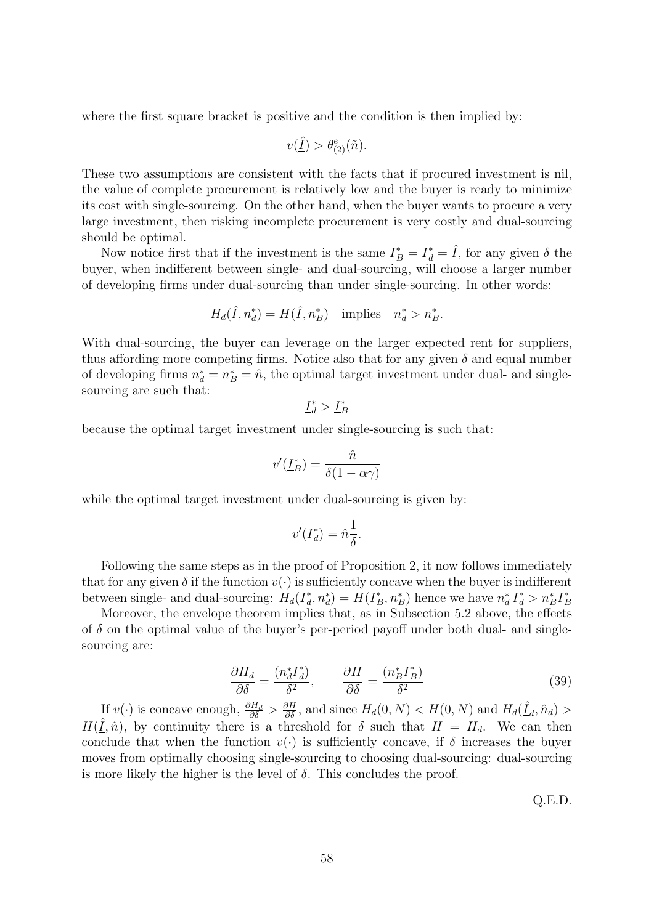where the first square bracket is positive and the condition is then implied by:

$$
v(\underline{\hat{I}}) > \theta_{(2)}^e(\tilde{n}).
$$

These two assumptions are consistent with the facts that if procured investment is nil, the value of complete procurement is relatively low and the buyer is ready to minimize its cost with single-sourcing. On the other hand, when the buyer wants to procure a very large investment, then risking incomplete procurement is very costly and dual-sourcing should be optimal.

Now notice first that if the investment is the same  $\underline{\underline{I}}_B^* = \underline{\underline{I}}_d^* = \hat{I}$ , for any given  $\delta$  the buyer, when indifferent between single- and dual-sourcing, will choose a larger number of developing firms under dual-sourcing than under single-sourcing. In other words:

$$
H_d(\hat{I}, n_d^*) = H(\hat{I}, n_B^*) \quad \text{implies} \quad n_d^* > n_B^*.
$$

With dual-sourcing, the buyer can leverage on the larger expected rent for suppliers, thus affording more competing firms. Notice also that for any given  $\delta$  and equal number of developing firms  $n_d^* = n_B^* = \hat{n}$ , the optimal target investment under dual- and singlesourcing are such that:

$$
\underline{I}_d^* > \underline{I}_B^*
$$

because the optimal target investment under single-sourcing is such that:

$$
v'(\underline{I}_B^*) = \frac{\hat{n}}{\delta(1 - \alpha \gamma)}
$$

while the optimal target investment under dual-sourcing is given by:

$$
v'(\underline{L}_d^*) = \hat{n}\frac{1}{\delta}.
$$

Following the same steps as in the proof of Proposition 2, it now follows immediately that for any given  $\delta$  if the function  $v(\cdot)$  is sufficiently concave when the buyer is indifferent between single- and dual-sourcing:  $H_d(\underline{I}_d^*)$  $d_a^*, n_d^*$ ) =  $H(\underline{I}_B^*, n_B^*)$  hence we have  $n_d^* \underline{I}_d^* > n_B^* \underline{I}_B^*$ B

Moreover, the envelope theorem implies that, as in Subsection 5.2 above, the effects of  $\delta$  on the optimal value of the buyer's per-period payoff under both dual- and singlesourcing are:

$$
\frac{\partial H_d}{\partial \delta} = \frac{(n_d^* \underline{I}_d^*)}{\delta^2}, \qquad \frac{\partial H}{\partial \delta} = \frac{(n_B^* \underline{I}_B^*)}{\delta^2} \tag{39}
$$

If  $v(\cdot)$  is concave enough,  $\frac{\partial H_d}{\partial \delta} > \frac{\partial H}{\partial \delta}$ , and since  $H_d(0, N) < H(0, N)$  and  $H_d(\hat{\underline{I}}_d, \hat{n}_d) >$  $H(\underline{\hat{I}}, \hat{n})$ , by continuity there is a threshold for  $\delta$  such that  $H = H_d$ . We can then conclude that when the function  $v(\cdot)$  is sufficiently concave, if  $\delta$  increases the buyer moves from optimally choosing single-sourcing to choosing dual-sourcing: dual-sourcing is more likely the higher is the level of  $\delta$ . This concludes the proof.

Q.E.D.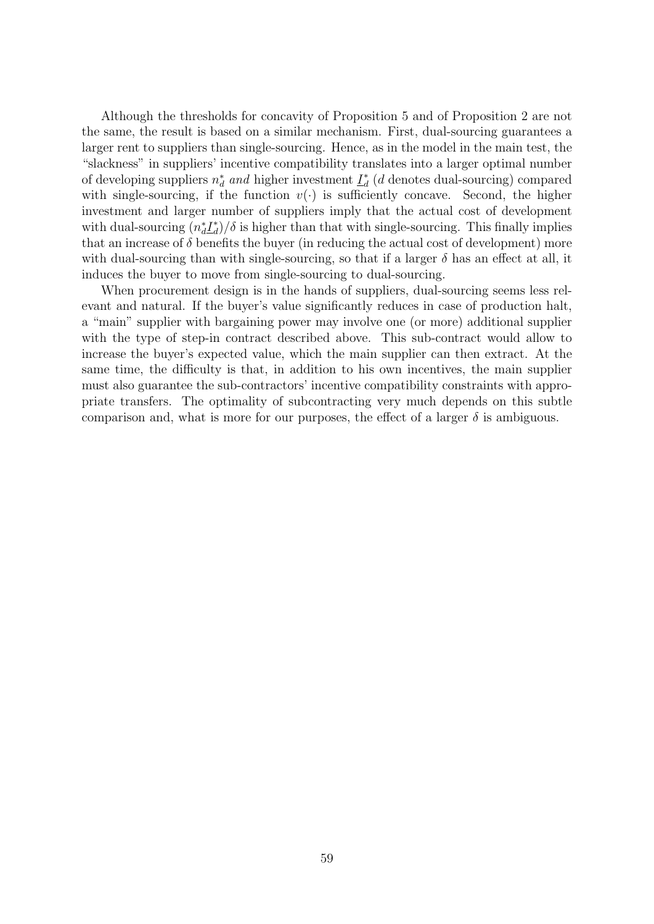Although the thresholds for concavity of Proposition 5 and of Proposition 2 are not the same, the result is based on a similar mechanism. First, dual-sourcing guarantees a larger rent to suppliers than single-sourcing. Hence, as in the model in the main test, the "slackness" in suppliers' incentive compatibility translates into a larger optimal number of developing suppliers  $n_d^*$  and higher investment  $\underline{I}_d^*$  $_d^*$  (*d* denotes dual-sourcing) compared with single-sourcing, if the function  $v(\cdot)$  is sufficiently concave. Second, the higher investment and larger number of suppliers imply that the actual cost of development with dual-sourcing  $(n_d^* L_d^*$  $\binom{4}{d}$  is higher than that with single-sourcing. This finally implies that an increase of  $\delta$  benefits the buyer (in reducing the actual cost of development) more with dual-sourcing than with single-sourcing, so that if a larger  $\delta$  has an effect at all, it induces the buyer to move from single-sourcing to dual-sourcing.

When procurement design is in the hands of suppliers, dual-sourcing seems less relevant and natural. If the buyer's value significantly reduces in case of production halt, a "main" supplier with bargaining power may involve one (or more) additional supplier with the type of step-in contract described above. This sub-contract would allow to increase the buyer's expected value, which the main supplier can then extract. At the same time, the difficulty is that, in addition to his own incentives, the main supplier must also guarantee the sub-contractors' incentive compatibility constraints with appropriate transfers. The optimality of subcontracting very much depends on this subtle comparison and, what is more for our purposes, the effect of a larger  $\delta$  is ambiguous.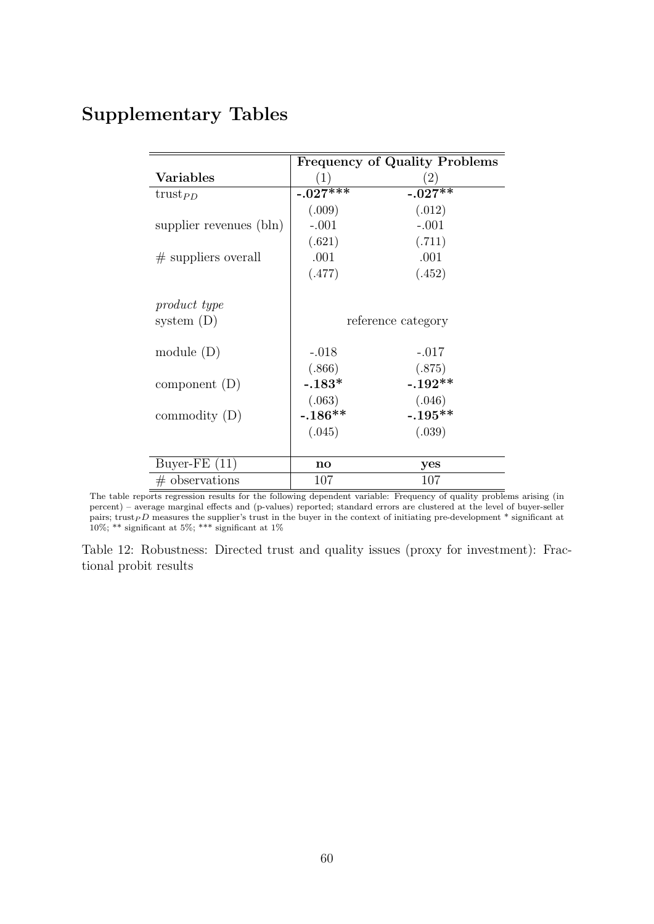## Supplementary Tables

|                                  |            | <b>Frequency of Quality Problems</b> |
|----------------------------------|------------|--------------------------------------|
| <b>Variables</b>                 | (1)        | $\left( 2\right)$                    |
| trust <sub><math>PD</math></sub> | $-.027***$ | $-.027**$                            |
|                                  | (.009)     | (.012)                               |
| supplier revenues (bln)          | $-.001$    | $-.001$                              |
|                                  | (.621)     | (.711)                               |
| $#$ suppliers overall            | .001       | .001                                 |
|                                  | (.477)     | (.452)                               |
|                                  |            |                                      |
| product type                     |            |                                      |
| system $(D)$                     |            | reference category                   |
|                                  |            |                                      |
| module $(D)$                     | $-.018$    | $-.017$                              |
|                                  | (.866)     | (.875)                               |
| component $(D)$                  | $-.183*$   | $-.192**$                            |
|                                  | (.063)     | (.046)                               |
| commodity $(D)$                  | $-.186**$  | $-.195**$                            |
|                                  | (.045)     | (.039)                               |
|                                  |            |                                      |
| Buyer-FE $(11)$                  | no         | yes                                  |
| $#$ observations                 | 107        | 107                                  |

The table reports regression results for the following dependent variable: Frequency of quality problems arising (in percent) – average marginal effects and (p-values) reported; standard errors are clustered at the level of buyer-seller pairs; trust<sub>P</sub>D measures the supplier's trust in the buyer in the context of initiating pre-development \* significant at 10%; \*\* significant at 5%; \*\*\* significant at 1%

Table 12: Robustness: Directed trust and quality issues (proxy for investment): Fractional probit results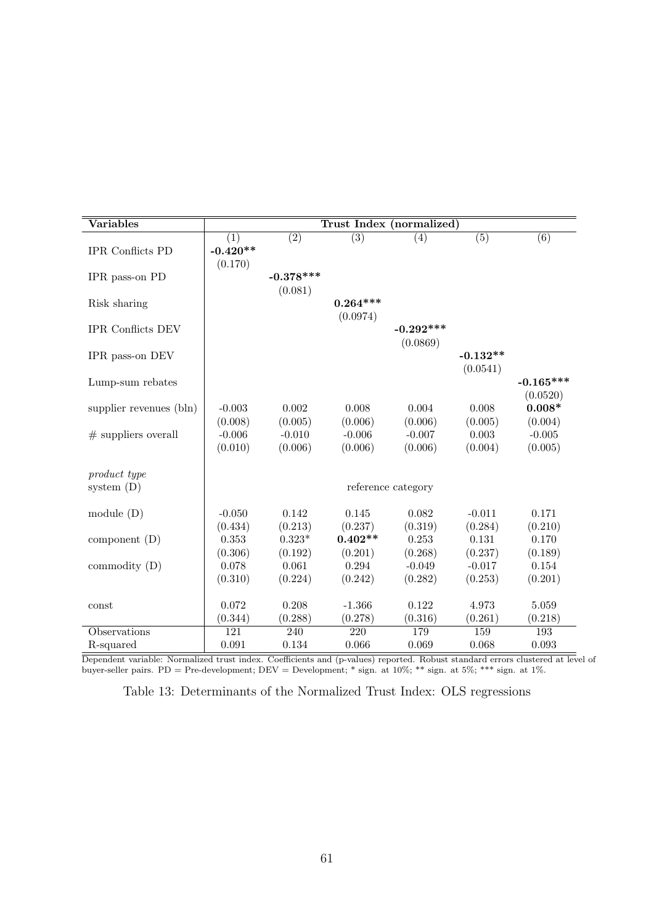| Variables                    |            |             |                  | Trust Index (normalized) |                  |                  |
|------------------------------|------------|-------------|------------------|--------------------------|------------------|------------------|
|                              | (1)        | (2)         | $\overline{(3)}$ | (4)                      | $\overline{(5)}$ | $\overline{(6)}$ |
| <b>IPR</b> Conflicts PD      | $-0.420**$ |             |                  |                          |                  |                  |
| IPR pass-on PD               | (0.170)    | $-0.378***$ |                  |                          |                  |                  |
|                              |            | (0.081)     |                  |                          |                  |                  |
| Risk sharing                 |            |             | $0.264***$       |                          |                  |                  |
|                              |            |             | (0.0974)         |                          |                  |                  |
| <b>IPR</b> Conflicts DEV     |            |             |                  | $-0.292***$              |                  |                  |
|                              |            |             |                  | (0.0869)                 |                  |                  |
| IPR pass-on DEV              |            |             |                  |                          | $-0.132**$       |                  |
| Lump-sum rebates             |            |             |                  |                          | (0.0541)         | $-0.165***$      |
|                              |            |             |                  |                          |                  | (0.0520)         |
| supplier revenues (bln)      | $-0.003$   | 0.002       | 0.008            | 0.004                    | 0.008            | $0.008*$         |
|                              | (0.008)    | (0.005)     | (0.006)          | (0.006)                  | (0.005)          | (0.004)          |
| $#$ suppliers overall        | $-0.006$   | $-0.010$    | $-0.006$         | $-0.007$                 | 0.003            | $-0.005$         |
|                              | (0.010)    | (0.006)     | (0.006)          | (0.006)                  | (0.004)          | (0.005)          |
|                              |            |             |                  |                          |                  |                  |
| product type<br>system $(D)$ |            |             |                  | reference category       |                  |                  |
|                              |            |             |                  |                          |                  |                  |
| module $(D)$                 | $-0.050$   | 0.142       | 0.145            | 0.082                    | $-0.011$         | 0.171            |
|                              | (0.434)    | (0.213)     | (0.237)          | (0.319)                  | (0.284)          | (0.210)          |
| component $(D)$              | 0.353      | $0.323*$    | $0.402**$        | 0.253                    | 0.131            | 0.170            |
|                              | (0.306)    | (0.192)     | (0.201)          | (0.268)                  | (0.237)          | (0.189)          |
| commodity $(D)$              | 0.078      | 0.061       | 0.294            | $-0.049$                 | $-0.017$         | 0.154            |
|                              | (0.310)    | (0.224)     | (0.242)          | (0.282)                  | (0.253)          | (0.201)          |
| const                        | 0.072      | 0.208       | $-1.366$         | 0.122                    | 4.973            | 5.059            |
|                              | (0.344)    | (0.288)     | (0.278)          | (0.316)                  | (0.261)          | (0.218)          |
| Observations                 | 121        | 240         | 220              | 179                      | 159              | 193              |
| R-squared                    | 0.091      | 0.134       | 0.066            | 0.069                    | 0.068            | 0.093            |

Dependent variable: Normalized trust index. Coefficients and (p-values) reported. Robust standard errors clustered at level of buyer-seller pairs. PD = Pre-development; DEV = Development; \* sign. at 10%; \*\* sign. at 5%; \*\*\* sign. at 1%.

Table 13: Determinants of the Normalized Trust Index: OLS regressions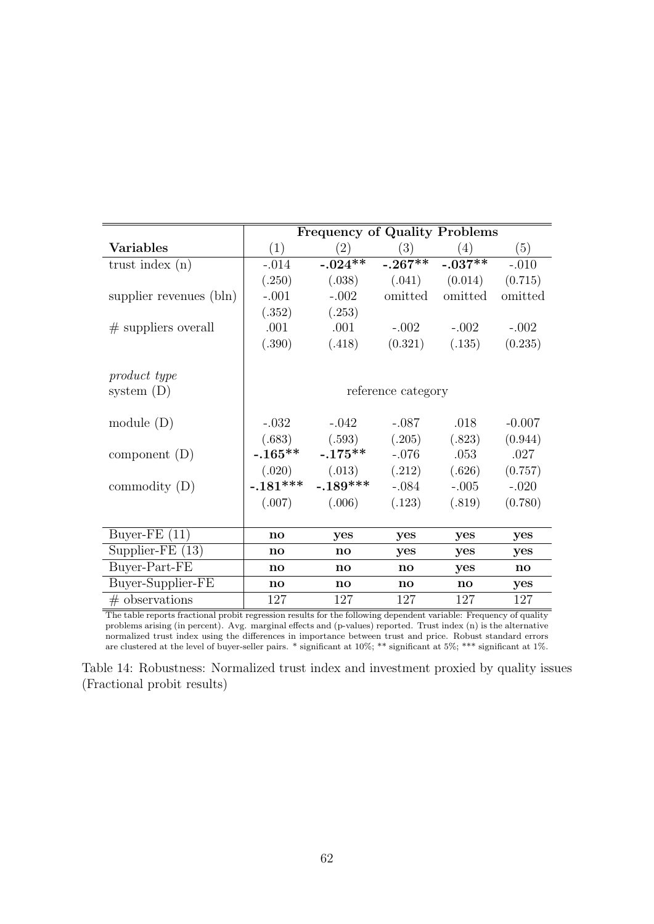|                         |               | <b>Frequency of Quality Problems</b> |                        |                               |               |
|-------------------------|---------------|--------------------------------------|------------------------|-------------------------------|---------------|
| <b>Variables</b>        | (1)           | (2)                                  | (3)                    | (4)                           | (5)           |
| trust index $(n)$       | $-.014$       | $-.024**$                            |                        | $-0.267***$ $-0.037***$       | $-.010$       |
|                         | (.250)        | (.038)                               |                        | $(0.041)$ $(0.014)$ $(0.715)$ |               |
| supplier revenues (bln) | $-.001$       | $-.002$                              | omitted                | omitted                       | omitted       |
|                         | (.352)        | (.253)                               |                        |                               |               |
| $#$ suppliers overall   | .001          | .001                                 | $-.002$                | $-.002$                       | $-.002$       |
|                         | (.390)        | (.418)                               | (0.321)                | (.135)                        | (0.235)       |
|                         |               |                                      |                        |                               |               |
| product type            |               |                                      |                        |                               |               |
| system $(D)$            |               |                                      | reference category     |                               |               |
| module $(D)$            | $-.032$       | $-.042$                              | $-.087$                | .018                          | $-0.007$      |
|                         |               | $(.683)$ $(.593)$                    | (.205)                 | (.823)                        | (0.944)       |
| component $(D)$         | $-.165***$    | $-.175**$                            | $-.076$                | .053                          | .027          |
|                         |               | $(.020)$ $(.013)$                    | (.212)                 | (.626)                        | (0.757)       |
| commodity $(D)$         | $-.181***$    | $-.189***$                           | $-.084$                | $-.005$                       | $-.020$       |
|                         | (.007)        | (.006)                               | (.123)                 | (.819)                        | (0.780)       |
|                         |               |                                      |                        |                               |               |
| Buyer-FE $(11)$         | $\mathbf{no}$ | yes                                  | yes                    | yes                           | yes           |
| Supplier-FE $(13)$      | $\mathbf{no}$ | $\mathbf{no}$                        | yes                    | yes                           | yes           |
| Buyer-Part-FE           | $\mathbf{no}$ | $\mathbf{n}\mathbf{o}$               | $\mathbf{n}\mathbf{o}$ | yes                           | $\mathbf{no}$ |
| Buyer-Supplier-FE       | $\mathbf{no}$ | $\mathbf{no}$                        | $\mathbf{n}\mathbf{o}$ | $\mathbf{no}$                 | yes           |
| $#$ observations        | 127           | 127                                  | 127                    | 127                           | 127           |

The table reports fractional probit regression results for the following dependent variable: Frequency of quality problems arising (in percent). Avg. marginal effects and (p-values) reported. Trust index (n) is the alternative normalized trust index using the differences in importance between trust and price. Robust standard errors are clustered at the level of buyer-seller pairs. \* significant at 10%; \*\* significant at 5%; \*\*\* significant at 1%.

Table 14: Robustness: Normalized trust index and investment proxied by quality issues (Fractional probit results)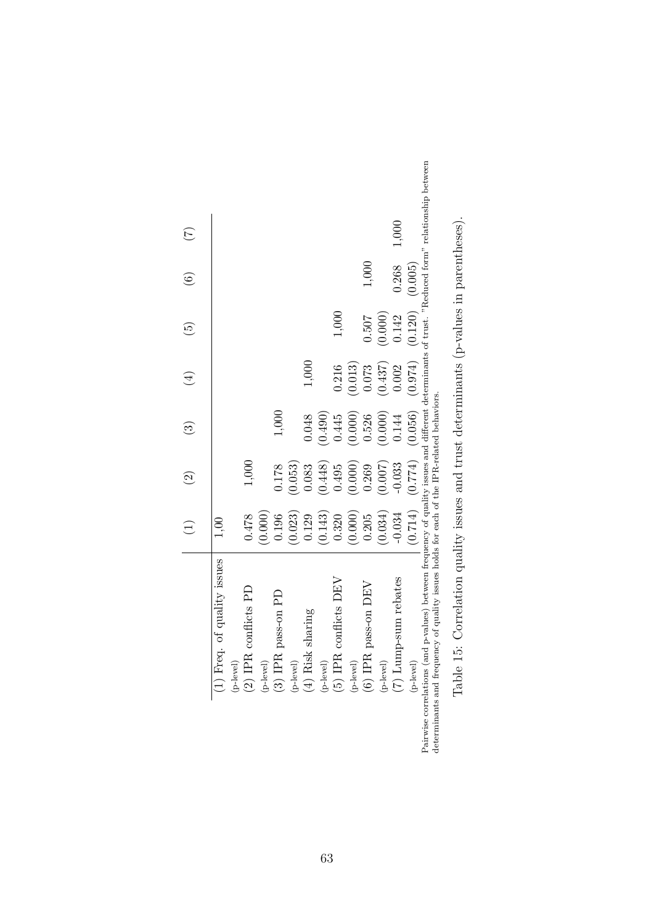|                                                                                                                                                                                                                                                | $\bigoplus$ | $\odot$  | $\widehat{S}$                 | $\bigoplus$ | $\widetilde{5}$     | $\odot$ | $\widetilde{C}$ |
|------------------------------------------------------------------------------------------------------------------------------------------------------------------------------------------------------------------------------------------------|-------------|----------|-------------------------------|-------------|---------------------|---------|-----------------|
| of quality issues<br>$(1)$ Freq.                                                                                                                                                                                                               |             |          |                               |             |                     |         |                 |
|                                                                                                                                                                                                                                                |             |          |                               |             |                     |         |                 |
| conflicts PD<br>$\stackrel{\rm (p-level)}{\rm (2) IPR}$                                                                                                                                                                                        | 0.478       | $1,000$  |                               |             |                     |         |                 |
|                                                                                                                                                                                                                                                | (0.000)     |          |                               |             |                     |         |                 |
| pass-on PD<br>$\stackrel{\rm (p-level)}{\rm (3) IPR}$ ]                                                                                                                                                                                        | 0.196       | 0.178    | 1,000                         |             |                     |         |                 |
|                                                                                                                                                                                                                                                | (0.023)     | (0.053)  |                               |             |                     |         |                 |
| sharing<br>(p-level)<br>(4) Risk $\,$ s                                                                                                                                                                                                        | 0.129       | 0.083    | 0.048                         | 1,000       |                     |         |                 |
|                                                                                                                                                                                                                                                | (0.143)     | (0.448)  | (0.490)                       |             |                     |         |                 |
| conflicts DEV<br>$\stackrel{\rm (p-level)}{\rm (5) P R}$ .                                                                                                                                                                                     | 0.320       | 0.495    | 0.445                         | 0.216       | 1,000               |         |                 |
|                                                                                                                                                                                                                                                | (0.000)     | (0.000)  | (0.000)                       | (0.013)     |                     |         |                 |
| pass-on DEV<br>$\stackrel{\rm (p-level)}{\rm (6) IPR}$                                                                                                                                                                                         | 0.205       | 0.269    | 0.526                         | 0.073       | 0.507               | 1,000   |                 |
|                                                                                                                                                                                                                                                | (0.034)     | (0.007)  | (0.000)                       | (0.437)     | (0.000)             |         |                 |
| $\stackrel{\text{(p-level)}}{\text{(7)}}$ Lump-sum rebates $\stackrel{\text{(p-level)}}{\text{(p-level)}}$                                                                                                                                     | $-0.034$    | $-0.033$ | 0.144                         | 0.002       | 0.142               | 0.268   | 1,000           |
|                                                                                                                                                                                                                                                |             |          | $(0.714)$ $(0.774)$ $(0.056)$ | (0.974)     | $(0.120)$ $(0.005)$ |         |                 |
| Pairwise correlations (and p-values) between frequency of quality issues and different determinants of trust. "Reduced form" relationship between<br>determinants and frequency of quality issues holds for each of the IPR-related behaviors. |             |          |                               |             |                     |         |                 |

| ١<br>i<br>1<br>j                                                                                                                                                |
|-----------------------------------------------------------------------------------------------------------------------------------------------------------------|
| į<br>l<br>$\frac{1}{2}$<br>Į<br>)<br>}<br>j<br>$\frac{1}{2}$<br>$\frac{1}{2}$<br>i<br>、<br>-<br>-<br>$\vdots$<br>$\frac{1}{2}$<br>i.<br>Í<br>$\frac{1}{2}$<br>I |
|                                                                                                                                                                 |